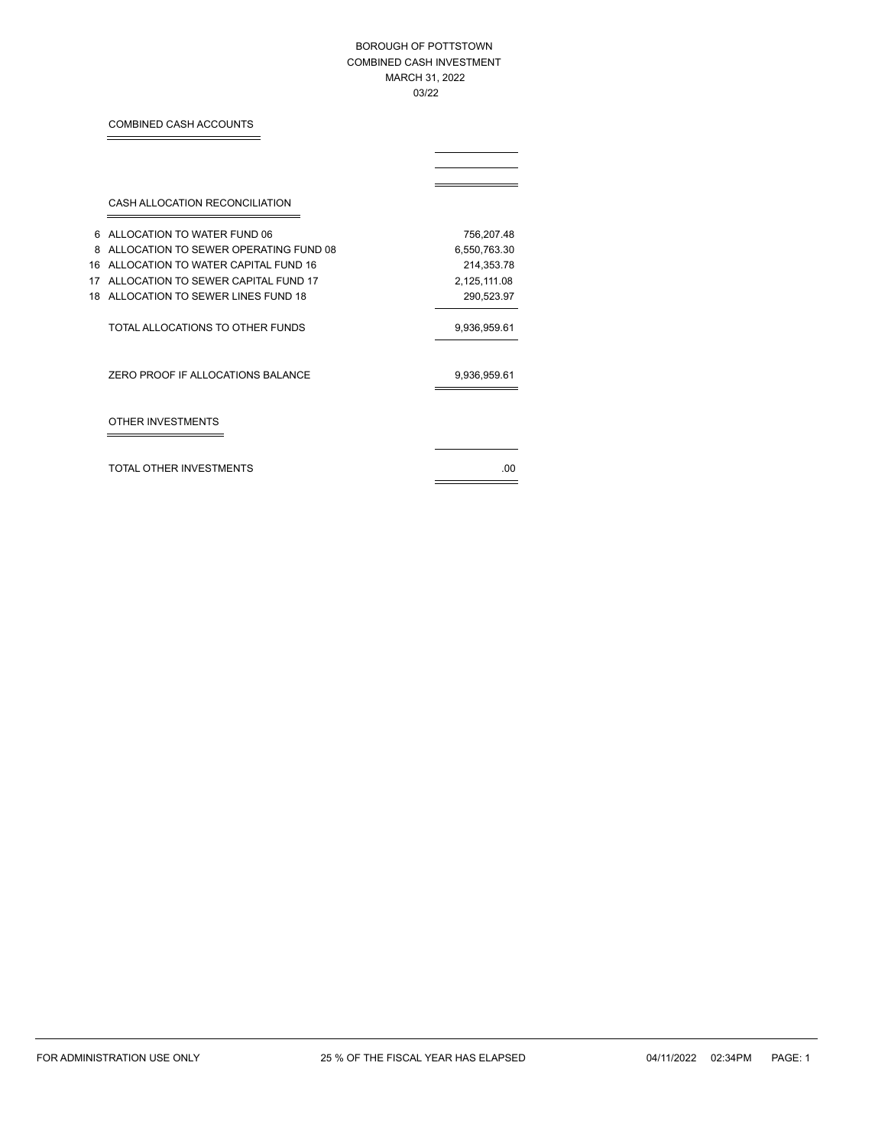## BOROUGH OF POTTSTOWN COMBINED CASH INVESTMENT MARCH 31, 2022 03/22

# COMBINED CASH ACCOUNTS

 $\equiv$ 

|    | CASH ALLOCATION RECONCILIATION        |              |
|----|---------------------------------------|--------------|
| 6  | ALLOCATION TO WATER FUND 06           | 756,207.48   |
| 8  | ALLOCATION TO SEWER OPERATING FUND 08 | 6,550,763.30 |
| 16 | ALLOCATION TO WATER CAPITAL FUND 16   | 214,353.78   |
| 17 | ALLOCATION TO SEWER CAPITAL FUND 17   | 2,125,111.08 |
| 18 | ALLOCATION TO SEWER LINES FUND 18     | 290,523.97   |
|    | TOTAL ALLOCATIONS TO OTHER FUNDS      | 9,936,959.61 |
|    | ZERO PROOF IF ALLOCATIONS BALANCE     | 9,936,959.61 |
|    | <b>OTHER INVESTMENTS</b>              |              |
|    | TOTAL OTHER INVESTMENTS               | ററ           |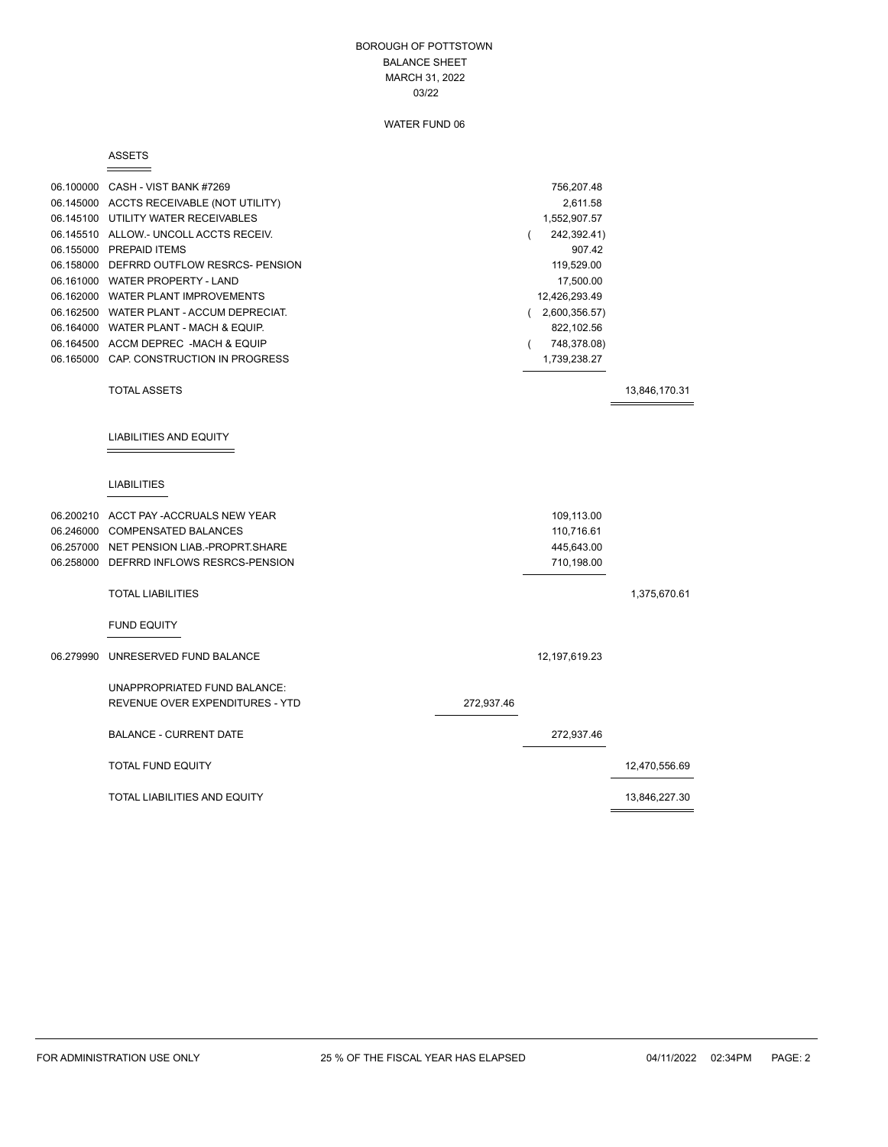#### BOROUGH OF POTTSTOWN BALANCE SHEET MARCH 31, 2022 03/22

## WATER FUND 06

#### ASSETS

|           | $ -$                                     |            |                  |               |
|-----------|------------------------------------------|------------|------------------|---------------|
|           | 06.100000 CASH - VIST BANK #7269         |            | 756,207.48       |               |
|           | 06.145000 ACCTS RECEIVABLE (NOT UTILITY) |            | 2,611.58         |               |
|           | 06.145100 UTILITY WATER RECEIVABLES      |            | 1,552,907.57     |               |
|           | 06.145510 ALLOW.- UNCOLL ACCTS RECEIV.   |            | 242,392.41)      |               |
|           | 06.155000 PREPAID ITEMS                  |            | 907.42           |               |
|           | 06.158000 DEFRRD OUTFLOW RESRCS- PENSION |            | 119,529.00       |               |
|           | 06.161000 WATER PROPERTY - LAND          |            | 17,500.00        |               |
|           | 06.162000 WATER PLANT IMPROVEMENTS       |            | 12,426,293.49    |               |
|           | 06.162500 WATER PLANT - ACCUM DEPRECIAT. |            | (2,600,356.57)   |               |
|           | 06.164000 WATER PLANT - MACH & EQUIP.    |            | 822,102.56       |               |
|           | 06.164500 ACCM DEPREC -MACH & EQUIP      |            | 748,378.08)      |               |
|           | 06.165000 CAP. CONSTRUCTION IN PROGRESS  |            | 1,739,238.27     |               |
|           |                                          |            |                  |               |
|           | <b>TOTAL ASSETS</b>                      |            |                  | 13,846,170.31 |
|           |                                          |            |                  |               |
|           | LIABILITIES AND EQUITY                   |            |                  |               |
|           |                                          |            |                  |               |
|           |                                          |            |                  |               |
|           | <b>LIABILITIES</b>                       |            |                  |               |
|           | 06.200210 ACCT PAY - ACCRUALS NEW YEAR   |            | 109,113.00       |               |
|           | 06.246000 COMPENSATED BALANCES           |            | 110,716.61       |               |
|           | 06.257000 NET PENSION LIAB.-PROPRT.SHARE |            | 445,643.00       |               |
|           | 06.258000 DEFRRD INFLOWS RESRCS-PENSION  |            | 710,198.00       |               |
|           | <b>TOTAL LIABILITIES</b>                 |            |                  | 1,375,670.61  |
|           |                                          |            |                  |               |
|           | <b>FUND EQUITY</b>                       |            |                  |               |
| 06.279990 | UNRESERVED FUND BALANCE                  |            | 12, 197, 619. 23 |               |
|           |                                          |            |                  |               |
|           | UNAPPROPRIATED FUND BALANCE:             |            |                  |               |
|           | REVENUE OVER EXPENDITURES - YTD          | 272,937.46 |                  |               |
|           | <b>BALANCE - CURRENT DATE</b>            |            |                  |               |
|           |                                          |            | 272,937.46       |               |
|           | TOTAL FUND EQUITY                        |            |                  | 12,470,556.69 |
|           | TOTAL LIABILITIES AND EQUITY             |            |                  | 13,846,227.30 |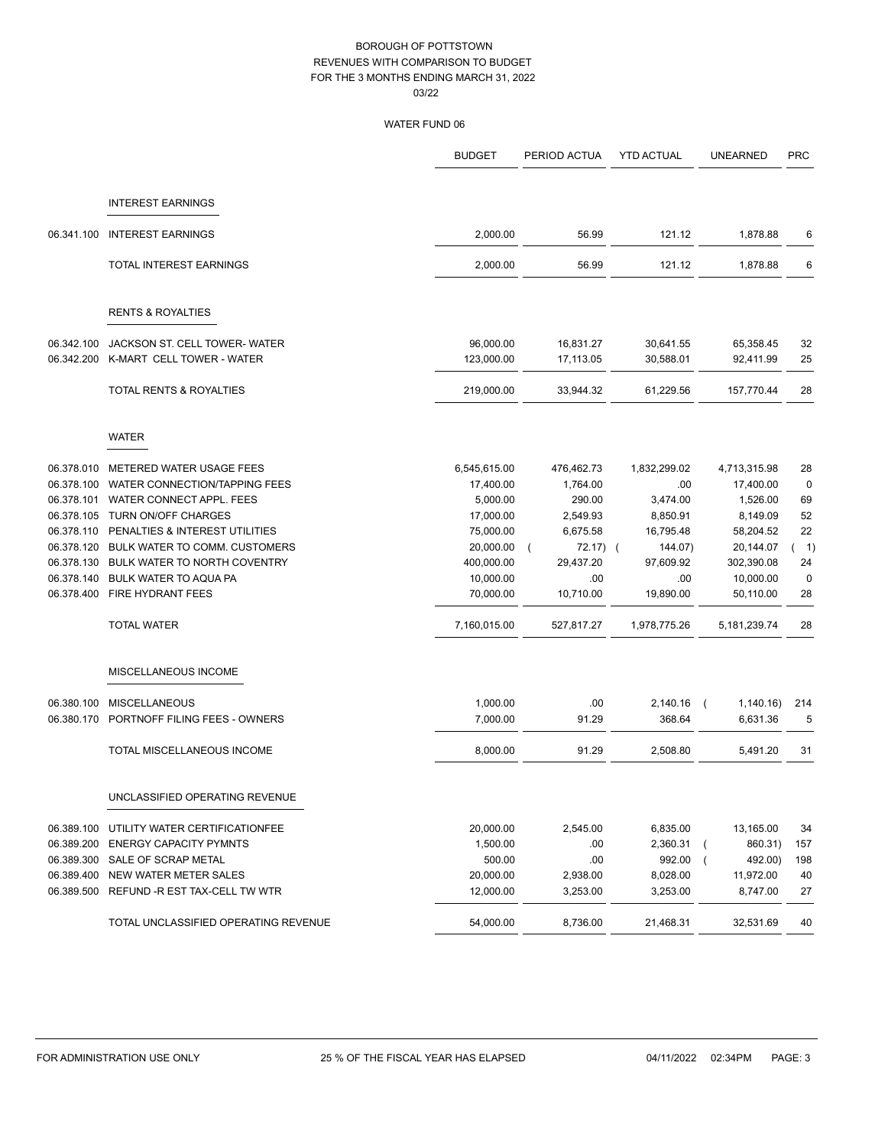|            |                                           | <b>BUDGET</b> | PERIOD ACTUA | <b>YTD ACTUAL</b> | <b>UNEARNED</b>            | <b>PRC</b>  |
|------------|-------------------------------------------|---------------|--------------|-------------------|----------------------------|-------------|
|            | <b>INTEREST EARNINGS</b>                  |               |              |                   |                            |             |
|            |                                           |               |              |                   |                            |             |
| 06.341.100 | <b>INTEREST EARNINGS</b>                  | 2,000.00      | 56.99        | 121.12            | 1,878.88                   | 6           |
|            | TOTAL INTEREST EARNINGS                   | 2,000.00      | 56.99        | 121.12            | 1,878.88                   | 6           |
|            | <b>RENTS &amp; ROYALTIES</b>              |               |              |                   |                            |             |
| 06.342.100 | JACKSON ST. CELL TOWER-WATER              | 96,000.00     | 16,831.27    | 30,641.55         | 65,358.45                  | 32          |
| 06.342.200 | K-MART CELL TOWER - WATER                 | 123,000.00    | 17,113.05    | 30,588.01         | 92,411.99                  | 25          |
|            | TOTAL RENTS & ROYALTIES                   | 219,000.00    | 33,944.32    | 61,229.56         | 157,770.44                 | 28          |
|            | <b>WATER</b>                              |               |              |                   |                            |             |
|            | 06.378.010 METERED WATER USAGE FEES       | 6,545,615.00  | 476,462.73   | 1,832,299.02      | 4,713,315.98               | 28          |
|            | 06.378.100 WATER CONNECTION/TAPPING FEES  | 17,400.00     | 1,764.00     | .00.              | 17,400.00                  | 0           |
|            | 06.378.101 WATER CONNECT APPL. FEES       | 5,000.00      | 290.00       | 3,474.00          | 1,526.00                   | 69          |
|            | 06.378.105 TURN ON/OFF CHARGES            | 17,000.00     | 2,549.93     | 8,850.91          | 8,149.09                   | 52          |
| 06.378.110 | PENALTIES & INTEREST UTILITIES            | 75,000.00     | 6,675.58     | 16,795.48         | 58,204.52                  | 22          |
|            | 06.378.120 BULK WATER TO COMM. CUSTOMERS  | 20,000.00     | 72.17) (     | 144.07)           | 20,144.07                  | 1)          |
|            | 06.378.130 BULK WATER TO NORTH COVENTRY   | 400,000.00    | 29,437.20    | 97,609.92         | 302,390.08                 | 24          |
| 06.378.140 | <b>BULK WATER TO AQUA PA</b>              | 10,000.00     | .00          | .00               | 10,000.00                  | $\mathbf 0$ |
|            | 06.378.400 FIRE HYDRANT FEES              | 70,000.00     | 10,710.00    | 19,890.00         | 50,110.00                  | 28          |
|            | <b>TOTAL WATER</b>                        | 7,160,015.00  | 527,817.27   | 1,978,775.26      | 5, 181, 239. 74            | 28          |
|            | MISCELLANEOUS INCOME                      |               |              |                   |                            |             |
| 06.380.100 | <b>MISCELLANEOUS</b>                      | 1,000.00      | .00          | 2,140.16          | 1,140.16<br>$\overline{ }$ | 214         |
|            | 06.380.170 PORTNOFF FILING FEES - OWNERS  | 7,000.00      | 91.29        | 368.64            | 6,631.36                   | 5           |
|            | TOTAL MISCELLANEOUS INCOME                | 8,000.00      | 91.29        | 2,508.80          | 5,491.20                   | 31          |
|            | UNCLASSIFIED OPERATING REVENUE            |               |              |                   |                            |             |
|            | 06.389.100 UTILITY WATER CERTIFICATIONFEE | 20,000.00     | 2,545.00     | 6,835.00          | 13,165.00                  | 34          |
| 06.389.200 | <b>ENERGY CAPACITY PYMNTS</b>             | 1,500.00      | .00          | 2,360.31          | 860.31)                    | 157         |
|            | 06.389.300 SALE OF SCRAP METAL            | 500.00        | .00          | 992.00            | 492.00)<br>$\overline{ }$  | 198         |
|            | 06.389.400 NEW WATER METER SALES          | 20,000.00     | 2,938.00     | 8,028.00          | 11,972.00                  | 40          |
|            | 06.389.500 REFUND -R EST TAX-CELL TW WTR  | 12,000.00     | 3,253.00     | 3,253.00          | 8,747.00                   | 27          |
|            | TOTAL UNCLASSIFIED OPERATING REVENUE      | 54,000.00     | 8,736.00     | 21,468.31         | 32,531.69                  | 40          |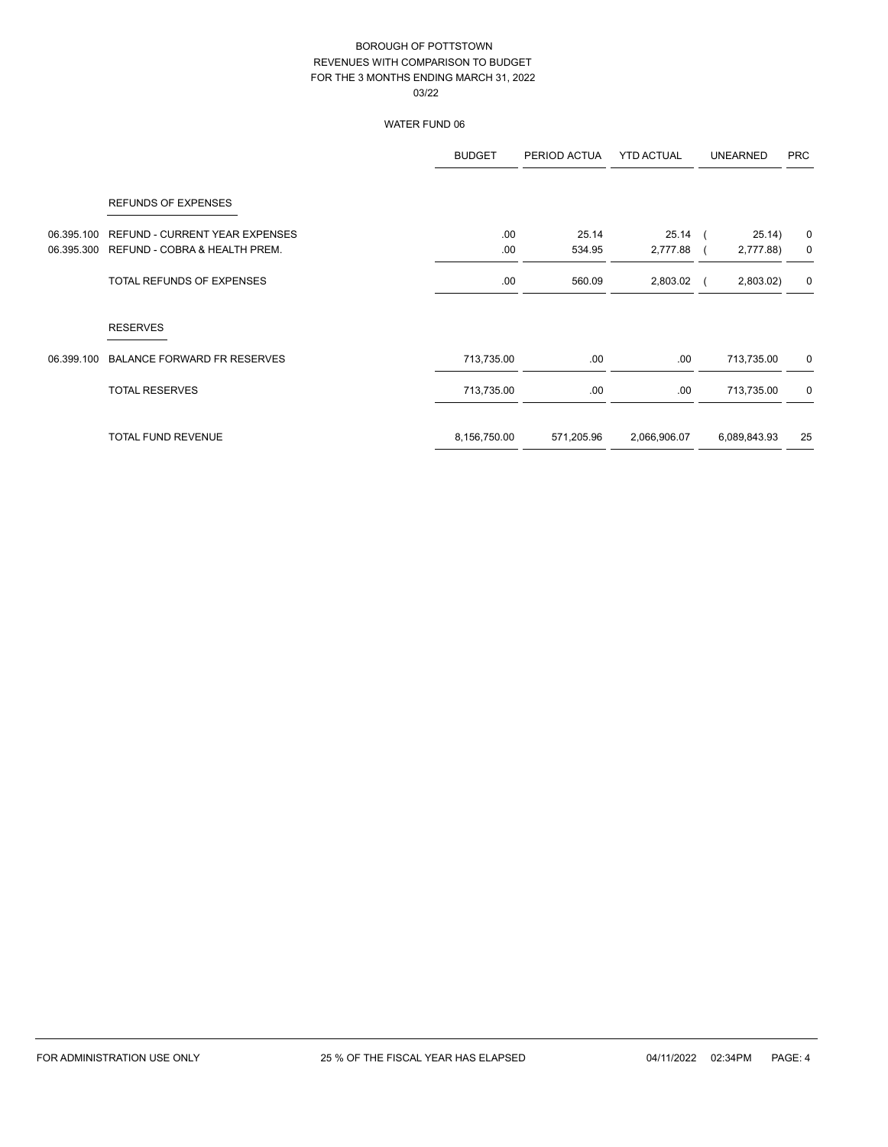|            |                                       | <b>BUDGET</b> | PERIOD ACTUA | <b>YTD ACTUAL</b> | <b>UNEARNED</b> | <b>PRC</b>  |
|------------|---------------------------------------|---------------|--------------|-------------------|-----------------|-------------|
|            | <b>REFUNDS OF EXPENSES</b>            |               |              |                   |                 |             |
| 06.395.100 | <b>REFUND - CURRENT YEAR EXPENSES</b> | .00.          | 25.14        | $25.14$ (         | 25.14)          | 0           |
| 06.395.300 | REFUND - COBRA & HEALTH PREM.         | .00           | 534.95       | 2,777.88 (        | 2,777.88)       | 0           |
|            | TOTAL REFUNDS OF EXPENSES             | .00           | 560.09       | 2,803.02 (        | 2,803.02)       | 0           |
|            | <b>RESERVES</b>                       |               |              |                   |                 |             |
| 06.399.100 | <b>BALANCE FORWARD FR RESERVES</b>    | 713,735.00    | .00          | .00.              | 713,735.00      | $\mathbf 0$ |
|            | <b>TOTAL RESERVES</b>                 | 713,735.00    | .00          | .00.              | 713,735.00      | $\mathbf 0$ |
|            | <b>TOTAL FUND REVENUE</b>             | 8,156,750.00  | 571,205.96   | 2,066,906.07      | 6,089,843.93    | 25          |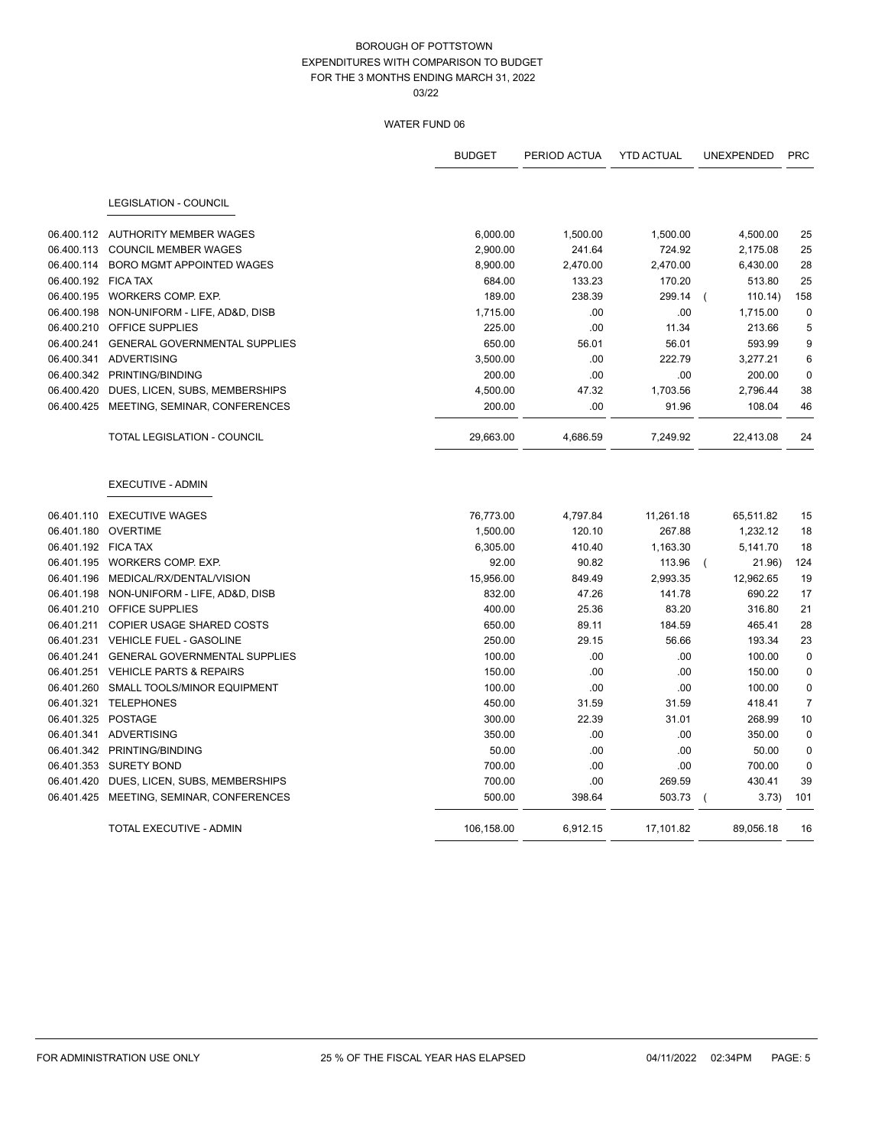|                     |                                           | <b>BUDGET</b> | PERIOD ACTUA | <b>YTD ACTUAL</b> | UNEXPENDED                | <b>PRC</b>     |
|---------------------|-------------------------------------------|---------------|--------------|-------------------|---------------------------|----------------|
|                     | <b>LEGISLATION - COUNCIL</b>              |               |              |                   |                           |                |
|                     |                                           |               |              |                   |                           |                |
|                     | 06.400.112 AUTHORITY MEMBER WAGES         | 6,000.00      | 1,500.00     | 1,500.00          | 4,500.00                  | 25             |
| 06.400.113          | <b>COUNCIL MEMBER WAGES</b>               | 2,900.00      | 241.64       | 724.92            | 2,175.08                  | 25             |
| 06.400.114          | <b>BORO MGMT APPOINTED WAGES</b>          | 8,900.00      | 2,470.00     | 2,470.00          | 6,430.00                  | 28             |
| 06.400.192 FICA TAX |                                           | 684.00        | 133.23       | 170.20            | 513.80                    | 25             |
|                     | 06.400.195 WORKERS COMP. EXP.             | 189.00        | 238.39       | 299.14            | 110.14)<br>$\overline{ }$ | 158            |
| 06.400.198          | NON-UNIFORM - LIFE, AD&D, DISB            | 1,715.00      | .00          | .00               | 1,715.00                  | $\mathbf 0$    |
|                     | 06.400.210 OFFICE SUPPLIES                | 225.00        | .00          | 11.34             | 213.66                    | 5              |
|                     | 06.400.241 GENERAL GOVERNMENTAL SUPPLIES  | 650.00        | 56.01        | 56.01             | 593.99                    | 9              |
|                     | 06.400.341 ADVERTISING                    | 3,500.00      | .00          | 222.79            | 3,277.21                  | 6              |
|                     | 06.400.342 PRINTING/BINDING               | 200.00        | .00          | .00               | 200.00                    | 0              |
| 06.400.420          | DUES, LICEN, SUBS, MEMBERSHIPS            | 4,500.00      | 47.32        | 1,703.56          | 2,796.44                  | 38             |
|                     | 06.400.425 MEETING, SEMINAR, CONFERENCES  | 200.00        | .00          | 91.96             | 108.04                    | 46             |
|                     | TOTAL LEGISLATION - COUNCIL               | 29,663.00     | 4,686.59     | 7,249.92          | 22,413.08                 | 24             |
|                     | EXECUTIVE - ADMIN                         |               |              |                   |                           |                |
| 06.401.110          | <b>EXECUTIVE WAGES</b>                    | 76,773.00     | 4,797.84     | 11,261.18         | 65,511.82                 | 15             |
|                     | 06.401.180 OVERTIME                       | 1,500.00      | 120.10       | 267.88            | 1,232.12                  | 18             |
| 06.401.192 FICA TAX |                                           | 6,305.00      | 410.40       | 1,163.30          | 5,141.70                  | 18             |
|                     | 06.401.195 WORKERS COMP. EXP.             | 92.00         | 90.82        | 113.96            | 21.96)                    | 124            |
| 06.401.196          | MEDICAL/RX/DENTAL/VISION                  | 15,956.00     | 849.49       | 2,993.35          | 12,962.65                 | 19             |
| 06.401.198          | NON-UNIFORM - LIFE, AD&D, DISB            | 832.00        | 47.26        | 141.78            | 690.22                    | 17             |
|                     | 06.401.210 OFFICE SUPPLIES                | 400.00        | 25.36        | 83.20             | 316.80                    | 21             |
| 06.401.211          | COPIER USAGE SHARED COSTS                 | 650.00        | 89.11        | 184.59            | 465.41                    | 28             |
|                     | 06.401.231 VEHICLE FUEL - GASOLINE        | 250.00        | 29.15        | 56.66             | 193.34                    | 23             |
|                     | 06.401.241 GENERAL GOVERNMENTAL SUPPLIES  | 100.00        | .00          | .00               | 100.00                    | $\mathbf 0$    |
|                     | 06.401.251 VEHICLE PARTS & REPAIRS        | 150.00        | .00          | .00               | 150.00                    | $\mathbf 0$    |
|                     | 06.401.260 SMALL TOOLS/MINOR EQUIPMENT    | 100.00        | .00          | .00               | 100.00                    | $\mathbf 0$    |
|                     | 06.401.321 TELEPHONES                     | 450.00        | 31.59        | 31.59             | 418.41                    | $\overline{7}$ |
| 06.401.325 POSTAGE  |                                           | 300.00        | 22.39        | 31.01             | 268.99                    | 10             |
|                     | 06.401.341 ADVERTISING                    | 350.00        | .00          | .00               | 350.00                    | $\mathbf 0$    |
|                     | 06.401.342 PRINTING/BINDING               | 50.00         | .00          | .00               | 50.00                     | 0              |
|                     | 06.401.353 SURETY BOND                    | 700.00        | .00          | .00               | 700.00                    | 0              |
|                     | 06.401.420 DUES, LICEN, SUBS, MEMBERSHIPS | 700.00        | .00          | 269.59            | 430.41                    | 39             |
|                     | 06.401.425 MEETING, SEMINAR, CONFERENCES  | 500.00        | 398.64       | 503.73            | 3.73)                     | 101            |
|                     | TOTAL EXECUTIVE - ADMIN                   | 106,158.00    | 6,912.15     | 17,101.82         | 89,056.18                 | 16             |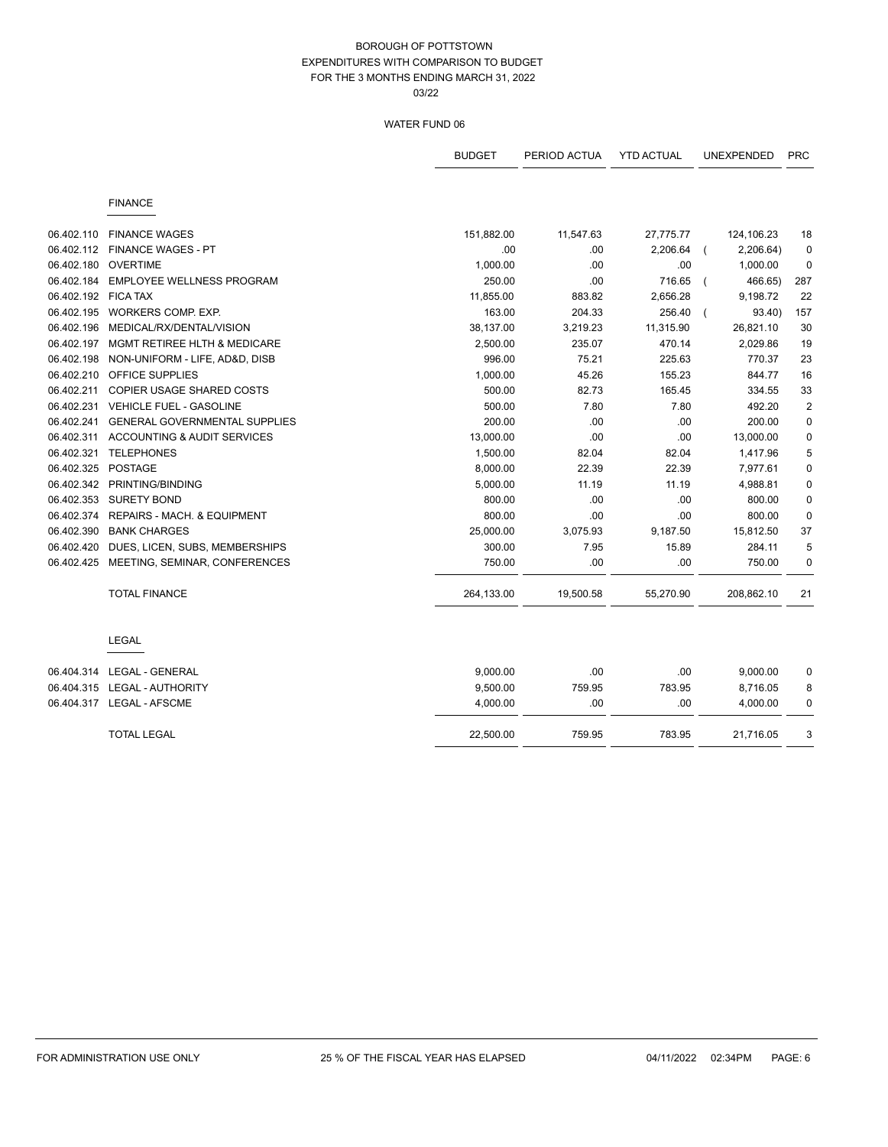|            |                                        | <b>BUDGET</b> | PERIOD ACTUA | <b>YTD ACTUAL</b> | <b>UNEXPENDED</b> | <b>PRC</b>     |
|------------|----------------------------------------|---------------|--------------|-------------------|-------------------|----------------|
|            | <b>FINANCE</b>                         |               |              |                   |                   |                |
| 06.402.110 | <b>FINANCE WAGES</b>                   | 151,882.00    | 11,547.63    | 27,775.77         | 124,106.23        | 18             |
| 06.402.112 | <b>FINANCE WAGES - PT</b>              | .00           | .00          | 2,206.64          | 2,206.64)         | $\mathbf 0$    |
| 06.402.180 | <b>OVERTIME</b>                        | 1,000.00      | .00          | .00               | 1,000.00          | 0              |
| 06.402.184 | <b>EMPLOYEE WELLNESS PROGRAM</b>       | 250.00        | .00          | 716.65            | 466.65)           | 287            |
| 06.402.192 | <b>FICA TAX</b>                        | 11,855.00     | 883.82       | 2,656.28          | 9,198.72          | 22             |
| 06.402.195 | WORKERS COMP. EXP.                     | 163.00        | 204.33       | 256.40            | 93.40)            | 157            |
| 06.402.196 | MEDICAL/RX/DENTAL/VISION               | 38,137.00     | 3,219.23     | 11,315.90         | 26,821.10         | 30             |
| 06.402.197 | MGMT RETIREE HLTH & MEDICARE           | 2,500.00      | 235.07       | 470.14            | 2,029.86          | 19             |
| 06.402.198 | NON-UNIFORM - LIFE, AD&D, DISB         | 996.00        | 75.21        | 225.63            | 770.37            | 23             |
| 06.402.210 | OFFICE SUPPLIES                        | 1,000.00      | 45.26        | 155.23            | 844.77            | 16             |
| 06.402.211 | COPIER USAGE SHARED COSTS              | 500.00        | 82.73        | 165.45            | 334.55            | 33             |
| 06.402.231 | VEHICLE FUEL - GASOLINE                | 500.00        | 7.80         | 7.80              | 492.20            | $\overline{2}$ |
| 06.402.241 | <b>GENERAL GOVERNMENTAL SUPPLIES</b>   | 200.00        | .00          | .00               | 200.00            | $\mathbf 0$    |
| 06.402.311 | ACCOUNTING & AUDIT SERVICES            | 13,000.00     | .00          | .00               | 13,000.00         | 0              |
| 06.402.321 | <b>TELEPHONES</b>                      | 1,500.00      | 82.04        | 82.04             | 1,417.96          | $\,$ 5 $\,$    |
| 06.402.325 | POSTAGE                                | 8,000.00      | 22.39        | 22.39             | 7,977.61          | 0              |
|            | 06.402.342 PRINTING/BINDING            | 5,000.00      | 11.19        | 11.19             | 4,988.81          | 0              |
| 06.402.353 | <b>SURETY BOND</b>                     | 800.00        | .00          | .00               | 800.00            | $\pmb{0}$      |
| 06.402.374 | <b>REPAIRS - MACH, &amp; EQUIPMENT</b> | 800.00        | .00          | .00               | 800.00            | $\mathbf 0$    |
| 06.402.390 | <b>BANK CHARGES</b>                    | 25,000.00     | 3,075.93     | 9,187.50          | 15,812.50         | 37             |
| 06.402.420 | DUES, LICEN, SUBS, MEMBERSHIPS         | 300.00        | 7.95         | 15.89             | 284.11            | 5              |
| 06.402.425 | MEETING, SEMINAR, CONFERENCES          | 750.00        | .00          | .00               | 750.00            | 0              |
|            | <b>TOTAL FINANCE</b>                   | 264,133.00    | 19,500.58    | 55,270.90         | 208,862.10        | 21             |
|            | LEGAL                                  |               |              |                   |                   |                |
|            | 06.404.314 LEGAL - GENERAL             | 9,000.00      | .00          | .00               | 9,000.00          | 0              |
|            | 06.404.315 LEGAL - AUTHORITY           | 9,500.00      | 759.95       | 783.95            | 8,716.05          | 8              |
|            | 06.404.317 LEGAL - AFSCME              | 4,000.00      | .00          | .00               | 4,000.00          | 0              |
|            | <b>TOTAL LEGAL</b>                     | 22,500.00     | 759.95       | 783.95            | 21,716.05         | 3              |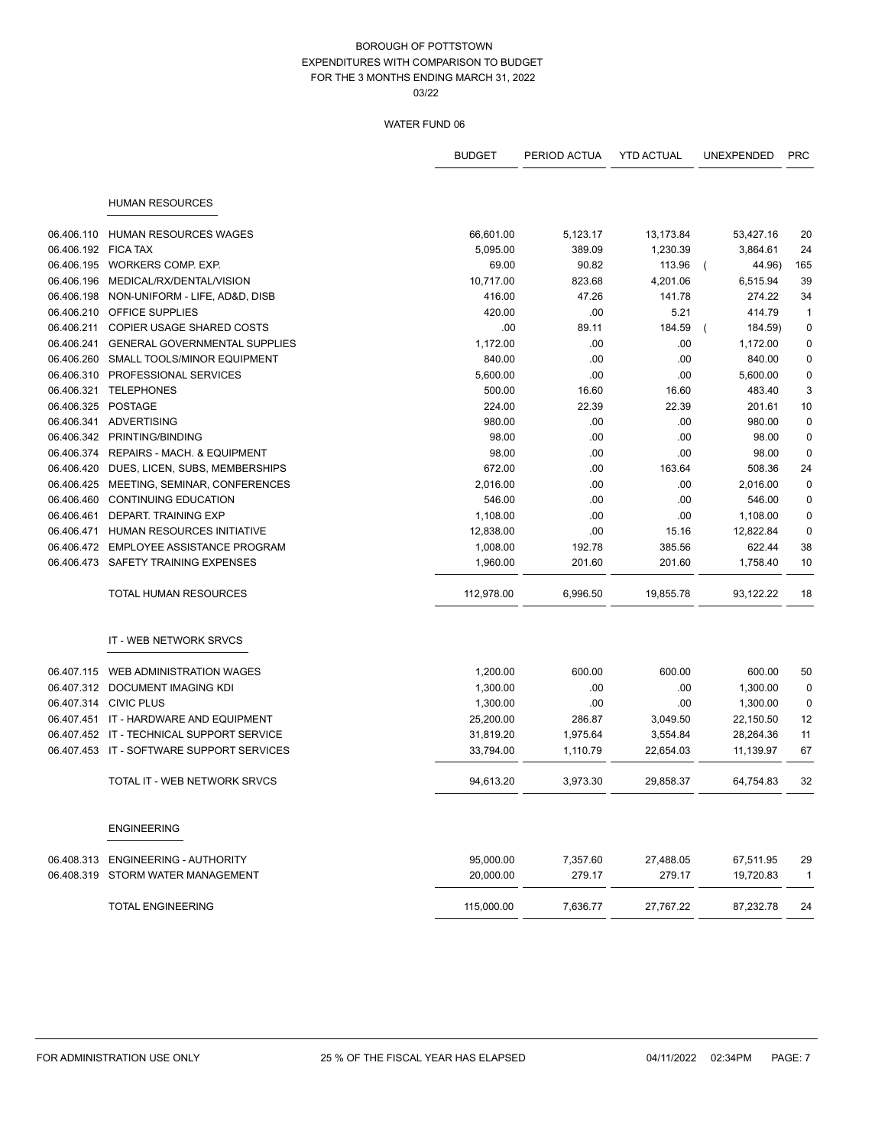|                     |                                           | <b>BUDGET</b> | PERIOD ACTUA | <b>YTD ACTUAL</b> | UNEXPENDED | <b>PRC</b>     |
|---------------------|-------------------------------------------|---------------|--------------|-------------------|------------|----------------|
|                     | <b>HUMAN RESOURCES</b>                    |               |              |                   |            |                |
| 06.406.110          | <b>HUMAN RESOURCES WAGES</b>              | 66,601.00     | 5,123.17     | 13,173.84         | 53,427.16  | 20             |
| 06.406.192 FICA TAX |                                           | 5,095.00      | 389.09       | 1,230.39          | 3,864.61   | 24             |
| 06.406.195          | <b>WORKERS COMP. EXP.</b>                 | 69.00         | 90.82        | 113.96            | 44.96)     | 165            |
| 06.406.196          | MEDICAL/RX/DENTAL/VISION                  | 10,717.00     | 823.68       | 4,201.06          | 6,515.94   | 39             |
| 06.406.198          | NON-UNIFORM - LIFE, AD&D, DISB            | 416.00        | 47.26        | 141.78            | 274.22     | 34             |
| 06.406.210          | <b>OFFICE SUPPLIES</b>                    | 420.00        | .00          | 5.21              | 414.79     | $\overline{1}$ |
| 06.406.211          | <b>COPIER USAGE SHARED COSTS</b>          | .00           | 89.11        | 184.59            | 184.59)    | $\mathbf 0$    |
| 06.406.241          | <b>GENERAL GOVERNMENTAL SUPPLIES</b>      | 1,172.00      | .00          | .00               | 1,172.00   | $\pmb{0}$      |
| 06.406.260          | SMALL TOOLS/MINOR EQUIPMENT               | 840.00        | .00          | .00               | 840.00     | 0              |
| 06.406.310          | PROFESSIONAL SERVICES                     | 5,600.00      | .00          | .00               | 5,600.00   | 0              |
| 06.406.321          | <b>TELEPHONES</b>                         | 500.00        | 16.60        | 16.60             | 483.40     | 3              |
| 06.406.325          | POSTAGE                                   | 224.00        | 22.39        | 22.39             | 201.61     | 10             |
| 06.406.341          | ADVERTISING                               | 980.00        | .00          | .00               | 980.00     | $\pmb{0}$      |
| 06.406.342          | PRINTING/BINDING                          | 98.00         | .00          | .00               | 98.00      | 0              |
| 06.406.374          | <b>REPAIRS - MACH. &amp; EQUIPMENT</b>    | 98.00         | .00.         | .00               | 98.00      | 0              |
| 06.406.420          | DUES, LICEN, SUBS, MEMBERSHIPS            | 672.00        | .00          | 163.64            | 508.36     | 24             |
| 06.406.425          | MEETING, SEMINAR, CONFERENCES             | 2,016.00      | .00.         | .00               | 2,016.00   | $\mathbf 0$    |
| 06.406.460          | <b>CONTINUING EDUCATION</b>               | 546.00        | .00          | .00               | 546.00     | 0              |
| 06.406.461          | DEPART. TRAINING EXP                      | 1,108.00      | .00          | .00               | 1,108.00   | 0              |
| 06.406.471          | HUMAN RESOURCES INITIATIVE                | 12,838.00     | .00          | 15.16             | 12,822.84  | 0              |
| 06.406.472          | EMPLOYEE ASSISTANCE PROGRAM               | 1,008.00      | 192.78       | 385.56            | 622.44     | 38             |
|                     | 06.406.473 SAFETY TRAINING EXPENSES       | 1,960.00      | 201.60       | 201.60            | 1,758.40   | 10             |
|                     | <b>TOTAL HUMAN RESOURCES</b>              | 112,978.00    | 6,996.50     | 19,855.78         | 93,122.22  | 18             |
|                     | IT - WEB NETWORK SRVCS                    |               |              |                   |            |                |
| 06.407.115          | WEB ADMINISTRATION WAGES                  | 1,200.00      | 600.00       | 600.00            | 600.00     | 50             |
| 06.407.312          | DOCUMENT IMAGING KDI                      | 1,300.00      | .00          | .00               | 1,300.00   | $\mathbf 0$    |
|                     | 06.407.314 CIVIC PLUS                     | 1,300.00      | .00          | .00               | 1,300.00   | 0              |
| 06.407.451          | IT - HARDWARE AND EQUIPMENT               | 25,200.00     | 286.87       | 3,049.50          | 22.150.50  | 12             |
| 06.407.452          | IT - TECHNICAL SUPPORT SERVICE            | 31,819.20     | 1,975.64     | 3,554.84          | 28,264.36  | 11             |
|                     | 06.407.453 IT - SOFTWARE SUPPORT SERVICES | 33,794.00     | 1,110.79     | 22,654.03         | 11,139.97  | 67             |
|                     | TOTAL IT - WEB NETWORK SRVCS              | 94,613.20     | 3,973.30     | 29,858.37         | 64,754.83  | 32             |
|                     | <b>ENGINEERING</b>                        |               |              |                   |            |                |
| 06.408.313          | <b>ENGINEERING - AUTHORITY</b>            | 95,000.00     | 7,357.60     | 27,488.05         | 67,511.95  | 29             |
|                     | 06.408.319 STORM WATER MANAGEMENT         | 20,000.00     | 279.17       | 279.17            | 19,720.83  | $\mathbf{1}$   |
|                     | <b>TOTAL ENGINEERING</b>                  | 115,000.00    | 7,636.77     | 27,767.22         | 87,232.78  | 24             |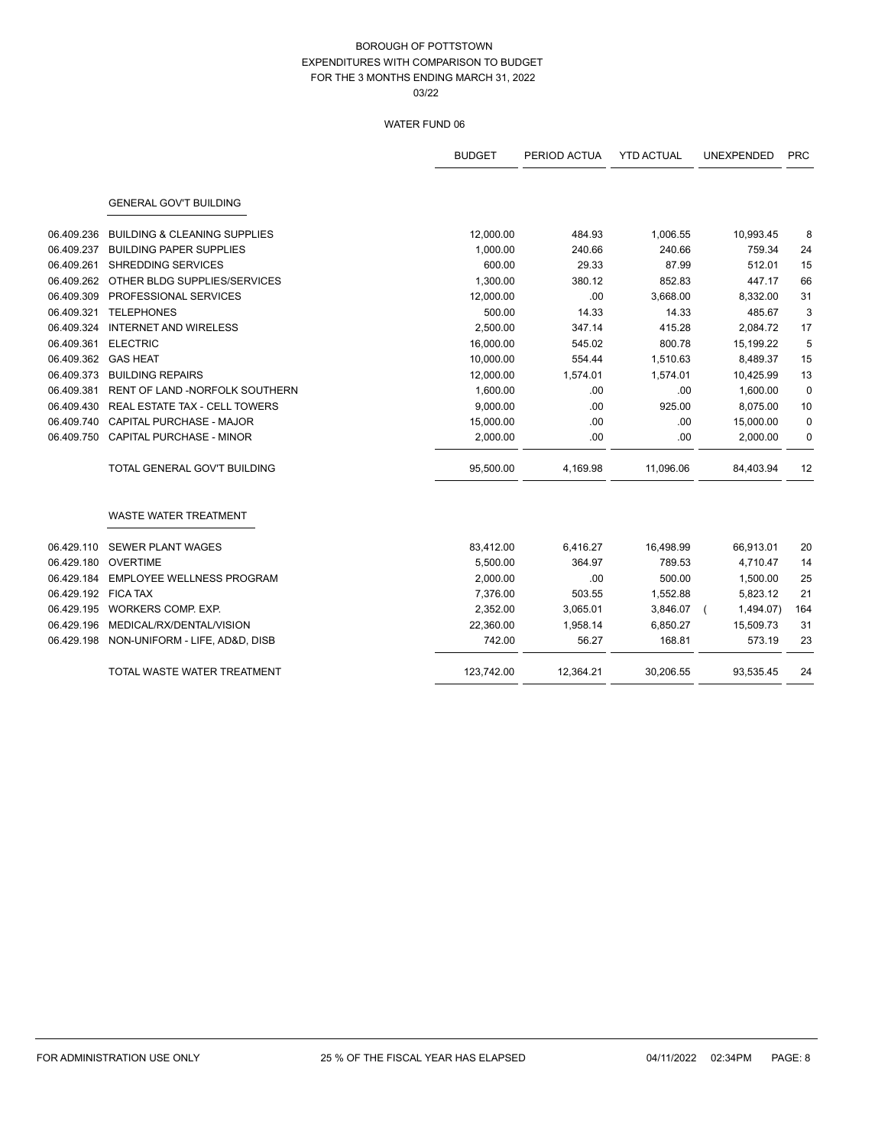|                     |                                         | <b>BUDGET</b> | PERIOD ACTUA | <b>YTD ACTUAL</b> | <b>UNEXPENDED</b> | <b>PRC</b>  |
|---------------------|-----------------------------------------|---------------|--------------|-------------------|-------------------|-------------|
|                     | <b>GENERAL GOV'T BUILDING</b>           |               |              |                   |                   |             |
| 06.409.236          | <b>BUILDING &amp; CLEANING SUPPLIES</b> | 12,000.00     | 484.93       | 1,006.55          | 10,993.45         | 8           |
| 06.409.237          | <b>BUILDING PAPER SUPPLIES</b>          | 1,000.00      | 240.66       | 240.66            | 759.34            | 24          |
| 06.409.261          | SHREDDING SERVICES                      | 600.00        | 29.33        | 87.99             | 512.01            | 15          |
| 06.409.262          | OTHER BLDG SUPPLIES/SERVICES            | 1,300.00      | 380.12       | 852.83            | 447.17            | 66          |
| 06.409.309          | PROFESSIONAL SERVICES                   | 12,000.00     | .00          | 3,668.00          | 8,332.00          | 31          |
| 06.409.321          | <b>TELEPHONES</b>                       | 500.00        | 14.33        | 14.33             | 485.67            | 3           |
| 06.409.324          | <b>INTERNET AND WIRELESS</b>            | 2,500.00      | 347.14       | 415.28            | 2,084.72          | 17          |
| 06.409.361          | <b>ELECTRIC</b>                         | 16,000.00     | 545.02       | 800.78            | 15,199.22         | 5           |
| 06.409.362          | <b>GAS HEAT</b>                         | 10,000.00     | 554.44       | 1,510.63          | 8,489.37          | 15          |
| 06.409.373          | <b>BUILDING REPAIRS</b>                 | 12,000.00     | 1,574.01     | 1,574.01          | 10,425.99         | 13          |
| 06.409.381          | RENT OF LAND -NORFOLK SOUTHERN          | 1,600.00      | .00          | .00               | 1,600.00          | $\mathbf 0$ |
| 06.409.430          | <b>REAL ESTATE TAX - CELL TOWERS</b>    | 9,000.00      | .00          | 925.00            | 8,075.00          | 10          |
| 06.409.740          | <b>CAPITAL PURCHASE - MAJOR</b>         | 15,000.00     | .00          | .00               | 15,000.00         | 0           |
| 06.409.750          | CAPITAL PURCHASE - MINOR                | 2,000.00      | .00          | .00               | 2,000.00          | 0           |
|                     | TOTAL GENERAL GOV'T BUILDING            | 95,500.00     | 4,169.98     | 11,096.06         | 84,403.94         | 12          |
|                     | <b>WASTE WATER TREATMENT</b>            |               |              |                   |                   |             |
| 06.429.110          | <b>SEWER PLANT WAGES</b>                | 83,412.00     | 6,416.27     | 16,498.99         | 66,913.01         | 20          |
| 06.429.180          | <b>OVERTIME</b>                         | 5,500.00      | 364.97       | 789.53            | 4,710.47          | 14          |
| 06.429.184          | <b>EMPLOYEE WELLNESS PROGRAM</b>        | 2,000.00      | .00          | 500.00            | 1,500.00          | 25          |
| 06.429.192 FICA TAX |                                         | 7,376.00      | 503.55       | 1,552.88          | 5,823.12          | 21          |
| 06.429.195          | WORKERS COMP. EXP.                      | 2,352.00      | 3,065.01     | $3,846.07$ (      | 1,494.07          | 164         |
| 06.429.196          | MEDICAL/RX/DENTAL/VISION                | 22,360.00     | 1,958.14     | 6,850.27          | 15,509.73         | 31          |
| 06.429.198          | NON-UNIFORM - LIFE, AD&D, DISB          | 742.00        | 56.27        | 168.81            | 573.19            | 23          |
|                     | TOTAL WASTE WATER TREATMENT             | 123,742.00    | 12,364.21    | 30,206.55         | 93,535.45         | 24          |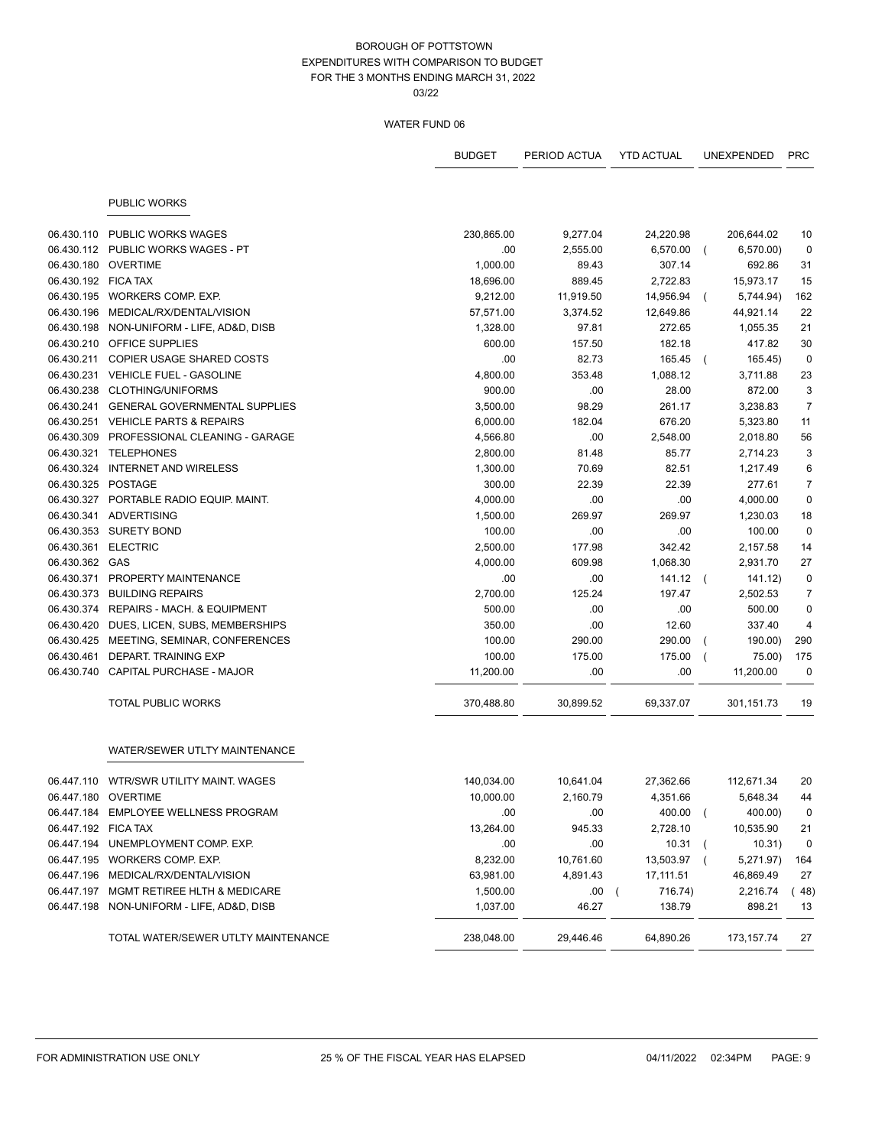|                     |                                           | <b>BUDGET</b> | PERIOD ACTUA | <b>YTD ACTUAL</b>         |          | <b>UNEXPENDED</b> | <b>PRC</b>     |
|---------------------|-------------------------------------------|---------------|--------------|---------------------------|----------|-------------------|----------------|
|                     | <b>PUBLIC WORKS</b>                       |               |              |                           |          |                   |                |
|                     | 06.430.110 PUBLIC WORKS WAGES             | 230,865.00    | 9,277.04     | 24,220.98                 |          | 206,644.02        | 10             |
|                     | 06.430.112 PUBLIC WORKS WAGES - PT        | .00           | 2,555.00     | 6,570.00                  |          | 6,570.00)         | $\pmb{0}$      |
|                     | 06.430.180 OVERTIME                       | 1,000.00      | 89.43        | 307.14                    |          | 692.86            | 31             |
| 06.430.192 FICA TAX |                                           | 18,696.00     | 889.45       | 2,722.83                  |          | 15,973.17         | 15             |
|                     | 06.430.195 WORKERS COMP. EXP.             | 9,212.00      | 11,919.50    | 14,956.94                 | $\left($ | 5,744.94)         | 162            |
|                     | 06.430.196 MEDICAL/RX/DENTAL/VISION       | 57,571.00     | 3,374.52     | 12,649.86                 |          | 44,921.14         | 22             |
|                     | 06.430.198 NON-UNIFORM - LIFE, AD&D, DISB | 1,328.00      | 97.81        | 272.65                    |          | 1,055.35          | 21             |
|                     | 06.430.210 OFFICE SUPPLIES                | 600.00        | 157.50       | 182.18                    |          | 417.82            | 30             |
|                     | 06.430.211 COPIER USAGE SHARED COSTS      | .00           | 82.73        | 165.45                    |          | 165.45)           | $\pmb{0}$      |
|                     | 06.430.231 VEHICLE FUEL - GASOLINE        | 4,800.00      | 353.48       | 1,088.12                  |          | 3,711.88          | 23             |
|                     | 06.430.238 CLOTHING/UNIFORMS              | 900.00        | .00.         | 28.00                     |          | 872.00            | 3              |
|                     | 06.430.241 GENERAL GOVERNMENTAL SUPPLIES  | 3,500.00      | 98.29        | 261.17                    |          | 3,238.83          | $\overline{7}$ |
| 06.430.251          | <b>VEHICLE PARTS &amp; REPAIRS</b>        | 6,000.00      | 182.04       | 676.20                    |          | 5,323.80          | 11             |
| 06.430.309          | PROFESSIONAL CLEANING - GARAGE            | 4,566.80      | .00          | 2,548.00                  |          | 2,018.80          | 56             |
| 06.430.321          | TELEPHONES                                | 2,800.00      | 81.48        | 85.77                     |          | 2,714.23          | 3              |
|                     | 06.430.324 INTERNET AND WIRELESS          | 1,300.00      | 70.69        | 82.51                     |          | 1,217.49          | 6              |
|                     | 06.430.325 POSTAGE                        | 300.00        | 22.39        | 22.39                     |          | 277.61            | $\overline{7}$ |
|                     | 06.430.327 PORTABLE RADIO EQUIP. MAINT.   | 4,000.00      | .00          | .00.                      |          | 4,000.00          | 0              |
|                     | 06.430.341 ADVERTISING                    | 1,500.00      | 269.97       | 269.97                    |          | 1,230.03          | 18             |
|                     | 06.430.353 SURETY BOND                    | 100.00        | .00          | .00                       |          | 100.00            | $\mathbf 0$    |
|                     | 06.430.361 ELECTRIC                       | 2,500.00      | 177.98       | 342.42                    |          | 2,157.58          | 14             |
| 06.430.362 GAS      |                                           | 4,000.00      | 609.98       | 1,068.30                  |          | 2,931.70          | 27             |
| 06.430.371          | PROPERTY MAINTENANCE                      | .00           | .00          | 141.12                    | $\left($ | 141.12)           | 0              |
|                     | 06.430.373 BUILDING REPAIRS               | 2,700.00      | 125.24       | 197.47                    |          | 2,502.53          | $\overline{7}$ |
|                     | 06.430.374 REPAIRS - MACH. & EQUIPMENT    | 500.00        | .00          | .00.                      |          | 500.00            | $\mathbf 0$    |
|                     | 06.430.420 DUES, LICEN, SUBS, MEMBERSHIPS | 350.00        | .00          | 12.60                     |          | 337.40            | 4              |
|                     | 06.430.425 MEETING, SEMINAR, CONFERENCES  | 100.00        | 290.00       | 290.00                    |          | 190.00)           | 290            |
| 06.430.461          | DEPART. TRAINING EXP                      | 100.00        | 175.00       | 175.00                    |          | 75.00)            | 175            |
|                     | 06.430.740 CAPITAL PURCHASE - MAJOR       | 11,200.00     | .00          | .00.                      |          | 11,200.00         | 0              |
|                     | <b>TOTAL PUBLIC WORKS</b>                 | 370,488.80    | 30,899.52    | 69,337.07                 |          | 301, 151.73       | 19             |
|                     | WATER/SEWER UTLTY MAINTENANCE             |               |              |                           |          |                   |                |
|                     | 06.447.110 WTR/SWR UTILITY MAINT. WAGES   | 140,034.00    | 10,641.04    | 27,362.66                 |          | 112,671.34        | 20             |
|                     | 06.447.180 OVERTIME                       | 10,000.00     | 2,160.79     | 4,351.66                  |          | 5,648.34          | 44             |
|                     | 06.447.184 EMPLOYEE WELLNESS PROGRAM      | .00           | .00          | 400.00                    | $\left($ | 400.00)           | 0              |
| 06.447.192 FICA TAX |                                           | 13,264.00     | 945.33       | 2,728.10                  |          | 10,535.90         | 21             |
|                     | 06.447.194 UNEMPLOYMENT COMP. EXP.        | .00           | .00          | 10.31                     |          | 10.31)            | $\pmb{0}$      |
|                     | 06.447.195 WORKERS COMP. EXP.             | 8,232.00      | 10,761.60    | 13,503.97                 |          | 5,271.97)         | 164            |
|                     | 06.447.196 MEDICAL/RX/DENTAL/VISION       | 63,981.00     | 4,891.43     | 17,111.51                 |          | 46,869.49         | 27             |
|                     | 06.447.197 MGMT RETIREE HLTH & MEDICARE   | 1,500.00      | .00          | 716.74)<br>$\overline{ }$ |          | 2,216.74          | (48)           |
|                     | 06.447.198 NON-UNIFORM - LIFE, AD&D, DISB | 1,037.00      | 46.27        | 138.79                    |          | 898.21            | 13             |
|                     | TOTAL WATER/SEWER UTLTY MAINTENANCE       | 238,048.00    | 29,446.46    | 64,890.26                 |          | 173, 157. 74      | 27             |
|                     |                                           |               |              |                           |          |                   |                |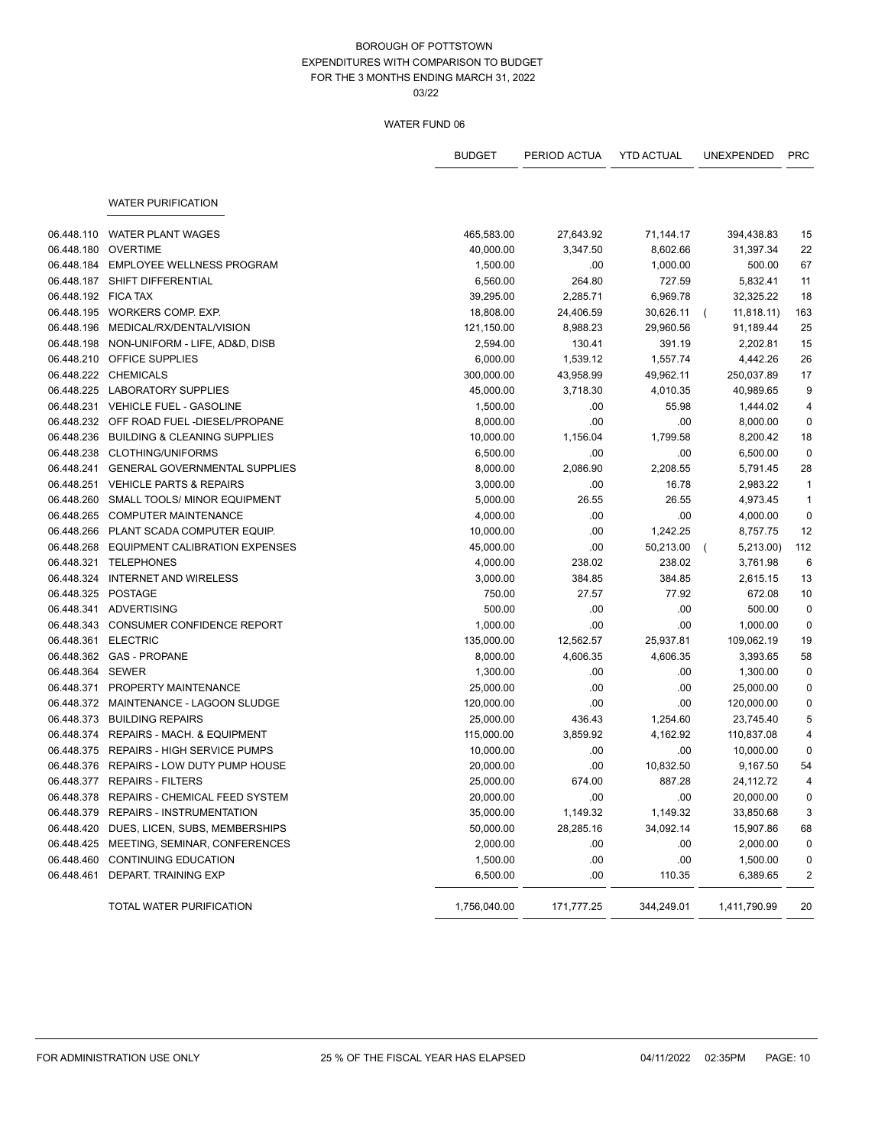|                     |                                           | <b>BUDGET</b> | PERIOD ACTUA | <b>YTD ACTUAL</b> | UNEXPENDED                  | <b>PRC</b>     |
|---------------------|-------------------------------------------|---------------|--------------|-------------------|-----------------------------|----------------|
|                     | <b>WATER PURIFICATION</b>                 |               |              |                   |                             |                |
|                     |                                           |               |              |                   |                             |                |
| 06.448.110          | <b>WATER PLANT WAGES</b>                  | 465,583.00    | 27,643.92    | 71,144.17         | 394,438.83                  | 15             |
| 06.448.180          | OVERTIME                                  | 40,000.00     | 3,347.50     | 8,602.66          | 31,397.34                   | 22             |
| 06.448.184          | <b>EMPLOYEE WELLNESS PROGRAM</b>          | 1,500.00      | .00.         | 1,000.00          | 500.00                      | 67             |
| 06.448.187          | SHIFT DIFFERENTIAL                        | 6,560.00      | 264.80       | 727.59            | 5,832.41                    | 11             |
| 06.448.192 FICA TAX |                                           | 39,295.00     | 2,285.71     | 6,969.78          | 32,325.22                   | 18             |
|                     | 06.448.195 WORKERS COMP. EXP.             | 18,808.00     | 24,406.59    | 30,626.11         | 11,818.11)                  | 163            |
| 06.448.196          | MEDICAL/RX/DENTAL/VISION                  | 121,150.00    | 8,988.23     | 29,960.56         | 91,189.44                   | 25             |
| 06.448.198          | NON-UNIFORM - LIFE, AD&D, DISB            | 2,594.00      | 130.41       | 391.19            | 2,202.81                    | 15             |
| 06.448.210          | OFFICE SUPPLIES                           | 6,000.00      | 1,539.12     | 1,557.74          | 4,442.26                    | 26             |
| 06.448.222          | <b>CHEMICALS</b>                          | 300,000.00    | 43,958.99    | 49,962.11         | 250,037.89                  | 17             |
|                     | 06.448.225 LABORATORY SUPPLIES            | 45,000.00     | 3,718.30     | 4,010.35          | 40,989.65                   | 9              |
|                     | 06.448.231 VEHICLE FUEL - GASOLINE        | 1,500.00      | .00.         | 55.98             | 1,444.02                    | $\overline{4}$ |
|                     | 06.448.232 OFF ROAD FUEL -DIESEL/PROPANE  | 8,000.00      | .00          | .00               | 8,000.00                    | $\mathbf 0$    |
| 06.448.236          | <b>BUILDING &amp; CLEANING SUPPLIES</b>   | 10,000.00     | 1,156.04     | 1,799.58          | 8,200.42                    | 18             |
| 06.448.238          | <b>CLOTHING/UNIFORMS</b>                  | 6,500.00      | .00          | .00               | 6,500.00                    | $\mathbf 0$    |
| 06.448.241          | <b>GENERAL GOVERNMENTAL SUPPLIES</b>      | 8,000.00      | 2,086.90     | 2,208.55          | 5,791.45                    | 28             |
| 06.448.251          | <b>VEHICLE PARTS &amp; REPAIRS</b>        | 3,000.00      | .00          | 16.78             | 2,983.22                    | $\mathbf{1}$   |
|                     | 06.448.260 SMALL TOOLS/ MINOR EQUIPMENT   | 5,000.00      | 26.55        | 26.55             | 4,973.45                    | $\mathbf{1}$   |
| 06.448.265          | <b>COMPUTER MAINTENANCE</b>               | 4,000.00      | .00          | .00               | 4,000.00                    | $\pmb{0}$      |
| 06.448.266          | PLANT SCADA COMPUTER EQUIP.               | 10,000.00     | .00          | 1,242.25          | 8,757.75                    | 12             |
|                     | 06.448.268 EQUIPMENT CALIBRATION EXPENSES | 45,000.00     | .00          | 50,213.00         | 5,213.00)<br>$\overline{ }$ | 112            |
| 06.448.321          | <b>TELEPHONES</b>                         | 4,000.00      | 238.02       | 238.02            | 3,761.98                    | $\,6$          |
| 06.448.324          | <b>INTERNET AND WIRELESS</b>              | 3,000.00      | 384.85       | 384.85            | 2,615.15                    | 13             |
| 06.448.325          | POSTAGE                                   | 750.00        | 27.57        | 77.92             | 672.08                      | 10             |
|                     | 06.448.341 ADVERTISING                    | 500.00        | .00          | .00               | 500.00                      | $\mathbf 0$    |
|                     | 06.448.343 CONSUMER CONFIDENCE REPORT     | 1,000.00      | .00          | .00               | 1,000.00                    | $\mathbf 0$    |
| 06.448.361          | <b>ELECTRIC</b>                           | 135,000.00    | 12,562.57    | 25,937.81         | 109,062.19                  | 19             |
|                     | 06.448.362 GAS - PROPANE                  | 8,000.00      | 4,606.35     | 4,606.35          | 3,393.65                    | 58             |
| 06.448.364          | <b>SEWER</b>                              | 1,300.00      | .00          | .00               | 1,300.00                    | 0              |
| 06.448.371          | PROPERTY MAINTENANCE                      | 25,000.00     | .00          | .00               | 25,000.00                   | 0              |
|                     | 06.448.372 MAINTENANCE - LAGOON SLUDGE    | 120,000.00    | .00          | .00               | 120,000.00                  | $\mathbf 0$    |
|                     | 06.448.373 BUILDING REPAIRS               | 25,000.00     | 436.43       | 1,254.60          | 23,745.40                   | 5              |
|                     | 06.448.374 REPAIRS - MACH. & EQUIPMENT    | 115,000.00    | 3,859.92     | 4,162.92          | 110,837.08                  | 4              |
|                     | 06.448.375 REPAIRS - HIGH SERVICE PUMPS   | 10,000.00     | .00          | .00               | 10,000.00                   | $\pmb{0}$      |
|                     | 06.448.376 REPAIRS - LOW DUTY PUMP HOUSE  | 20,000.00     | .00          | 10,832.50         | 9,167.50                    | 54             |
|                     | 06.448.377 REPAIRS - FILTERS              | 25,000.00     | 674.00       | 887.28            | 24, 112. 72                 | 4              |
|                     | 06.448.378 REPAIRS - CHEMICAL FEED SYSTEM | 20,000.00     | .00          | .00               | 20,000.00                   | 0              |
|                     | 06.448.379 REPAIRS - INSTRUMENTATION      | 35,000.00     | 1,149.32     | 1,149.32          | 33,850.68                   | 3              |
|                     | 06.448.420 DUES, LICEN, SUBS, MEMBERSHIPS | 50,000.00     | 28,285.16    | 34,092.14         | 15,907.86                   | 68             |
| 06.448.425          | MEETING, SEMINAR, CONFERENCES             | 2,000.00      | .00          | .00               | 2,000.00                    | $\pmb{0}$      |
| 06.448.460          | CONTINUING EDUCATION                      | 1,500.00      | .00          | .00               | 1,500.00                    | 0              |
| 06.448.461          | DEPART. TRAINING EXP                      | 6,500.00      | .00          | 110.35            | 6,389.65                    | 2              |
|                     | TOTAL WATER PURIFICATION                  | 1,756,040.00  | 171,777.25   | 344,249.01        | 1,411,790.99                | 20             |
|                     |                                           |               |              |                   |                             |                |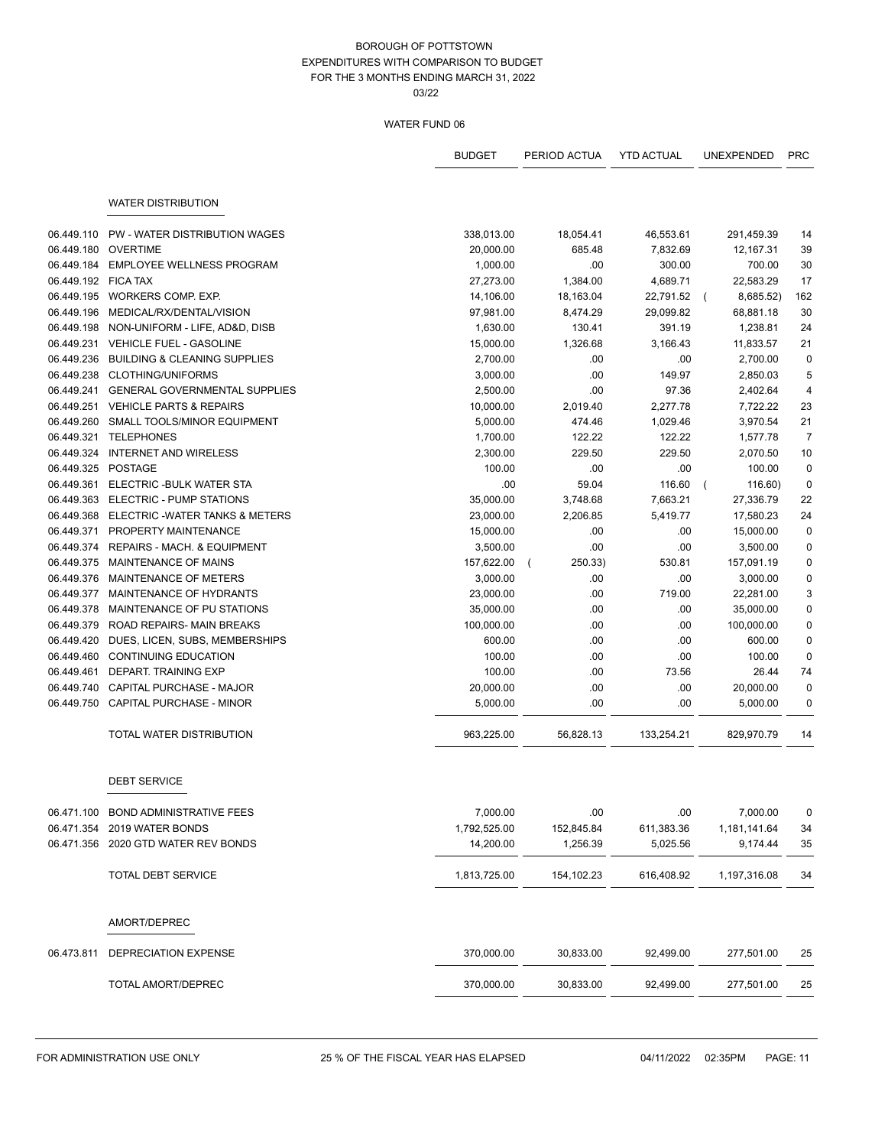|                     |                                            | <b>BUDGET</b> | PERIOD ACTUA | <b>YTD ACTUAL</b> | <b>UNEXPENDED</b>     | <b>PRC</b>     |
|---------------------|--------------------------------------------|---------------|--------------|-------------------|-----------------------|----------------|
|                     | <b>WATER DISTRIBUTION</b>                  |               |              |                   |                       |                |
|                     |                                            |               |              |                   |                       |                |
| 06.449.110          | PW - WATER DISTRIBUTION WAGES              | 338,013.00    | 18,054.41    | 46,553.61         | 291,459.39            | 14             |
|                     | 06.449.180 OVERTIME                        | 20,000.00     | 685.48       | 7,832.69          | 12,167.31             | 39             |
| 06.449.184          | <b>EMPLOYEE WELLNESS PROGRAM</b>           | 1,000.00      | .00          | 300.00            | 700.00                | 30             |
| 06.449.192 FICA TAX |                                            | 27,273.00     | 1,384.00     | 4,689.71          | 22,583.29             | 17             |
|                     | 06.449.195 WORKERS COMP. EXP.              | 14,106.00     | 18,163.04    | 22,791.52         | 8,685.52)<br>$\left($ | 162            |
|                     | 06.449.196 MEDICAL/RX/DENTAL/VISION        | 97,981.00     | 8,474.29     | 29,099.82         | 68,881.18             | 30             |
|                     | 06.449.198 NON-UNIFORM - LIFE, AD&D, DISB  | 1,630.00      | 130.41       | 391.19            | 1,238.81              | 24             |
|                     | 06.449.231 VEHICLE FUEL - GASOLINE         | 15,000.00     | 1,326.68     | 3,166.43          | 11,833.57             | 21             |
|                     | 06.449.236 BUILDING & CLEANING SUPPLIES    | 2,700.00      | .00          | .00               | 2,700.00              | $\mathbf 0$    |
|                     | 06.449.238 CLOTHING/UNIFORMS               | 3,000.00      | .00          | 149.97            | 2,850.03              | 5              |
|                     | 06.449.241 GENERAL GOVERNMENTAL SUPPLIES   | 2,500.00      | .00          | 97.36             | 2,402.64              | $\overline{4}$ |
|                     | 06.449.251 VEHICLE PARTS & REPAIRS         | 10,000.00     | 2,019.40     | 2,277.78          | 7,722.22              | 23             |
|                     | 06.449.260 SMALL TOOLS/MINOR EQUIPMENT     | 5,000.00      | 474.46       | 1,029.46          | 3,970.54              | 21             |
|                     | 06.449.321 TELEPHONES                      | 1,700.00      | 122.22       | 122.22            | 1,577.78              | $\overline{7}$ |
| 06.449.324          | INTERNET AND WIRELESS                      | 2,300.00      | 229.50       | 229.50            | 2,070.50              | 10             |
| 06.449.325 POSTAGE  |                                            | 100.00        | .00          | .00               | 100.00                | $\mathbf 0$    |
|                     | 06.449.361 ELECTRIC - BULK WATER STA       | .00           | 59.04        | 116.60            | 116.60)               | $\mathbf 0$    |
|                     | 06.449.363 ELECTRIC - PUMP STATIONS        | 35,000.00     | 3,748.68     | 7,663.21          | 27,336.79             | 22             |
|                     | 06.449.368 ELECTRIC - WATER TANKS & METERS | 23,000.00     | 2,206.85     | 5,419.77          | 17,580.23             | 24             |
|                     | 06.449.371 PROPERTY MAINTENANCE            | 15,000.00     | .00          | .00               | 15,000.00             | $\mathbf 0$    |
|                     | 06.449.374 REPAIRS - MACH. & EQUIPMENT     | 3,500.00      | .00          | .00               | 3,500.00              | $\mathbf 0$    |
| 06.449.375          | MAINTENANCE OF MAINS                       | 157,622.00    | 250.33)      | 530.81            | 157,091.19            | $\mathbf 0$    |
| 06.449.376          | MAINTENANCE OF METERS                      | 3,000.00      | .00          | .00               | 3,000.00              | $\pmb{0}$      |
| 06.449.377          | MAINTENANCE OF HYDRANTS                    | 23,000.00     | .00          | 719.00            | 22,281.00             | 3              |
| 06.449.378          | MAINTENANCE OF PU STATIONS                 | 35,000.00     | .00          | .00               | 35,000.00             | $\mathbf 0$    |
| 06.449.379          | ROAD REPAIRS- MAIN BREAKS                  | 100,000.00    | .00.         | .00               | 100,000.00            | $\pmb{0}$      |
| 06.449.420          | DUES, LICEN, SUBS, MEMBERSHIPS             | 600.00        | .00          | .00               | 600.00                | $\pmb{0}$      |
| 06.449.460          | <b>CONTINUING EDUCATION</b>                | 100.00        | .00          | .00               | 100.00                | $\pmb{0}$      |
| 06.449.461          | DEPART. TRAINING EXP                       | 100.00        | .00          | 73.56             | 26.44                 | 74             |
| 06.449.740          | CAPITAL PURCHASE - MAJOR                   | 20,000.00     | .00          | .00               | 20,000.00             | $\mathbf 0$    |
| 06.449.750          | <b>CAPITAL PURCHASE - MINOR</b>            | 5,000.00      | .00          | .00               | 5,000.00              | 0              |
|                     | <b>TOTAL WATER DISTRIBUTION</b>            | 963,225.00    | 56,828.13    | 133,254.21        | 829,970.79            | 14             |
|                     | <b>DEBT SERVICE</b>                        |               |              |                   |                       |                |
|                     | 06.471.100 BOND ADMINISTRATIVE FEES        | 7,000.00      | .00          | .00               | 7,000.00              | $\pmb{0}$      |
|                     | 06.471.354 2019 WATER BONDS                | 1,792,525.00  | 152,845.84   | 611,383.36        | 1,181,141.64          | 34             |
|                     | 06.471.356 2020 GTD WATER REV BONDS        | 14,200.00     | 1,256.39     | 5,025.56          | 9,174.44              | 35             |
|                     | TOTAL DEBT SERVICE                         | 1,813,725.00  | 154,102.23   | 616,408.92        | 1,197,316.08          | 34             |
|                     | AMORT/DEPREC                               |               |              |                   |                       |                |
| 06.473.811          | DEPRECIATION EXPENSE                       | 370,000.00    | 30,833.00    | 92,499.00         | 277,501.00            | 25             |
|                     | TOTAL AMORT/DEPREC                         | 370,000.00    | 30,833.00    | 92,499.00         | 277,501.00            | 25             |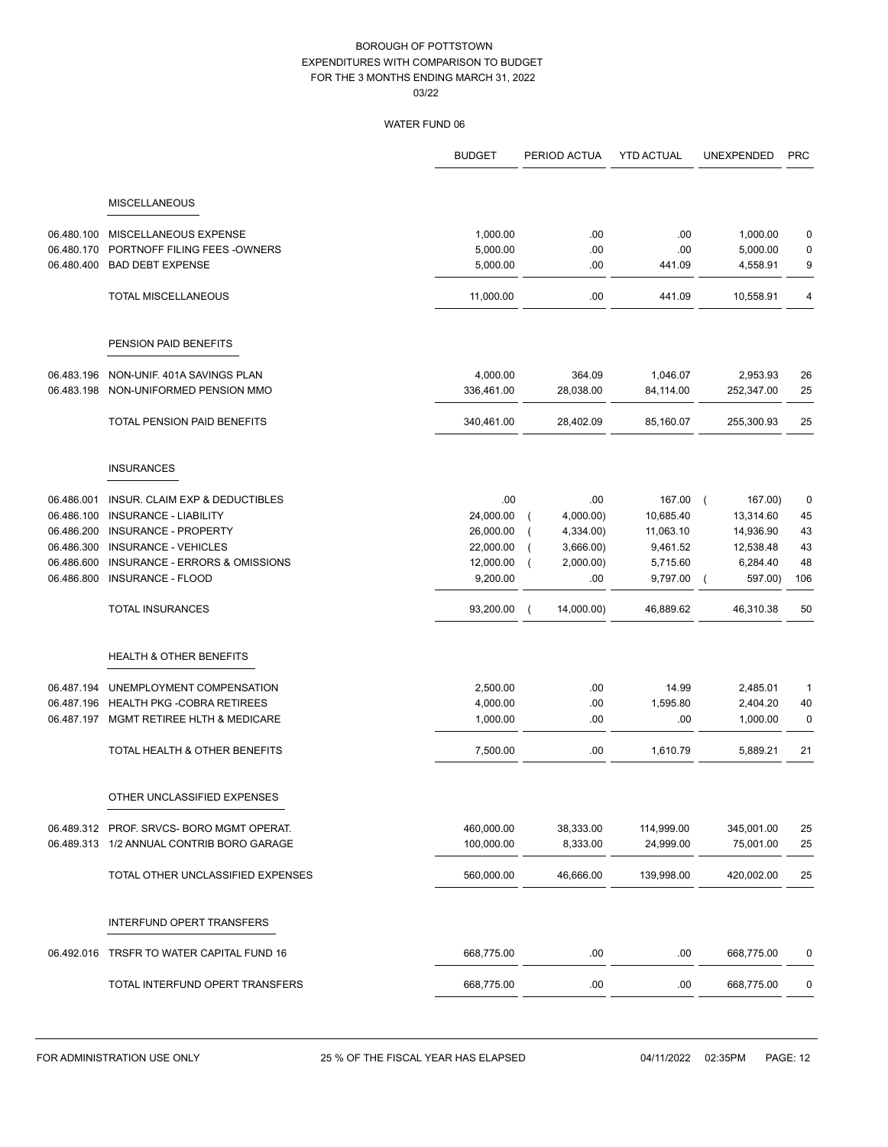|            |                                           | <b>BUDGET</b> | PERIOD ACTUA | <b>YTD ACTUAL</b> | <b>UNEXPENDED</b>   | <b>PRC</b>   |
|------------|-------------------------------------------|---------------|--------------|-------------------|---------------------|--------------|
|            | <b>MISCELLANEOUS</b>                      |               |              |                   |                     |              |
|            |                                           |               |              |                   |                     |              |
| 06.480.100 | MISCELLANEOUS EXPENSE                     | 1,000.00      | .00          | .00               | 1,000.00            | 0            |
| 06.480.170 | PORTNOFF FILING FEES - OWNERS             | 5,000.00      | .00          | .00               | 5,000.00            | 0            |
|            | 06.480.400 BAD DEBT EXPENSE               | 5,000.00      | .00.         | 441.09            | 4,558.91            | 9            |
|            | <b>TOTAL MISCELLANEOUS</b>                | 11,000.00     | .00          | 441.09            | 10,558.91           | 4            |
|            | PENSION PAID BENEFITS                     |               |              |                   |                     |              |
| 06.483.196 | NON-UNIF. 401A SAVINGS PLAN               | 4,000.00      | 364.09       | 1,046.07          | 2,953.93            | 26           |
| 06.483.198 | NON-UNIFORMED PENSION MMO                 | 336,461.00    | 28,038.00    | 84,114.00         | 252,347.00          | 25           |
|            | TOTAL PENSION PAID BENEFITS               | 340,461.00    | 28,402.09    | 85,160.07         | 255,300.93          | 25           |
|            | <b>INSURANCES</b>                         |               |              |                   |                     |              |
| 06.486.001 | INSUR. CLAIM EXP & DEDUCTIBLES            | .00           | .00          | 167.00            | 167.00)<br>$\left($ | 0            |
| 06.486.100 | <b>INSURANCE - LIABILITY</b>              | 24,000.00     | 4,000.00)    | 10,685.40         | 13,314.60           | 45           |
| 06.486.200 | <b>INSURANCE - PROPERTY</b>               | 26,000.00     | 4,334.00)    | 11,063.10         | 14,936.90           | 43           |
| 06.486.300 | INSURANCE - VEHICLES                      | 22,000.00     | 3,666.00)    | 9,461.52          | 12,538.48           | 43           |
| 06.486.600 | <b>INSURANCE - ERRORS &amp; OMISSIONS</b> | 12,000.00     | 2,000.00)    | 5,715.60          | 6,284.40            | 48           |
| 06.486.800 | INSURANCE - FLOOD                         | 9,200.00      | .00          | 9,797.00          | 597.00)             | 106          |
|            | <b>TOTAL INSURANCES</b>                   | 93,200.00     | 14,000.00)   | 46,889.62         | 46,310.38           | 50           |
|            | <b>HEALTH &amp; OTHER BENEFITS</b>        |               |              |                   |                     |              |
| 06.487.194 | UNEMPLOYMENT COMPENSATION                 | 2,500.00      | .00.         | 14.99             | 2,485.01            | $\mathbf{1}$ |
| 06.487.196 | <b>HEALTH PKG -COBRA RETIREES</b>         | 4,000.00      | .00          | 1,595.80          | 2,404.20            | 40           |
|            | 06.487.197 MGMT RETIREE HLTH & MEDICARE   | 1,000.00      | .00.         | .00               | 1,000.00            | $\pmb{0}$    |
|            | TOTAL HEALTH & OTHER BENEFITS             | 7,500.00      | .00          | 1,610.79          | 5,889.21            | 21           |
|            | OTHER UNCLASSIFIED EXPENSES               |               |              |                   |                     |              |
|            | 06.489.312 PROF. SRVCS-BORO MGMT OPERAT.  | 460,000.00    | 38,333.00    | 114,999.00        | 345,001.00          | 25           |
|            | 06.489.313 1/2 ANNUAL CONTRIB BORO GARAGE | 100,000.00    | 8,333.00     | 24,999.00         | 75,001.00           | 25           |
|            | TOTAL OTHER UNCLASSIFIED EXPENSES         | 560,000.00    | 46,666.00    | 139,998.00        | 420,002.00          | 25           |
|            | INTERFUND OPERT TRANSFERS                 |               |              |                   |                     |              |
| 06.492.016 | TRSFR TO WATER CAPITAL FUND 16            | 668,775.00    | .00          | .00               | 668,775.00          | 0            |
|            | TOTAL INTERFUND OPERT TRANSFERS           | 668,775.00    | .00          | .00               | 668,775.00          | 0            |
|            |                                           |               |              |                   |                     |              |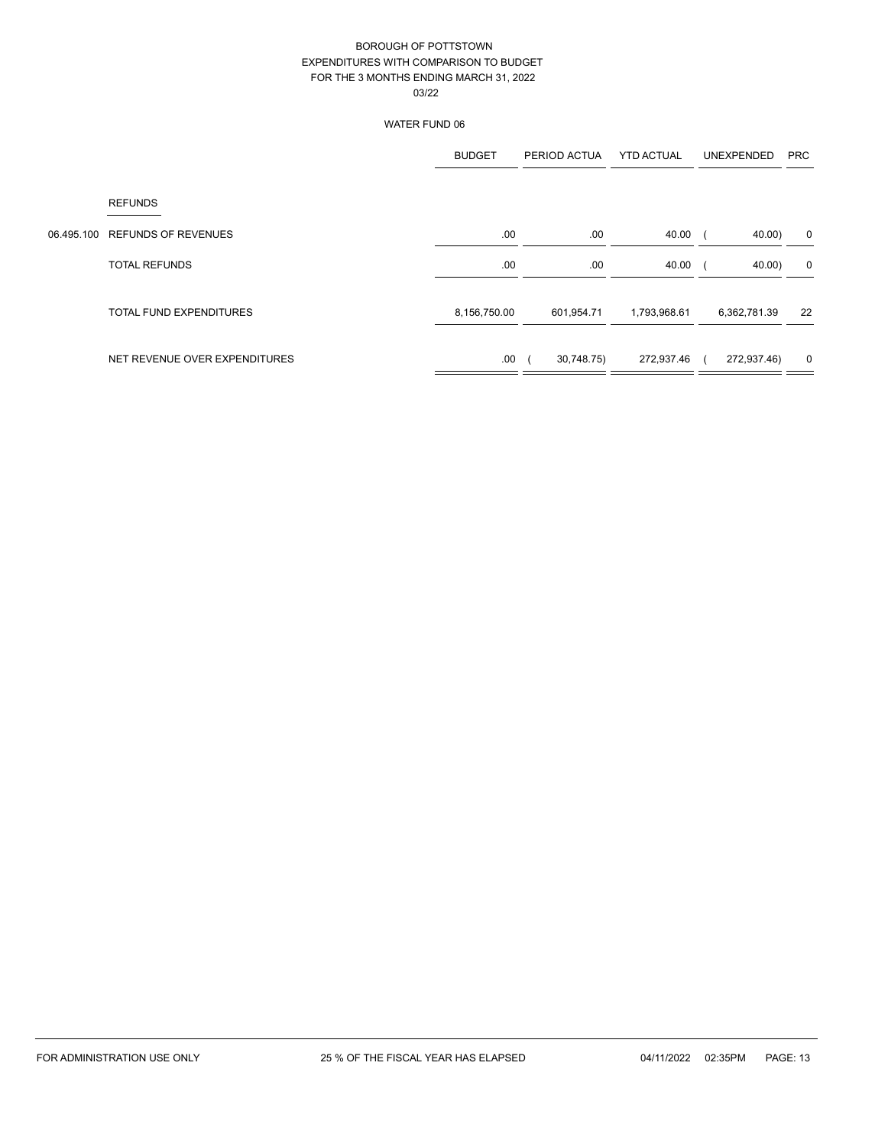|            |                                | <b>BUDGET</b> | PERIOD ACTUA | <b>YTD ACTUAL</b> | UNEXPENDED   | <b>PRC</b>  |
|------------|--------------------------------|---------------|--------------|-------------------|--------------|-------------|
|            | <b>REFUNDS</b>                 |               |              |                   |              |             |
| 06.495.100 | <b>REFUNDS OF REVENUES</b>     | .00           | .00.         | 40.00             | 40.00)       | $\mathbf 0$ |
|            | <b>TOTAL REFUNDS</b>           | .00           | .00.         | 40.00             | 40.00)       | $\mathbf 0$ |
|            | <b>TOTAL FUND EXPENDITURES</b> | 8,156,750.00  | 601,954.71   | 1,793,968.61      | 6,362,781.39 | 22          |
|            | NET REVENUE OVER EXPENDITURES  | .00           | 30,748.75)   | 272,937.46        | 272,937.46)  | $\mathbf 0$ |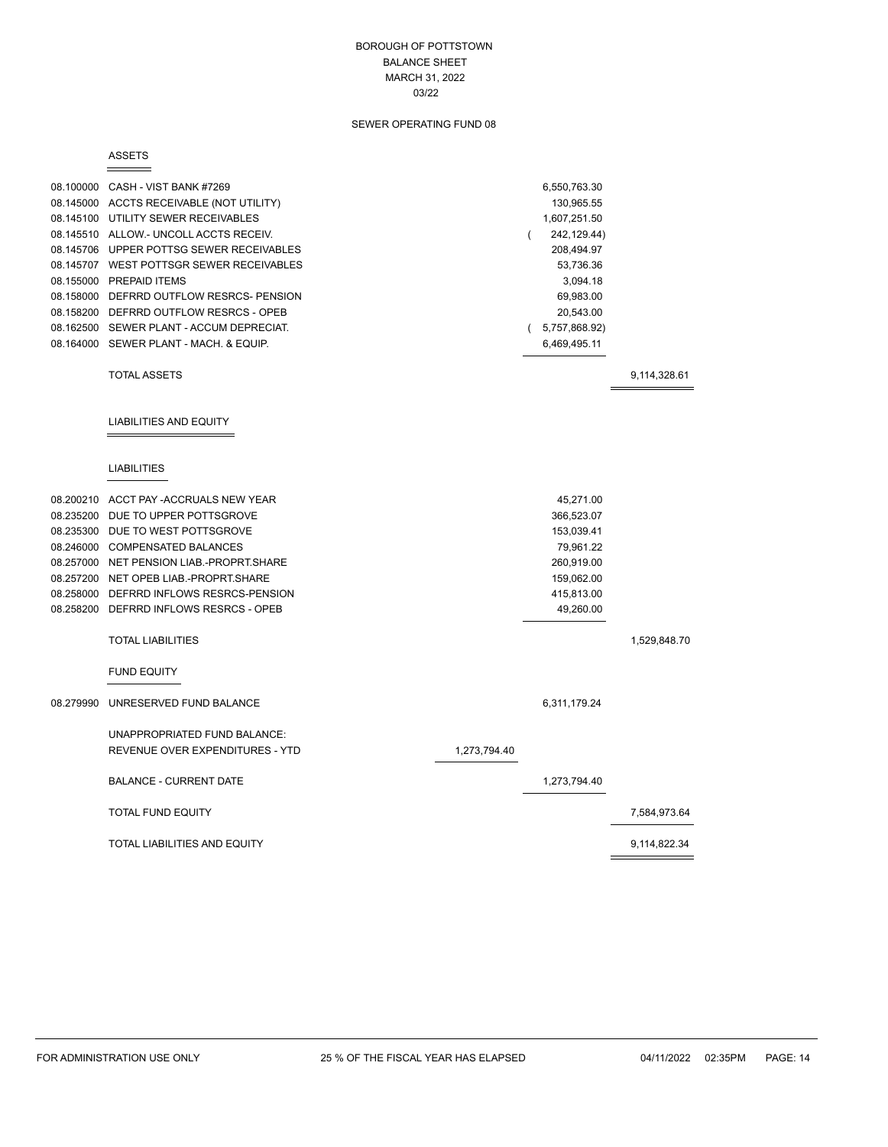#### BOROUGH OF POTTSTOWN BALANCE SHEET MARCH 31, 2022 03/22

## SEWER OPERATING FUND 08

#### ASSETS

|           | $\overline{\phantom{a}}$                 |              |                          |              |
|-----------|------------------------------------------|--------------|--------------------------|--------------|
|           | 08.100000 CASH - VIST BANK #7269         |              | 6,550,763.30             |              |
|           | 08.145000 ACCTS RECEIVABLE (NOT UTILITY) |              | 130,965.55               |              |
|           | 08.145100 UTILITY SEWER RECEIVABLES      |              | 1,607,251.50             |              |
|           | 08.145510 ALLOW.- UNCOLL ACCTS RECEIV.   |              | 242, 129.44)<br>$\left($ |              |
|           | 08.145706 UPPER POTTSG SEWER RECEIVABLES |              | 208,494.97               |              |
|           | 08.145707 WEST POTTSGR SEWER RECEIVABLES |              | 53,736.36                |              |
|           | 08.155000 PREPAID ITEMS                  |              | 3,094.18                 |              |
|           | 08.158000 DEFRRD OUTFLOW RESRCS- PENSION |              | 69,983.00                |              |
|           | 08.158200 DEFRRD OUTFLOW RESRCS - OPEB   |              | 20,543.00                |              |
|           | 08.162500 SEWER PLANT - ACCUM DEPRECIAT. |              | (5,757,868.92)           |              |
|           | 08.164000 SEWER PLANT - MACH, & EQUIP.   |              | 6,469,495.11             |              |
|           | <b>TOTAL ASSETS</b>                      |              |                          | 9,114,328.61 |
|           | <b>LIABILITIES AND EQUITY</b>            |              |                          |              |
|           | <b>LIABILITIES</b>                       |              |                          |              |
|           | 08.200210 ACCT PAY - ACCRUALS NEW YEAR   |              | 45,271.00                |              |
|           | 08.235200 DUE TO UPPER POTTSGROVE        |              | 366,523.07               |              |
|           | 08.235300 DUE TO WEST POTTSGROVE         |              | 153,039.41               |              |
|           | 08.246000 COMPENSATED BALANCES           |              | 79,961.22                |              |
|           | 08.257000 NET PENSION LIAB.-PROPRT.SHARE |              | 260,919.00               |              |
|           | 08.257200 NET OPEB LIAB.-PROPRT.SHARE    |              | 159,062.00               |              |
|           | 08.258000 DEFRRD INFLOWS RESRCS-PENSION  |              | 415,813.00               |              |
|           | 08.258200 DEFRRD INFLOWS RESRCS - OPEB   |              | 49,260.00                |              |
|           | <b>TOTAL LIABILITIES</b>                 |              |                          | 1,529,848.70 |
|           | <b>FUND EQUITY</b>                       |              |                          |              |
| 08.279990 | UNRESERVED FUND BALANCE                  |              | 6,311,179.24             |              |
|           | UNAPPROPRIATED FUND BALANCE:             |              |                          |              |
|           | REVENUE OVER EXPENDITURES - YTD          | 1,273,794.40 |                          |              |
|           | <b>BALANCE - CURRENT DATE</b>            |              | 1,273,794.40             |              |
|           | <b>TOTAL FUND EQUITY</b>                 |              |                          | 7,584,973.64 |
|           | TOTAL LIABILITIES AND EQUITY             |              |                          | 9,114,822.34 |
|           |                                          |              |                          |              |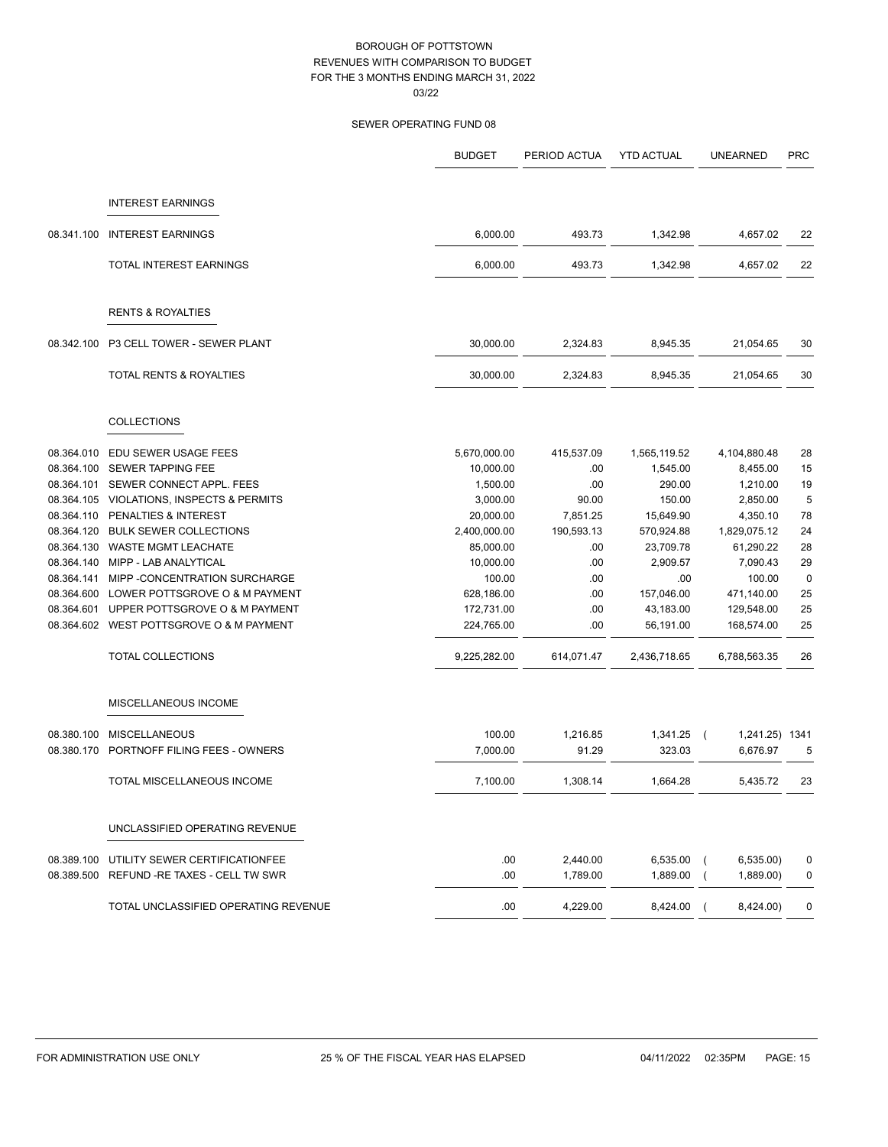|            |                                           | <b>BUDGET</b> | PERIOD ACTUA | <b>YTD ACTUAL</b> | <b>UNEARNED</b>      | <b>PRC</b> |
|------------|-------------------------------------------|---------------|--------------|-------------------|----------------------|------------|
|            |                                           |               |              |                   |                      |            |
|            | <b>INTEREST EARNINGS</b>                  |               |              |                   |                      |            |
| 08.341.100 | <b>INTEREST EARNINGS</b>                  | 6,000.00      | 493.73       | 1,342.98          | 4,657.02             | 22         |
|            | TOTAL INTEREST EARNINGS                   | 6,000.00      | 493.73       | 1,342.98          | 4,657.02             | 22         |
|            | <b>RENTS &amp; ROYALTIES</b>              |               |              |                   |                      |            |
| 08.342.100 | P3 CELL TOWER - SEWER PLANT               | 30,000.00     | 2,324.83     | 8,945.35          | 21,054.65            | 30         |
|            | TOTAL RENTS & ROYALTIES                   | 30,000.00     | 2,324.83     | 8,945.35          | 21,054.65            | 30         |
|            | COLLECTIONS                               |               |              |                   |                      |            |
| 08.364.010 | EDU SEWER USAGE FEES                      | 5,670,000.00  | 415,537.09   | 1,565,119.52      | 4,104,880.48         | 28         |
| 08.364.100 | <b>SEWER TAPPING FEE</b>                  | 10,000.00     | .00          | 1,545.00          | 8,455.00             | 15         |
|            | 08.364.101 SEWER CONNECT APPL. FEES       | 1,500.00      | .00          | 290.00            | 1,210.00             | 19         |
| 08.364.105 | <b>VIOLATIONS, INSPECTS &amp; PERMITS</b> | 3,000.00      | 90.00        | 150.00            | 2,850.00             | 5          |
| 08.364.110 | PENALTIES & INTEREST                      | 20,000.00     | 7,851.25     | 15,649.90         | 4,350.10             | 78         |
| 08.364.120 | <b>BULK SEWER COLLECTIONS</b>             | 2,400,000.00  | 190,593.13   | 570,924.88        | 1,829,075.12         | 24         |
| 08.364.130 | <b>WASTE MGMT LEACHATE</b>                | 85,000.00     | .00          | 23,709.78         | 61,290.22            | 28         |
| 08.364.140 | MIPP - LAB ANALYTICAL                     | 10,000.00     | .00          | 2,909.57          | 7,090.43             | 29         |
| 08.364.141 | MIPP - CONCENTRATION SURCHARGE            | 100.00        | .00          | .00               | 100.00               | 0          |
| 08.364.600 | LOWER POTTSGROVE O & M PAYMENT            | 628,186.00    | .00          | 157,046.00        | 471,140.00           | 25         |
| 08.364.601 | UPPER POTTSGROVE O & M PAYMENT            | 172,731.00    | .00          | 43,183.00         | 129,548.00           | 25         |
|            | 08.364.602 WEST POTTSGROVE O & M PAYMENT  | 224,765.00    | .00          | 56,191.00         | 168,574.00           | 25         |
|            | <b>TOTAL COLLECTIONS</b>                  | 9,225,282.00  | 614,071.47   | 2,436,718.65      | 6,788,563.35         | 26         |
|            | MISCELLANEOUS INCOME                      |               |              |                   |                      |            |
| 08.380.100 | <b>MISCELLANEOUS</b>                      | 100.00        | 1,216.85     | 1,341.25          | 1,241.25) 1341       |            |
| 08.380.170 | PORTNOFF FILING FEES - OWNERS             | 7,000.00      | 91.29        | 323.03            | 6,676.97             | 5          |
|            | TOTAL MISCELLANEOUS INCOME                | 7,100.00      | 1,308.14     | 1,664.28          | 5,435.72             | 23         |
|            | UNCLASSIFIED OPERATING REVENUE            |               |              |                   |                      |            |
|            | 08.389.100 UTILITY SEWER CERTIFICATIONFEE | .00.          | 2,440.00     | 6,535.00          | 6,535.00<br>$\left($ | 0          |
|            | 08.389.500 REFUND -RE TAXES - CELL TW SWR | .00           | 1,789.00     | 1,889.00          | 1,889.00)            | 0          |
|            | TOTAL UNCLASSIFIED OPERATING REVENUE      | .00           | 4,229.00     | 8,424.00          | 8,424.00)            | 0          |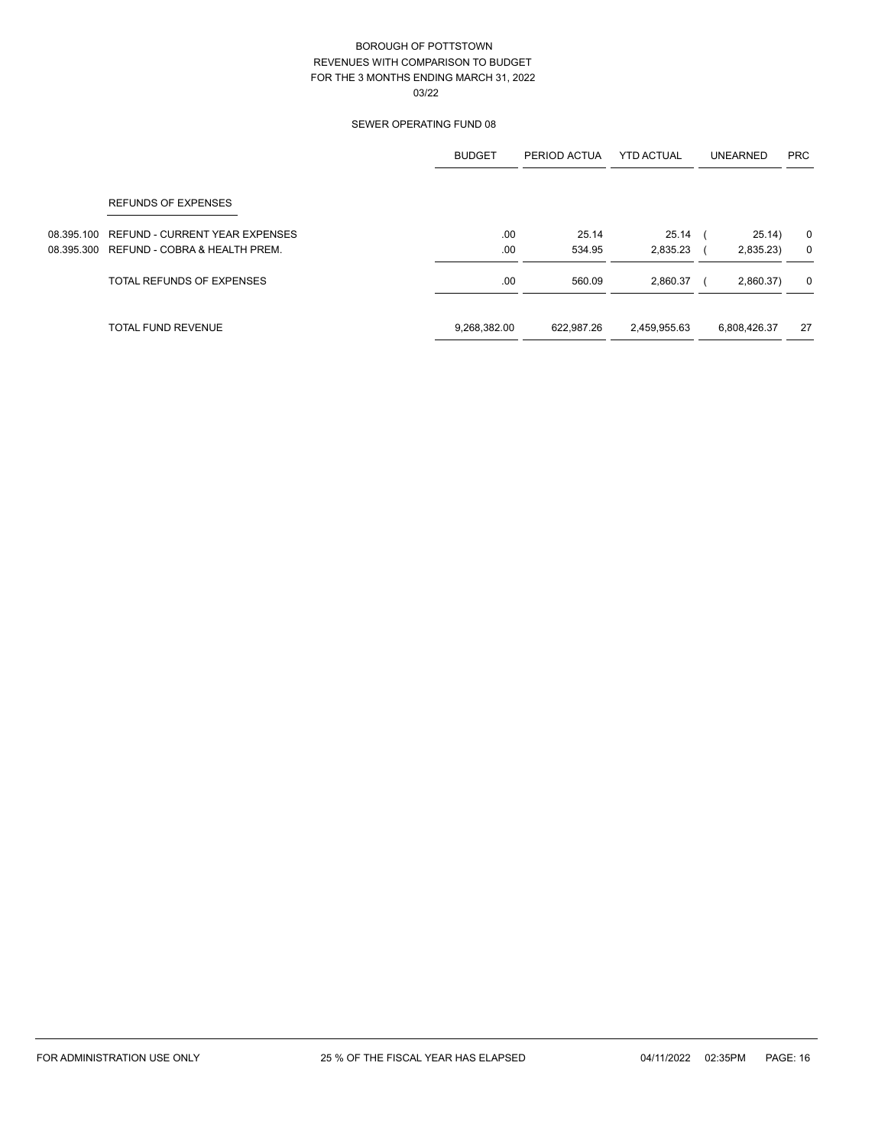|            |                                       | <b>BUDGET</b> | PERIOD ACTUA | <b>YTD ACTUAL</b> | <b>UNEARNED</b> | <b>PRC</b>  |
|------------|---------------------------------------|---------------|--------------|-------------------|-----------------|-------------|
|            | <b>REFUNDS OF EXPENSES</b>            |               |              |                   |                 |             |
| 08.395.100 | <b>REFUND - CURRENT YEAR EXPENSES</b> | .00           | 25.14        | 25.14             | 25.14)          | $\mathbf 0$ |
| 08.395.300 | REFUND - COBRA & HEALTH PREM.         | .00           | 534.95       | 2,835.23          | 2,835.23)       | $\mathbf 0$ |
|            | TOTAL REFUNDS OF EXPENSES             | .00           | 560.09       | 2,860.37          | 2,860.37)       | 0           |
|            | <b>TOTAL FUND REVENUE</b>             | 9,268,382.00  | 622.987.26   | 2,459,955.63      | 6,808,426.37    | 27          |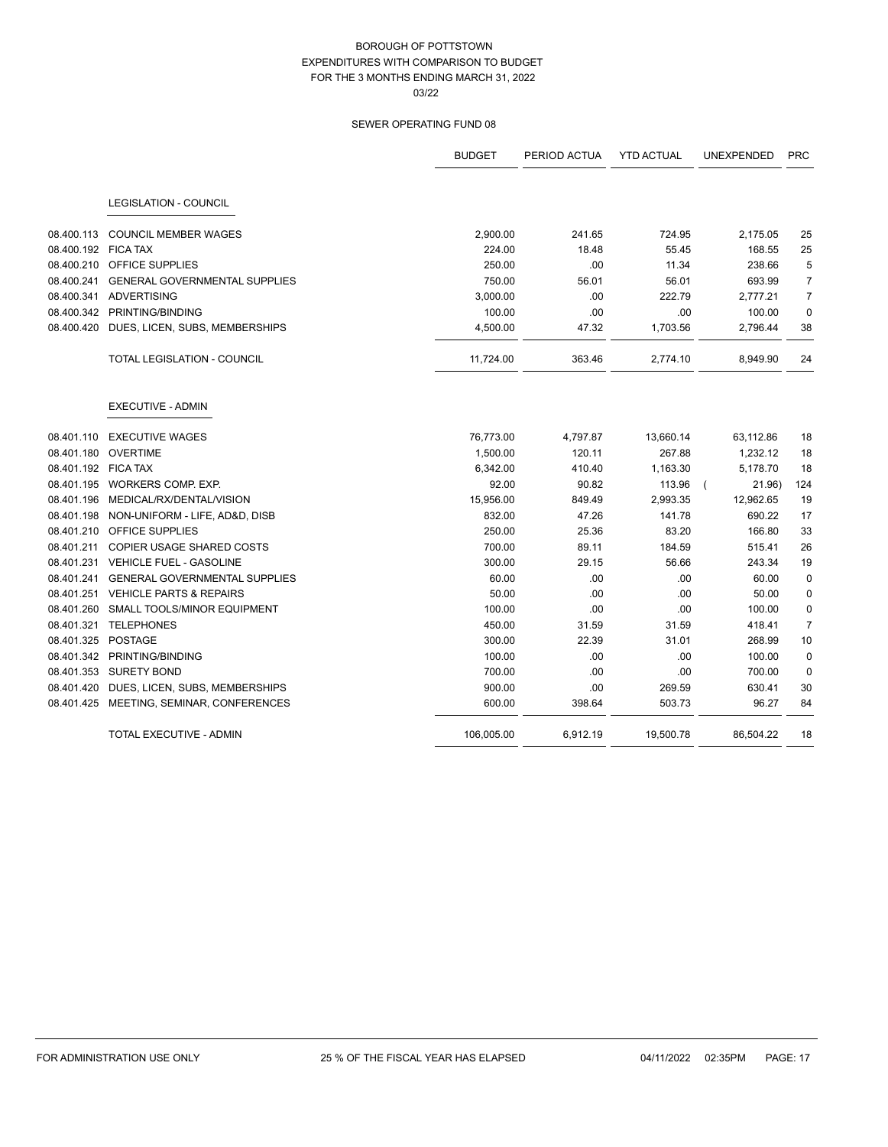|                     |                                           | <b>BUDGET</b> | PERIOD ACTUA | <b>YTD ACTUAL</b> | <b>UNEXPENDED</b> | <b>PRC</b>     |
|---------------------|-------------------------------------------|---------------|--------------|-------------------|-------------------|----------------|
|                     | <b>LEGISLATION - COUNCIL</b>              |               |              |                   |                   |                |
| 08.400.113          | <b>COUNCIL MEMBER WAGES</b>               | 2,900.00      | 241.65       | 724.95            | 2,175.05          | 25             |
| 08.400.192 FICA TAX |                                           | 224.00        | 18.48        | 55.45             | 168.55            | 25             |
|                     | 08.400.210 OFFICE SUPPLIES                | 250.00        | .00          | 11.34             | 238.66            | 5              |
| 08.400.241          | <b>GENERAL GOVERNMENTAL SUPPLIES</b>      | 750.00        | 56.01        | 56.01             | 693.99            | $\overline{7}$ |
| 08.400.341          | <b>ADVERTISING</b>                        | 3,000.00      | .00          | 222.79            | 2,777.21          | $\overline{7}$ |
|                     | 08.400.342 PRINTING/BINDING               | 100.00        | .00          | .00               | 100.00            | $\mathbf 0$    |
| 08.400.420          | DUES, LICEN, SUBS, MEMBERSHIPS            | 4,500.00      | 47.32        | 1,703.56          | 2,796.44          | 38             |
|                     | TOTAL LEGISLATION - COUNCIL               | 11,724.00     | 363.46       | 2,774.10          | 8,949.90          | 24             |
|                     | <b>EXECUTIVE - ADMIN</b>                  |               |              |                   |                   |                |
| 08.401.110          | <b>EXECUTIVE WAGES</b>                    | 76,773.00     | 4,797.87     | 13,660.14         | 63,112.86         | 18             |
|                     | 08.401.180 OVERTIME                       | 1,500.00      | 120.11       | 267.88            | 1,232.12          | 18             |
| 08.401.192 FICA TAX |                                           | 6,342.00      | 410.40       | 1,163.30          | 5,178.70          | 18             |
|                     | 08.401.195 WORKERS COMP. EXP.             | 92.00         | 90.82        | 113.96            | 21.96)            | 124            |
| 08.401.196          | MEDICAL/RX/DENTAL/VISION                  | 15,956.00     | 849.49       | 2,993.35          | 12,962.65         | 19             |
|                     | 08.401.198 NON-UNIFORM - LIFE, AD&D, DISB | 832.00        | 47.26        | 141.78            | 690.22            | 17             |
|                     | 08.401.210 OFFICE SUPPLIES                | 250.00        | 25.36        | 83.20             | 166.80            | 33             |
| 08.401.211          | COPIER USAGE SHARED COSTS                 | 700.00        | 89.11        | 184.59            | 515.41            | 26             |
|                     | 08.401.231 VEHICLE FUEL - GASOLINE        | 300.00        | 29.15        | 56.66             | 243.34            | 19             |
| 08.401.241          | <b>GENERAL GOVERNMENTAL SUPPLIES</b>      | 60.00         | .00          | .00.              | 60.00             | $\mathbf 0$    |
|                     | 08.401.251 VEHICLE PARTS & REPAIRS        | 50.00         | .00          | .00               | 50.00             | $\mathbf 0$    |
|                     | 08.401.260 SMALL TOOLS/MINOR EQUIPMENT    | 100.00        | .00          | .00               | 100.00            | $\mathbf 0$    |
| 08.401.321          | <b>TELEPHONES</b>                         | 450.00        | 31.59        | 31.59             | 418.41            | $\overline{7}$ |
| 08.401.325 POSTAGE  |                                           | 300.00        | 22.39        | 31.01             | 268.99            | 10             |
| 08.401.342          | PRINTING/BINDING                          | 100.00        | .00.         | .00               | 100.00            | $\mathbf 0$    |
| 08.401.353          | <b>SURETY BOND</b>                        | 700.00        | .00          | .00               | 700.00            | 0              |
|                     | 08.401.420 DUES, LICEN, SUBS, MEMBERSHIPS | 900.00        | .00          | 269.59            | 630.41            | 30             |
|                     | 08.401.425 MEETING, SEMINAR, CONFERENCES  | 600.00        | 398.64       | 503.73            | 96.27             | 84             |
|                     | TOTAL EXECUTIVE - ADMIN                   | 106,005.00    | 6,912.19     | 19,500.78         | 86,504.22         | 18             |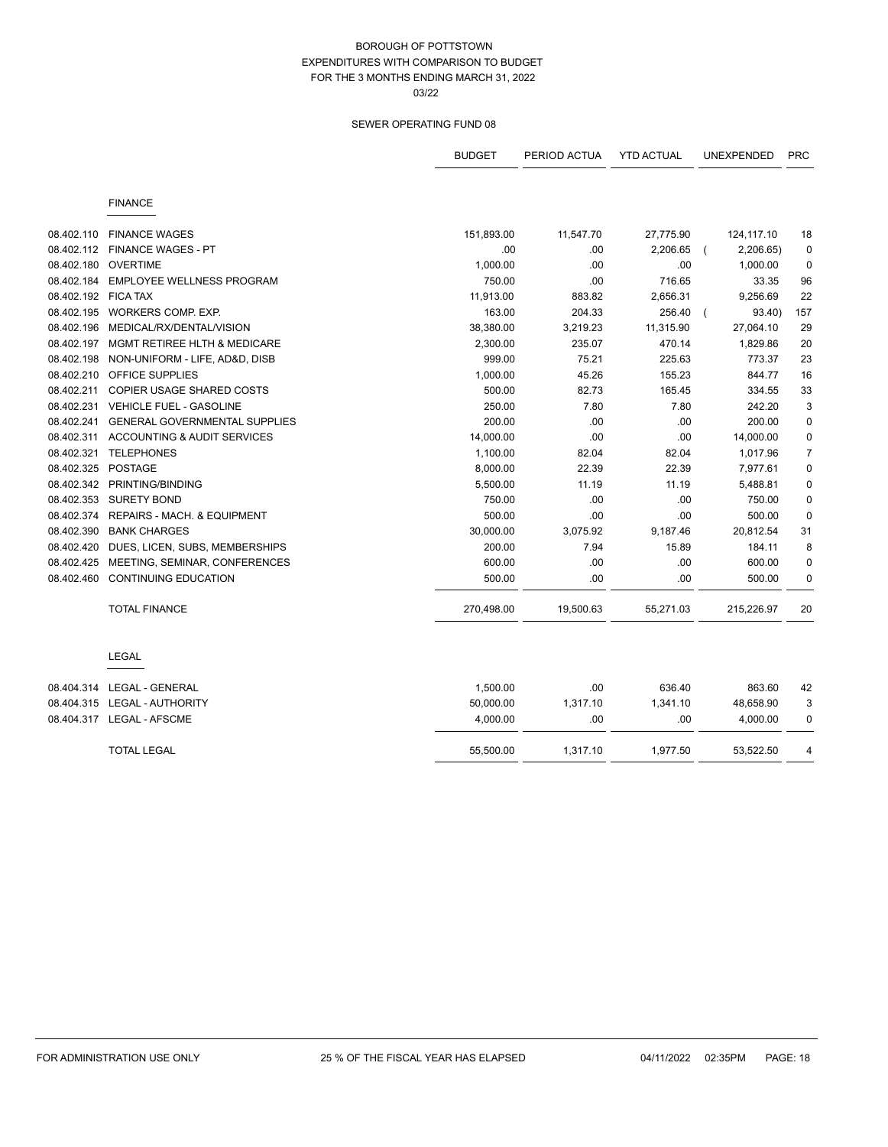|                     |                                        | <b>BUDGET</b> | PERIOD ACTUA | <b>YTD ACTUAL</b> | <b>UNEXPENDED</b> | <b>PRC</b>     |
|---------------------|----------------------------------------|---------------|--------------|-------------------|-------------------|----------------|
|                     | <b>FINANCE</b>                         |               |              |                   |                   |                |
| 08.402.110          | <b>FINANCE WAGES</b>                   | 151,893.00    | 11,547.70    | 27,775.90         | 124,117.10        | 18             |
| 08.402.112          | <b>FINANCE WAGES - PT</b>              | .00           | .00          | 2,206.65          | 2,206.65)         | $\pmb{0}$      |
| 08.402.180          | <b>OVERTIME</b>                        | 1,000.00      | .00          | .00               | 1,000.00          | $\pmb{0}$      |
| 08.402.184          | <b>EMPLOYEE WELLNESS PROGRAM</b>       | 750.00        | .00          | 716.65            | 33.35             | 96             |
| 08.402.192 FICA TAX |                                        | 11,913.00     | 883.82       | 2,656.31          | 9,256.69          | 22             |
| 08.402.195          | WORKERS COMP. EXP.                     | 163.00        | 204.33       | 256.40            | 93.40)            | 157            |
| 08.402.196          | MEDICAL/RX/DENTAL/VISION               | 38,380.00     | 3,219.23     | 11,315.90         | 27,064.10         | 29             |
| 08.402.197          | MGMT RETIREE HLTH & MEDICARE           | 2,300.00      | 235.07       | 470.14            | 1,829.86          | 20             |
| 08.402.198          | NON-UNIFORM - LIFE, AD&D, DISB         | 999.00        | 75.21        | 225.63            | 773.37            | 23             |
| 08.402.210          | OFFICE SUPPLIES                        | 1,000.00      | 45.26        | 155.23            | 844.77            | 16             |
| 08.402.211          | COPIER USAGE SHARED COSTS              | 500.00        | 82.73        | 165.45            | 334.55            | 33             |
| 08.402.231          | <b>VEHICLE FUEL - GASOLINE</b>         | 250.00        | 7.80         | 7.80              | 242.20            | 3              |
| 08.402.241          | <b>GENERAL GOVERNMENTAL SUPPLIES</b>   | 200.00        | .00          | .00               | 200.00            | $\pmb{0}$      |
| 08.402.311          | ACCOUNTING & AUDIT SERVICES            | 14,000.00     | .00          | .00               | 14,000.00         | $\pmb{0}$      |
| 08.402.321          | <b>TELEPHONES</b>                      | 1,100.00      | 82.04        | 82.04             | 1,017.96          | $\overline{7}$ |
| 08.402.325          | POSTAGE                                | 8,000.00      | 22.39        | 22.39             | 7,977.61          | $\pmb{0}$      |
| 08.402.342          | PRINTING/BINDING                       | 5,500.00      | 11.19        | 11.19             | 5,488.81          | $\pmb{0}$      |
| 08.402.353          | <b>SURETY BOND</b>                     | 750.00        | .00.         | .00               | 750.00            | $\mathbf 0$    |
| 08.402.374          | <b>REPAIRS - MACH. &amp; EQUIPMENT</b> | 500.00        | .00          | .00               | 500.00            | $\mathbf 0$    |
| 08.402.390          | <b>BANK CHARGES</b>                    | 30,000.00     | 3,075.92     | 9,187.46          | 20,812.54         | 31             |
| 08.402.420          | DUES, LICEN, SUBS, MEMBERSHIPS         | 200.00        | 7.94         | 15.89             | 184.11            | 8              |
| 08.402.425          | MEETING, SEMINAR, CONFERENCES          | 600.00        | .00          | .00               | 600.00            | $\mathbf{0}$   |
|                     | 08.402.460 CONTINUING EDUCATION        | 500.00        | .00          | .00               | 500.00            | $\mathbf 0$    |
|                     | <b>TOTAL FINANCE</b>                   | 270,498.00    | 19,500.63    | 55,271.03         | 215,226.97        | 20             |
|                     | <b>LEGAL</b>                           |               |              |                   |                   |                |
|                     | 08.404.314 LEGAL - GENERAL             | 1,500.00      | .00          | 636.40            | 863.60            | 42             |
|                     | 08.404.315 LEGAL - AUTHORITY           | 50,000.00     | 1,317.10     | 1,341.10          | 48,658.90         | 3              |
|                     |                                        | 4,000.00      | .00          | .00               | 4,000.00          | 0              |
|                     | <b>TOTAL LEGAL</b>                     | 55,500.00     | 1,317.10     | 1,977.50          | 53,522.50         | $\overline{4}$ |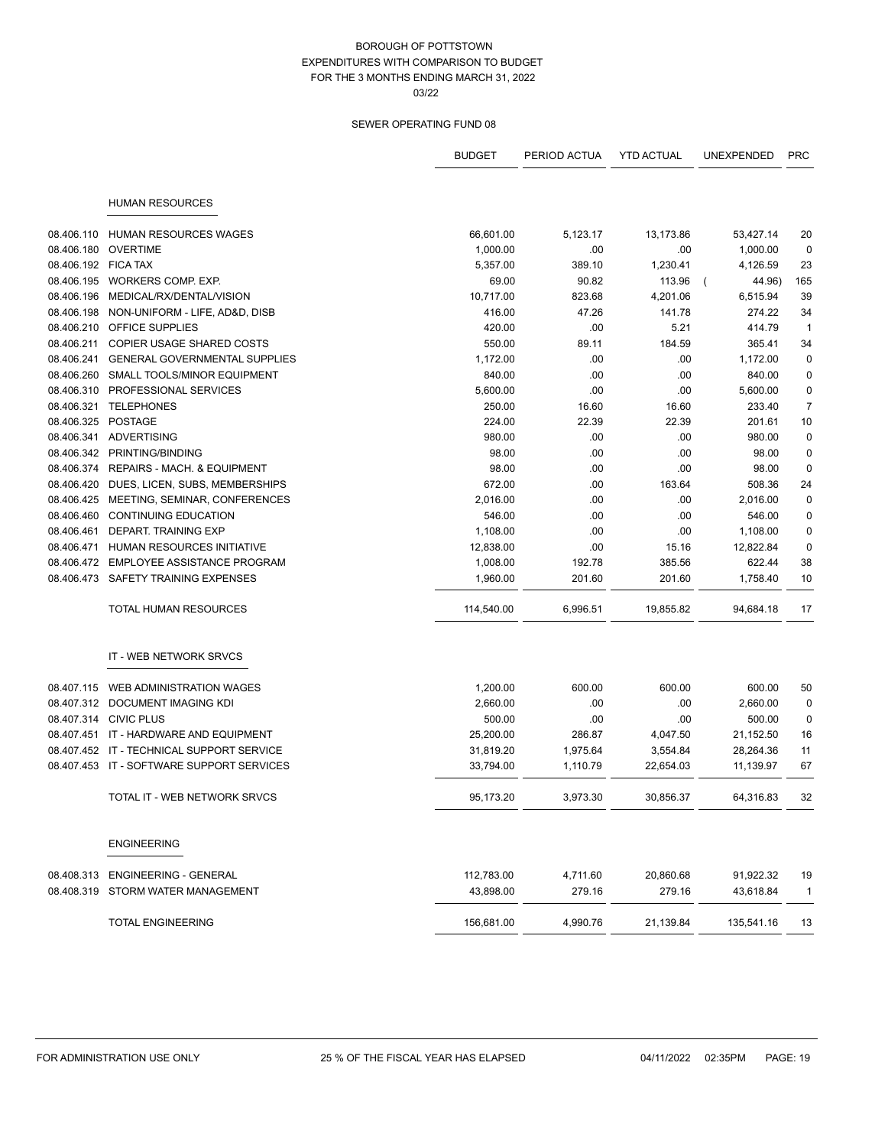|                     |                                           | <b>BUDGET</b> | PERIOD ACTUA | <b>YTD ACTUAL</b> | <b>UNEXPENDED</b> | <b>PRC</b>     |
|---------------------|-------------------------------------------|---------------|--------------|-------------------|-------------------|----------------|
|                     | <b>HUMAN RESOURCES</b>                    |               |              |                   |                   |                |
| 08.406.110          | <b>HUMAN RESOURCES WAGES</b>              | 66,601.00     | 5,123.17     | 13,173.86         | 53,427.14         | 20             |
| 08.406.180          | <b>OVERTIME</b>                           | 1,000.00      | .00          | .00               | 1,000.00          | $\mathbf 0$    |
| 08.406.192 FICA TAX |                                           | 5,357.00      | 389.10       | 1,230.41          | 4,126.59          | 23             |
|                     | 08.406.195 WORKERS COMP. EXP.             | 69.00         | 90.82        | 113.96            | 44.96)            | 165            |
| 08.406.196          | MEDICAL/RX/DENTAL/VISION                  | 10,717.00     | 823.68       | 4,201.06          | 6,515.94          | 39             |
| 08.406.198          | NON-UNIFORM - LIFE, AD&D, DISB            | 416.00        | 47.26        | 141.78            | 274.22            | 34             |
| 08.406.210          | OFFICE SUPPLIES                           | 420.00        | .00          | 5.21              | 414.79            | $\overline{1}$ |
| 08.406.211          | <b>COPIER USAGE SHARED COSTS</b>          | 550.00        | 89.11        | 184.59            | 365.41            | 34             |
| 08.406.241          | <b>GENERAL GOVERNMENTAL SUPPLIES</b>      | 1,172.00      | .00          | .00               | 1,172.00          | $\mathbf 0$    |
| 08.406.260          | SMALL TOOLS/MINOR EQUIPMENT               | 840.00        | .00          | .00               | 840.00            | $\mathbf 0$    |
|                     | 08.406.310 PROFESSIONAL SERVICES          | 5,600.00      | .00          | .00               | 5,600.00          | $\pmb{0}$      |
|                     | 08.406.321 TELEPHONES                     | 250.00        | 16.60        | 16.60             | 233.40            | $\overline{7}$ |
| 08.406.325          | <b>POSTAGE</b>                            | 224.00        | 22.39        | 22.39             | 201.61            | 10             |
| 08.406.341          | ADVERTISING                               | 980.00        | .00          | .00               | 980.00            | $\mathbf 0$    |
|                     | 08.406.342 PRINTING/BINDING               | 98.00         | .00          | .00               | 98.00             | $\mathbf 0$    |
|                     | 08.406.374 REPAIRS - MACH. & EQUIPMENT    | 98.00         | .00          | .00               | 98.00             | $\mathbf 0$    |
| 08.406.420          | DUES, LICEN, SUBS, MEMBERSHIPS            | 672.00        | .00          | 163.64            | 508.36            | 24             |
| 08.406.425          | MEETING, SEMINAR, CONFERENCES             | 2,016.00      | .00          | .00               | 2,016.00          | $\pmb{0}$      |
| 08.406.460          | <b>CONTINUING EDUCATION</b>               | 546.00        | .00          | .00               | 546.00            | $\mathbf 0$    |
| 08.406.461          | DEPART. TRAINING EXP                      | 1,108.00      | .00          | .00               | 1,108.00          | $\mathbf 0$    |
| 08.406.471          | HUMAN RESOURCES INITIATIVE                | 12,838.00     | .00          | 15.16             | 12,822.84         | $\pmb{0}$      |
| 08.406.472          | EMPLOYEE ASSISTANCE PROGRAM               | 1,008.00      | 192.78       | 385.56            | 622.44            | 38             |
| 08.406.473          | SAFETY TRAINING EXPENSES                  | 1,960.00      | 201.60       | 201.60            | 1,758.40          | 10             |
|                     | TOTAL HUMAN RESOURCES                     | 114,540.00    | 6,996.51     | 19,855.82         | 94,684.18         | 17             |
|                     | IT - WEB NETWORK SRVCS                    |               |              |                   |                   |                |
| 08.407.115          | WEB ADMINISTRATION WAGES                  | 1,200.00      | 600.00       | 600.00            | 600.00            | 50             |
|                     | 08.407.312 DOCUMENT IMAGING KDI           | 2,660.00      | .00          | .00               | 2,660.00          | $\mathbf 0$    |
|                     | 08.407.314 CIVIC PLUS                     | 500.00        | .00          | .00               | 500.00            | $\pmb{0}$      |
| 08.407.451          | IT - HARDWARE AND EQUIPMENT               | 25,200.00     | 286.87       | 4,047.50          | 21,152.50         | 16             |
|                     | 08.407.452 IT - TECHNICAL SUPPORT SERVICE | 31,819.20     | 1,975.64     | 3,554.84          | 28,264.36         | 11             |
|                     | 08.407.453 IT - SOFTWARE SUPPORT SERVICES | 33,794.00     | 1,110.79     | 22,654.03         | 11,139.97         | 67             |
|                     | TOTAL IT - WEB NETWORK SRVCS              | 95,173.20     | 3,973.30     | 30,856.37         | 64,316.83         | 32             |
|                     | <b>ENGINEERING</b>                        |               |              |                   |                   |                |
| 08.408.313          | <b>ENGINEERING - GENERAL</b>              | 112,783.00    | 4,711.60     | 20,860.68         | 91,922.32         | 19             |
|                     | 08.408.319 STORM WATER MANAGEMENT         | 43,898.00     | 279.16       | 279.16            | 43,618.84         | $\mathbf{1}$   |
|                     | <b>TOTAL ENGINEERING</b>                  | 156,681.00    | 4,990.76     | 21,139.84         | 135,541.16        | 13             |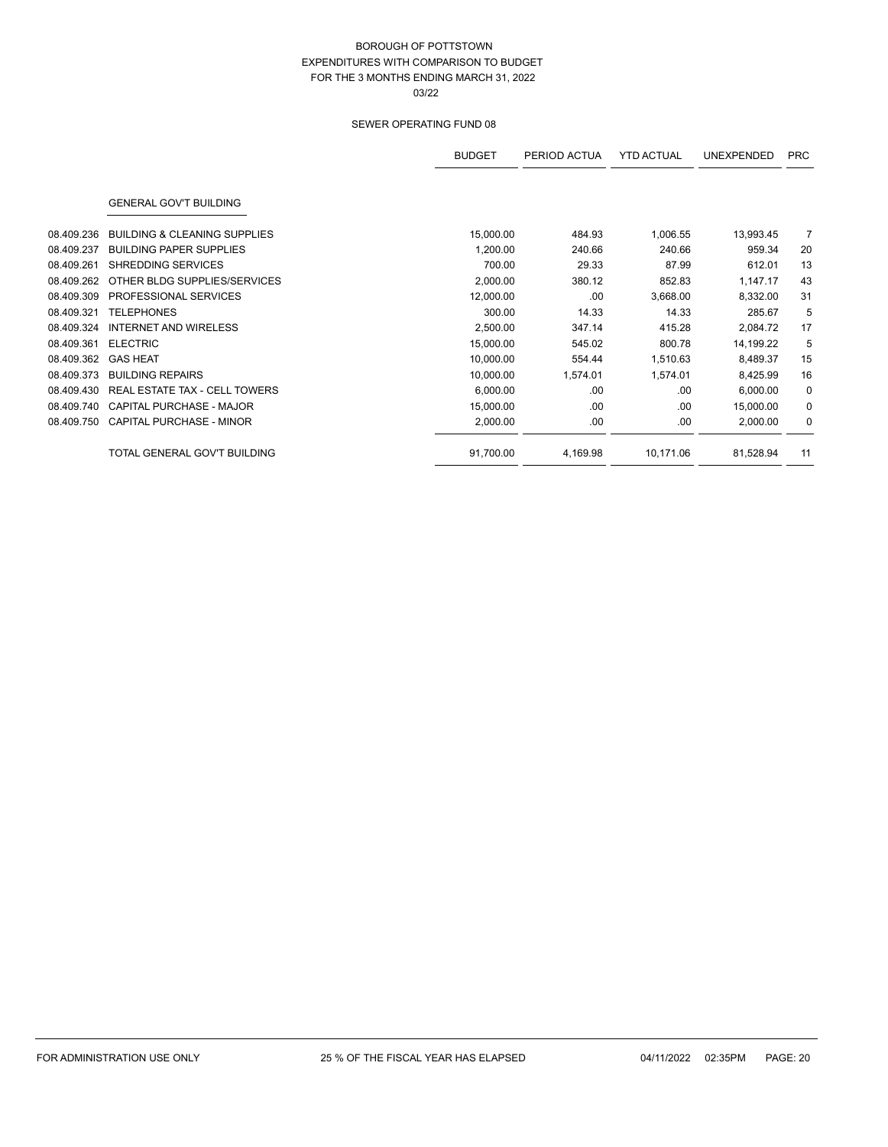|            |                                         | <b>BUDGET</b> | PERIOD ACTUA | <b>YTD ACTUAL</b> | <b>UNEXPENDED</b> | <b>PRC</b> |
|------------|-----------------------------------------|---------------|--------------|-------------------|-------------------|------------|
|            | <b>GENERAL GOV'T BUILDING</b>           |               |              |                   |                   |            |
| 08.409.236 | <b>BUILDING &amp; CLEANING SUPPLIES</b> | 15,000.00     | 484.93       | 1,006.55          | 13,993.45         | 7          |
| 08.409.237 | <b>BUILDING PAPER SUPPLIES</b>          | 1,200.00      | 240.66       | 240.66            | 959.34            | 20         |
| 08.409.261 | SHREDDING SERVICES                      | 700.00        | 29.33        | 87.99             | 612.01            | 13         |
| 08.409.262 | OTHER BLDG SUPPLIES/SERVICES            | 2,000.00      | 380.12       | 852.83            | 1,147.17          | 43         |
| 08.409.309 | PROFESSIONAL SERVICES                   | 12,000.00     | .00.         | 3,668.00          | 8,332.00          | 31         |
| 08.409.321 | <b>TELEPHONES</b>                       | 300.00        | 14.33        | 14.33             | 285.67            | 5          |
| 08.409.324 | INTERNET AND WIRELESS                   | 2,500.00      | 347.14       | 415.28            | 2,084.72          | 17         |
| 08.409.361 | <b>ELECTRIC</b>                         | 15,000.00     | 545.02       | 800.78            | 14,199.22         | 5          |
| 08.409.362 | <b>GAS HEAT</b>                         | 10,000.00     | 554.44       | 1,510.63          | 8,489.37          | 15         |
| 08.409.373 | <b>BUILDING REPAIRS</b>                 | 10,000.00     | 1,574.01     | 1,574.01          | 8,425.99          | 16         |
| 08.409.430 | <b>REAL ESTATE TAX - CELL TOWERS</b>    | 6,000.00      | .00.         | .00               | 6,000.00          | 0          |
| 08.409.740 | CAPITAL PURCHASE - MAJOR                | 15,000.00     | .00.         | .00               | 15,000.00         | 0          |
| 08.409.750 | CAPITAL PURCHASE - MINOR                | 2,000.00      | .00          | .00               | 2,000.00          | 0          |
|            | TOTAL GENERAL GOV'T BUILDING            | 91,700.00     | 4,169.98     | 10,171.06         | 81,528.94         | 11         |
|            |                                         |               |              |                   |                   |            |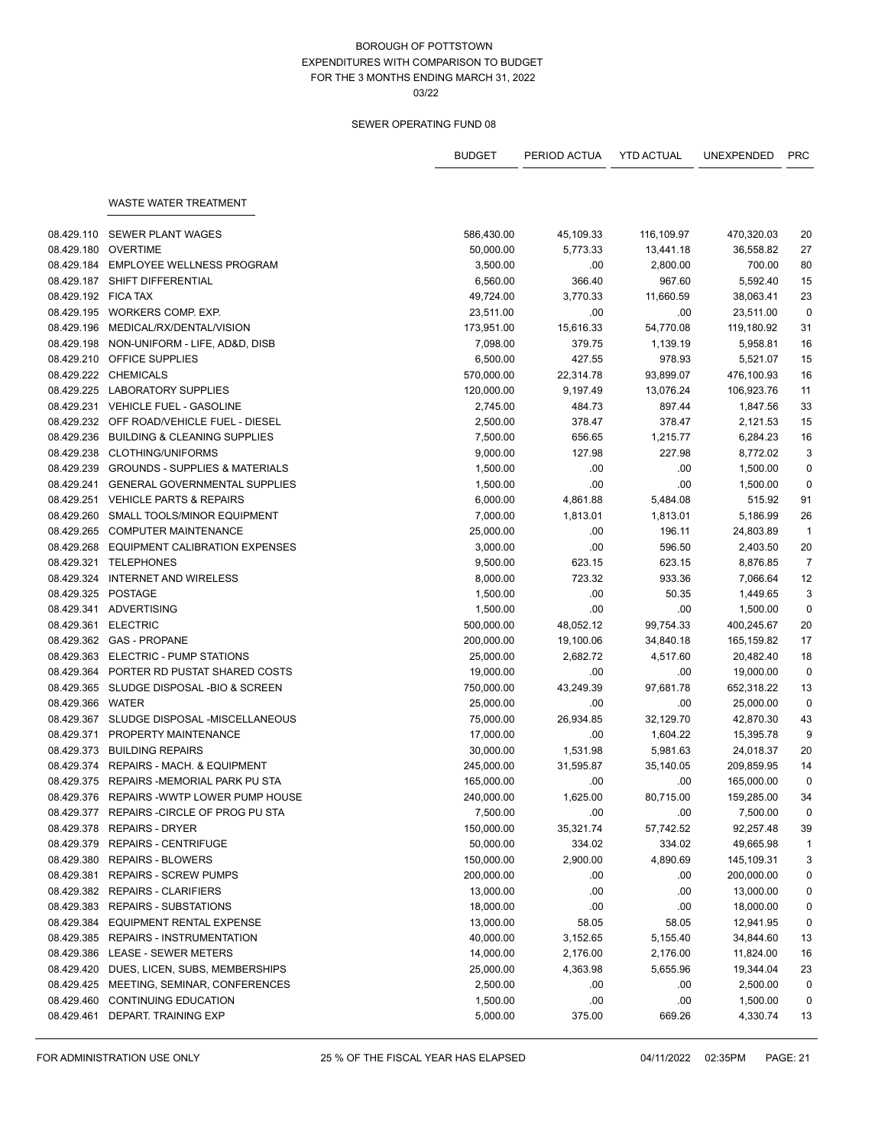## SEWER OPERATING FUND 08

|                     |                                            | <b>BUDGET</b> | PERIOD ACTUA | <b>YTD ACTUAL</b> | UNEXPENDED  | <b>PRC</b>     |
|---------------------|--------------------------------------------|---------------|--------------|-------------------|-------------|----------------|
|                     | <b>WASTE WATER TREATMENT</b>               |               |              |                   |             |                |
|                     | 08.429.110 SEWER PLANT WAGES               | 586,430.00    | 45,109.33    | 116,109.97        | 470,320.03  | 20             |
| 08.429.180          | <b>OVERTIME</b>                            | 50,000.00     | 5,773.33     | 13,441.18         | 36,558.82   | 27             |
|                     | 08.429.184 EMPLOYEE WELLNESS PROGRAM       | 3,500.00      | .00          | 2,800.00          | 700.00      | 80             |
|                     | 08.429.187 SHIFT DIFFERENTIAL              | 6,560.00      | 366.40       | 967.60            | 5,592.40    | 15             |
| 08.429.192 FICA TAX |                                            | 49,724.00     | 3,770.33     | 11,660.59         | 38,063.41   | 23             |
|                     | 08.429.195 WORKERS COMP. EXP.              | 23,511.00     | .00          | .00               | 23,511.00   | $\pmb{0}$      |
| 08.429.196          | MEDICAL/RX/DENTAL/VISION                   | 173,951.00    | 15,616.33    | 54,770.08         | 119,180.92  | 31             |
| 08.429.198          | NON-UNIFORM - LIFE, AD&D, DISB             | 7,098.00      | 379.75       | 1,139.19          | 5,958.81    | 16             |
|                     | 08.429.210 OFFICE SUPPLIES                 | 6,500.00      | 427.55       | 978.93            | 5,521.07    | 15             |
|                     | 08.429.222 CHEMICALS                       | 570,000.00    | 22,314.78    | 93,899.07         | 476,100.93  | 16             |
|                     | 08.429.225 LABORATORY SUPPLIES             | 120,000.00    | 9,197.49     | 13,076.24         | 106,923.76  | 11             |
|                     | 08.429.231 VEHICLE FUEL - GASOLINE         | 2,745.00      | 484.73       | 897.44            | 1,847.56    | 33             |
|                     | 08.429.232 OFF ROAD/VEHICLE FUEL - DIESEL  | 2,500.00      | 378.47       | 378.47            | 2,121.53    | 15             |
|                     | 08.429.236 BUILDING & CLEANING SUPPLIES    | 7,500.00      | 656.65       | 1,215.77          | 6,284.23    | 16             |
|                     | 08.429.238 CLOTHING/UNIFORMS               | 9,000.00      | 127.98       | 227.98            | 8,772.02    | 3              |
| 08.429.239          | <b>GROUNDS - SUPPLIES &amp; MATERIALS</b>  | 1,500.00      | .00          | .00               | 1,500.00    | 0              |
| 08.429.241          | <b>GENERAL GOVERNMENTAL SUPPLIES</b>       | 1,500.00      | .00          | .00               | 1,500.00    | $\mathbf 0$    |
|                     | 08.429.251 VEHICLE PARTS & REPAIRS         | 6,000.00      | 4,861.88     | 5,484.08          | 515.92      | 91             |
|                     | 08.429.260 SMALL TOOLS/MINOR EQUIPMENT     | 7,000.00      | 1,813.01     | 1,813.01          | 5,186.99    | 26             |
| 08.429.265          | <b>COMPUTER MAINTENANCE</b>                | 25,000.00     | .00          | 196.11            | 24,803.89   | $\mathbf{1}$   |
| 08.429.268          | <b>EQUIPMENT CALIBRATION EXPENSES</b>      | 3,000.00      | .00          | 596.50            | 2,403.50    | 20             |
| 08.429.321          | <b>TELEPHONES</b>                          | 9,500.00      | 623.15       | 623.15            | 8,876.85    | $\overline{7}$ |
|                     | 08.429.324 INTERNET AND WIRELESS           | 8,000.00      | 723.32       | 933.36            | 7,066.64    | 12             |
| 08.429.325 POSTAGE  |                                            | 1,500.00      | .00          | 50.35             | 1,449.65    | 3              |
|                     | 08.429.341 ADVERTISING                     | 1,500.00      | .00          | .00.              | 1,500.00    | $\pmb{0}$      |
| 08.429.361          | <b>ELECTRIC</b>                            | 500,000.00    | 48,052.12    | 99,754.33         | 400,245.67  | 20             |
|                     | 08.429.362 GAS - PROPANE                   | 200,000.00    | 19,100.06    | 34,840.18         | 165, 159.82 | 17             |
|                     | 08.429.363 ELECTRIC - PUMP STATIONS        | 25,000.00     | 2,682.72     | 4,517.60          | 20,482.40   | 18             |
|                     | 08.429.364 PORTER RD PUSTAT SHARED COSTS   | 19,000.00     | .00          | .00               | 19,000.00   | $\mathbf 0$    |
|                     | 08.429.365 SLUDGE DISPOSAL -BIO & SCREEN   | 750,000.00    | 43,249.39    | 97,681.78         | 652,318.22  | 13             |
| 08.429.366 WATER    |                                            | 25,000.00     | .00          | .00               | 25,000.00   | 0              |
|                     | 08.429.367 SLUDGE DISPOSAL -MISCELLANEOUS  | 75,000.00     | 26,934.85    | 32,129.70         | 42,870.30   | 43             |
| 08.429.371          | PROPERTY MAINTENANCE                       | 17,000.00     | .00          | 1,604.22          | 15,395.78   | 9              |
|                     | 08.429.373 BUILDING REPAIRS                | 30,000.00     | 1,531.98     | 5,981.63          | 24,018.37   | 20             |
|                     | 08.429.374 REPAIRS - MACH. & EQUIPMENT     | 245,000.00    | 31,595.87    | 35,140.05         | 209,859.95  | 14             |
|                     | 08.429.375 REPAIRS-MEMORIAL PARK PU STA    | 165,000.00    | .00          | .00               | 165,000.00  | $\pmb{0}$      |
|                     | 08.429.376 REPAIRS - WWTP LOWER PUMP HOUSE | 240,000.00    | 1,625.00     | 80,715.00         | 159,285.00  | 34             |
|                     | 08.429.377 REPAIRS - CIRCLE OF PROG PU STA | 7,500.00      | .00          | .00               | 7,500.00    | $\pmb{0}$      |
|                     | 08.429.378 REPAIRS - DRYER                 | 150,000.00    | 35,321.74    | 57,742.52         | 92,257.48   | 39             |
| 08.429.379          | <b>REPAIRS - CENTRIFUGE</b>                | 50,000.00     | 334.02       | 334.02            | 49,665.98   | $\mathbf{1}$   |
| 08.429.380          | <b>REPAIRS - BLOWERS</b>                   | 150,000.00    | 2,900.00     | 4,890.69          | 145,109.31  | 3              |
| 08.429.381          | <b>REPAIRS - SCREW PUMPS</b>               | 200,000.00    | .00          | .00               | 200,000.00  | $\pmb{0}$      |
|                     | 08.429.382 REPAIRS - CLARIFIERS            | 13,000.00     | .00          | .00               | 13,000.00   | $\pmb{0}$      |
| 08.429.383          | <b>REPAIRS - SUBSTATIONS</b>               | 18,000.00     | .00          | .00               | 18,000.00   | $\pmb{0}$      |
| 08.429.384          | <b>EQUIPMENT RENTAL EXPENSE</b>            | 13,000.00     | 58.05        | 58.05             | 12,941.95   | 0              |
| 08.429.385          | <b>REPAIRS - INSTRUMENTATION</b>           | 40,000.00     | 3,152.65     | 5,155.40          | 34,844.60   | 13             |
| 08.429.386          | <b>LEASE - SEWER METERS</b>                | 14,000.00     | 2,176.00     | 2,176.00          | 11,824.00   | 16             |
| 08.429.420          | DUES, LICEN, SUBS, MEMBERSHIPS             | 25,000.00     | 4,363.98     | 5,655.96          | 19,344.04   | 23             |
| 08.429.425          | MEETING, SEMINAR, CONFERENCES              | 2,500.00      | .00          | .00               | 2,500.00    | $\pmb{0}$      |
| 08.429.460          | <b>CONTINUING EDUCATION</b>                | 1,500.00      | .00          | .00               | 1,500.00    | 0              |
| 08.429.461          | DEPART. TRAINING EXP                       | 5,000.00      | 375.00       | 669.26            | 4,330.74    | 13             |

FOR ADMINISTRATION USE ONLY 25 % OF THE FISCAL YEAR HAS ELAPSED 04/11/2022 02:35PM PAGE: 21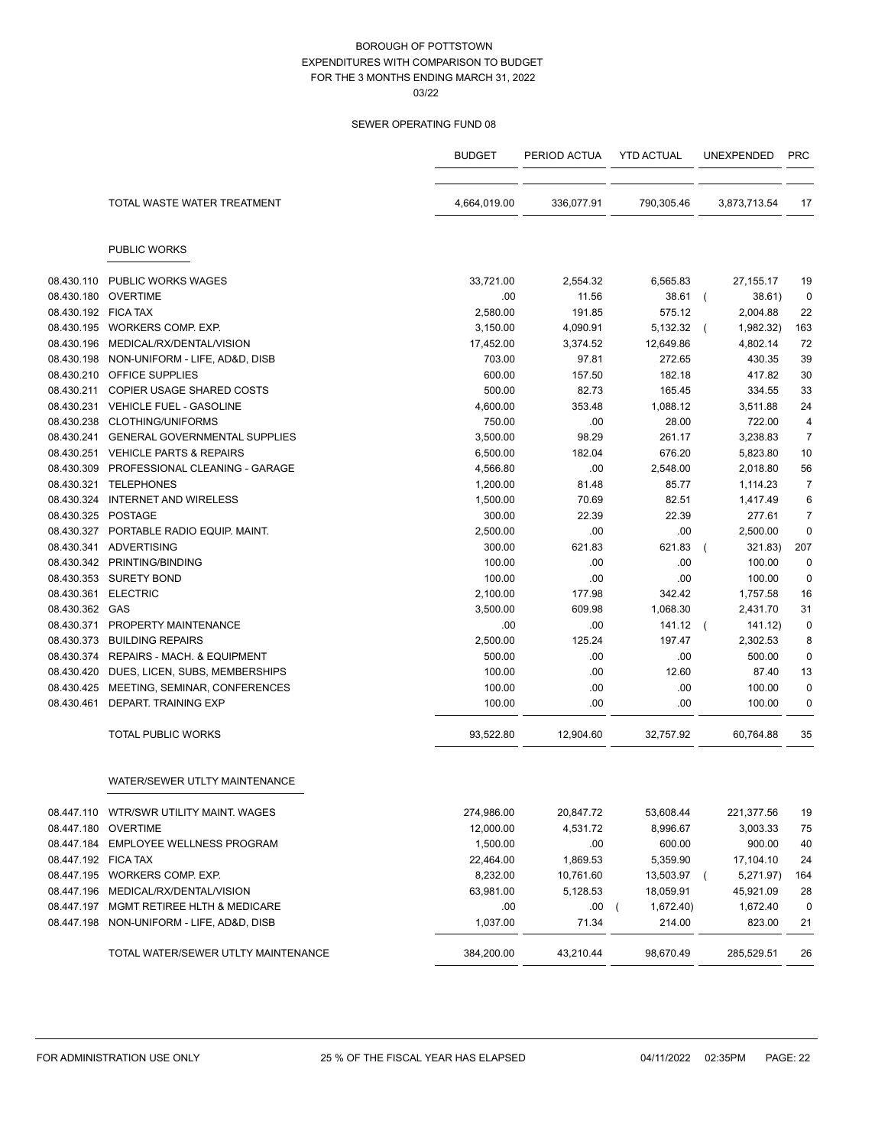|                     |                                           | <b>BUDGET</b> | PERIOD ACTUA | <b>YTD ACTUAL</b>       |            | <b>UNEXPENDED</b> | <b>PRC</b>     |
|---------------------|-------------------------------------------|---------------|--------------|-------------------------|------------|-------------------|----------------|
|                     | TOTAL WASTE WATER TREATMENT               | 4,664,019.00  | 336,077.91   | 790,305.46              |            | 3,873,713.54      | 17             |
|                     | PUBLIC WORKS                              |               |              |                         |            |                   |                |
| 08.430.110          | <b>PUBLIC WORKS WAGES</b>                 | 33,721.00     | 2,554.32     | 6,565.83                |            | 27, 155. 17       | 19             |
| 08.430.180          | OVERTIME                                  | .00           | 11.56        | 38.61                   | $\sqrt{ }$ | 38.61)            | 0              |
| 08.430.192 FICA TAX |                                           | 2,580.00      | 191.85       | 575.12                  |            | 2,004.88          | 22             |
|                     | 08.430.195 WORKERS COMP. EXP.             | 3,150.00      | 4,090.91     | 5,132.32                | $\left($   | 1,982.32)         | 163            |
| 08.430.196          | MEDICAL/RX/DENTAL/VISION                  | 17,452.00     | 3,374.52     | 12,649.86               |            | 4,802.14          | 72             |
| 08.430.198          | NON-UNIFORM - LIFE, AD&D, DISB            | 703.00        | 97.81        | 272.65                  |            | 430.35            | 39             |
|                     | 08.430.210 OFFICE SUPPLIES                | 600.00        | 157.50       | 182.18                  |            | 417.82            | 30             |
| 08.430.211          | <b>COPIER USAGE SHARED COSTS</b>          | 500.00        | 82.73        | 165.45                  |            | 334.55            | 33             |
| 08.430.231          | <b>VEHICLE FUEL - GASOLINE</b>            | 4,600.00      | 353.48       | 1,088.12                |            | 3,511.88          | 24             |
|                     | 08.430.238 CLOTHING/UNIFORMS              | 750.00        | .00          | 28.00                   |            | 722.00            | 4              |
| 08.430.241          | <b>GENERAL GOVERNMENTAL SUPPLIES</b>      | 3,500.00      | 98.29        | 261.17                  |            | 3,238.83          | $\overline{7}$ |
|                     | 08.430.251 VEHICLE PARTS & REPAIRS        | 6,500.00      | 182.04       | 676.20                  |            | 5,823.80          | 10             |
| 08.430.309          | PROFESSIONAL CLEANING - GARAGE            | 4,566.80      | .00          | 2,548.00                |            | 2,018.80          | 56             |
| 08.430.321          | <b>TELEPHONES</b>                         | 1,200.00      | 81.48        | 85.77                   |            | 1,114.23          | $\overline{7}$ |
| 08.430.324          | <b>INTERNET AND WIRELESS</b>              | 1,500.00      | 70.69        | 82.51                   |            | 1,417.49          | 6              |
|                     | 08.430.325 POSTAGE                        | 300.00        | 22.39        | 22.39                   |            | 277.61            | $\overline{7}$ |
|                     | 08.430.327 PORTABLE RADIO EQUIP, MAINT.   | 2,500.00      | .00          | .00                     |            | 2,500.00          | 0              |
|                     | 08.430.341 ADVERTISING                    | 300.00        | 621.83       | 621.83                  |            | 321.83)           | 207            |
|                     | 08.430.342 PRINTING/BINDING               | 100.00        | .00          | .00                     |            | 100.00            | 0              |
|                     | 08.430.353 SURETY BOND                    | 100.00        | .00          | .00                     |            | 100.00            | 0              |
| 08.430.361          | <b>ELECTRIC</b>                           | 2,100.00      | 177.98       | 342.42                  |            | 1,757.58          | 16             |
| 08.430.362 GAS      |                                           | 3,500.00      | 609.98       | 1,068.30                |            | 2,431.70          | 31             |
| 08.430.371          | PROPERTY MAINTENANCE                      | .00           | .00          | 141.12                  | $\left($   | 141.12)           | 0              |
|                     | 08.430.373 BUILDING REPAIRS               | 2,500.00      | 125.24       | 197.47                  |            | 2,302.53          | 8              |
| 08.430.374          | <b>REPAIRS - MACH. &amp; EQUIPMENT</b>    | 500.00        | .00          | .00                     |            | 500.00            | 0              |
|                     | 08.430.420 DUES, LICEN, SUBS, MEMBERSHIPS | 100.00        | .00          | 12.60                   |            | 87.40             | 13             |
| 08.430.425          | MEETING, SEMINAR, CONFERENCES             | 100.00        | .00          | .00                     |            | 100.00            | 0              |
| 08.430.461          | DEPART. TRAINING EXP                      | 100.00        | .00          | .00                     |            | 100.00            | 0              |
|                     |                                           |               |              |                         |            |                   |                |
|                     | <b>TOTAL PUBLIC WORKS</b>                 | 93,522.80     | 12,904.60    | 32,757.92               |            | 60,764.88         | 35             |
|                     | WATER/SEWER UTLTY MAINTENANCE             |               |              |                         |            |                   |                |
|                     | 08.447.110 WTR/SWR UTILITY MAINT. WAGES   | 274,986.00    | 20,847.72    | 53,608.44               |            | 221,377.56        | 19             |
|                     | 08.447.180 OVERTIME                       | 12,000.00     | 4,531.72     | 8,996.67                |            | 3,003.33          | 75             |
|                     | 08.447.184 EMPLOYEE WELLNESS PROGRAM      | 1,500.00      | .00          | 600.00                  |            | 900.00            | 40             |
| 08.447.192 FICA TAX |                                           | 22,464.00     | 1,869.53     | 5,359.90                |            | 17,104.10         | 24             |
|                     | 08.447.195 WORKERS COMP. EXP.             | 8,232.00      | 10,761.60    | 13,503.97 (             |            | 5,271.97)         | 164            |
|                     | 08.447.196 MEDICAL/RX/DENTAL/VISION       | 63,981.00     | 5,128.53     | 18,059.91               |            | 45,921.09         | 28             |
| 08.447.197          | MGMT RETIREE HLTH & MEDICARE              | .00           | .00          | 1,672.40)<br>$\sqrt{2}$ |            | 1,672.40          | $\mathbf 0$    |
|                     | 08.447.198 NON-UNIFORM - LIFE, AD&D, DISB | 1,037.00      | 71.34        | 214.00                  |            | 823.00            | 21             |
|                     | TOTAL WATER/SEWER UTLTY MAINTENANCE       | 384,200.00    | 43,210.44    | 98,670.49               |            | 285,529.51        | 26             |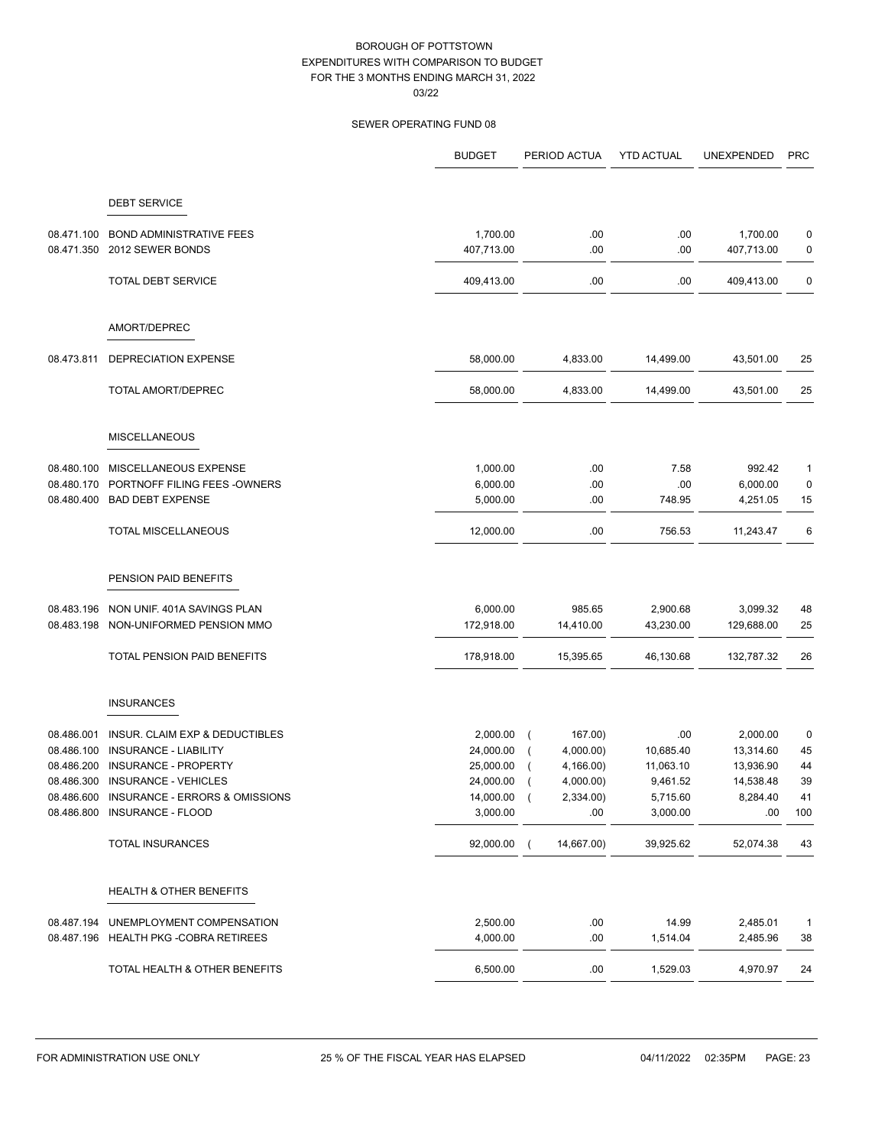|                          |                                                     | <b>BUDGET</b>          | PERIOD ACTUA                | <b>YTD ACTUAL</b> | <b>UNEXPENDED</b>      | <b>PRC</b>   |
|--------------------------|-----------------------------------------------------|------------------------|-----------------------------|-------------------|------------------------|--------------|
|                          | <b>DEBT SERVICE</b>                                 |                        |                             |                   |                        |              |
|                          |                                                     |                        |                             |                   |                        |              |
| 08.471.100<br>08.471.350 | <b>BOND ADMINISTRATIVE FEES</b><br>2012 SEWER BONDS | 1,700.00<br>407,713.00 | .00<br>.00                  | .00<br>.00        | 1,700.00<br>407,713.00 | 0<br>0       |
|                          |                                                     |                        |                             |                   |                        |              |
|                          | <b>TOTAL DEBT SERVICE</b>                           | 409,413.00             | .00                         | .00               | 409,413.00             | 0            |
|                          | AMORT/DEPREC                                        |                        |                             |                   |                        |              |
| 08.473.811               | DEPRECIATION EXPENSE                                | 58,000.00              | 4,833.00                    | 14,499.00         | 43,501.00              | 25           |
|                          | <b>TOTAL AMORT/DEPREC</b>                           | 58,000.00              | 4,833.00                    | 14,499.00         | 43,501.00              | 25           |
|                          | <b>MISCELLANEOUS</b>                                |                        |                             |                   |                        |              |
| 08.480.100               | MISCELLANEOUS EXPENSE                               | 1,000.00               | .00                         | 7.58              | 992.42                 | 1            |
| 08.480.170               | PORTNOFF FILING FEES - OWNERS                       | 6,000.00               | .00                         | .00               | 6,000.00               | 0            |
| 08.480.400               | <b>BAD DEBT EXPENSE</b>                             | 5,000.00               | .00                         | 748.95            | 4,251.05               | 15           |
|                          | <b>TOTAL MISCELLANEOUS</b>                          | 12,000.00              | .00                         | 756.53            | 11,243.47              | 6            |
|                          | PENSION PAID BENEFITS                               |                        |                             |                   |                        |              |
| 08.483.196               | NON UNIF. 401A SAVINGS PLAN                         | 6,000.00               | 985.65                      | 2,900.68          | 3,099.32               | 48           |
| 08.483.198               | NON-UNIFORMED PENSION MMO                           | 172,918.00             | 14,410.00                   | 43,230.00         | 129,688.00             | 25           |
|                          | TOTAL PENSION PAID BENEFITS                         | 178,918.00             | 15,395.65                   | 46,130.68         | 132,787.32             | 26           |
|                          | <b>INSURANCES</b>                                   |                        |                             |                   |                        |              |
| 08.486.001               | INSUR. CLAIM EXP & DEDUCTIBLES                      | 2,000.00               | 167.00)<br>$\left($         | .00               | 2,000.00               | $\mathbf 0$  |
| 08.486.100               | <b>INSURANCE - LIABILITY</b>                        | 24,000.00              | 4,000.00)<br>$\overline{ }$ | 10,685.40         | 13,314.60              | 45           |
| 08.486.200               | INSURANCE - PROPERTY                                | 25,000.00              | 4,166.00)                   | 11,063.10         | 13,936.90              | 44           |
| 08.486.300               | INSURANCE - VEHICLES                                | 24,000.00              | 4,000.00)                   | 9,461.52          | 14,538.48              | 39           |
| 08.486.600               | INSURANCE - ERRORS & OMISSIONS                      | 14,000.00              | 2,334.00)                   | 5,715.60          | 8,284.40               | 41           |
|                          | 08.486.800 INSURANCE - FLOOD                        | 3,000.00               | .00                         | 3,000.00          | .00                    | 100          |
|                          | TOTAL INSURANCES                                    | 92,000.00              | 14,667.00)<br>$\left($      | 39,925.62         | 52,074.38              | 43           |
|                          | <b>HEALTH &amp; OTHER BENEFITS</b>                  |                        |                             |                   |                        |              |
| 08.487.194               | UNEMPLOYMENT COMPENSATION                           | 2,500.00               | .00                         | 14.99             | 2,485.01               | $\mathbf{1}$ |
|                          | 08.487.196 HEALTH PKG - COBRA RETIREES              | 4,000.00               | .00                         | 1,514.04          | 2,485.96               | 38           |
|                          | TOTAL HEALTH & OTHER BENEFITS                       | 6,500.00               | .00                         | 1,529.03          | 4,970.97               | 24           |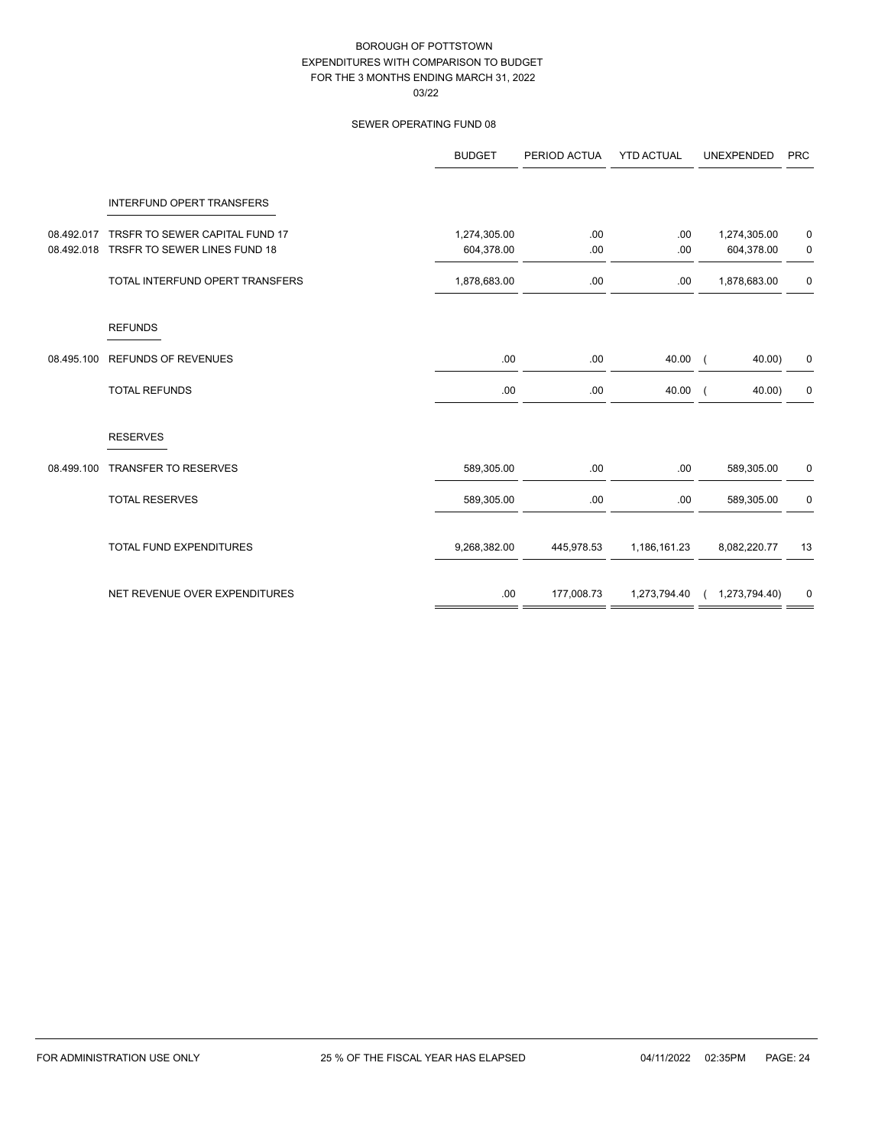|            |                                  | <b>BUDGET</b> | PERIOD ACTUA | <b>YTD ACTUAL</b> | UNEXPENDED     | <b>PRC</b> |
|------------|----------------------------------|---------------|--------------|-------------------|----------------|------------|
|            | <b>INTERFUND OPERT TRANSFERS</b> |               |              |                   |                |            |
| 08.492.017 | TRSFR TO SEWER CAPITAL FUND 17   | 1,274,305.00  | .00          | .00               | 1,274,305.00   | 0          |
| 08.492.018 | TRSFR TO SEWER LINES FUND 18     | 604,378.00    | .00          | .00               | 604,378.00     | 0          |
|            | TOTAL INTERFUND OPERT TRANSFERS  | 1,878,683.00  | .00          | .00               | 1,878,683.00   | 0          |
|            | <b>REFUNDS</b>                   |               |              |                   |                |            |
| 08.495.100 | <b>REFUNDS OF REVENUES</b>       | .00           | .00          | 40.00             | 40.00          | 0          |
|            | <b>TOTAL REFUNDS</b>             | .00           | .00          | 40.00             | $40.00$ )      | 0          |
|            | <b>RESERVES</b>                  |               |              |                   |                |            |
| 08.499.100 | TRANSFER TO RESERVES             | 589,305.00    | .00          | .00               | 589,305.00     | 0          |
|            | <b>TOTAL RESERVES</b>            | 589,305.00    | .00          | .00               | 589,305.00     | 0          |
|            | <b>TOTAL FUND EXPENDITURES</b>   | 9,268,382.00  | 445,978.53   | 1,186,161.23      | 8,082,220.77   | 13         |
|            | NET REVENUE OVER EXPENDITURES    | .00           | 177,008.73   | 1,273,794.40      | (1,273,794.40) | 0          |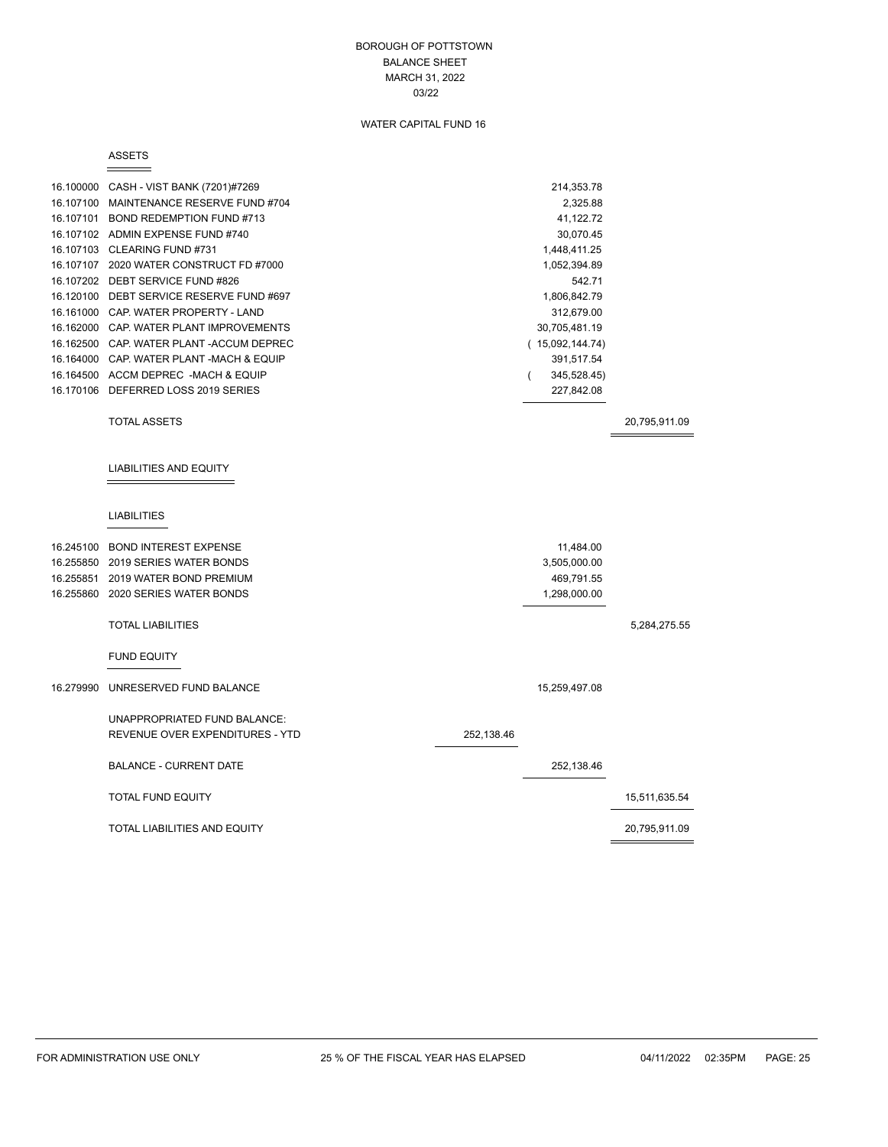#### BOROUGH OF POTTSTOWN BALANCE SHEET MARCH 31, 2022 03/22

## WATER CAPITAL FUND 16

#### ASSETS

 $\equiv$ 

|           | 16.100000 CASH - VIST BANK (7201)#7269              |            | 214,353.78      |               |
|-----------|-----------------------------------------------------|------------|-----------------|---------------|
|           | 16.107100 MAINTENANCE RESERVE FUND #704             |            | 2,325.88        |               |
|           | 16.107101 BOND REDEMPTION FUND #713                 |            | 41,122.72       |               |
|           | 16.107102 ADMIN EXPENSE FUND #740                   |            | 30,070.45       |               |
|           | 16.107103 CLEARING FUND #731                        |            | 1,448,411.25    |               |
|           | 16.107107 2020 WATER CONSTRUCT FD #7000             |            | 1,052,394.89    |               |
|           | 16.107202 DEBT SERVICE FUND #826                    |            | 542.71          |               |
|           | 16.120100 DEBT SERVICE RESERVE FUND #697            |            | 1,806,842.79    |               |
|           | 16.161000 CAP. WATER PROPERTY - LAND                |            | 312,679.00      |               |
|           | 16.162000 CAP. WATER PLANT IMPROVEMENTS             |            | 30,705,481.19   |               |
|           | 16.162500 CAP. WATER PLANT -ACCUM DEPREC            |            | (15,092,144.74) |               |
|           | 16.164000 CAP. WATER PLANT -MACH & EQUIP            |            | 391,517.54      |               |
|           | 16.164500 ACCM DEPREC -MACH & EQUIP                 |            | 345,528.45)     |               |
|           | 16.170106 DEFERRED LOSS 2019 SERIES                 |            | 227,842.08      |               |
|           | <b>TOTAL ASSETS</b>                                 |            |                 | 20,795,911.09 |
|           | <b>LIABILITIES AND EQUITY</b><br><b>LIABILITIES</b> |            |                 |               |
|           | 16.245100 BOND INTEREST EXPENSE                     |            | 11,484.00       |               |
|           | 16.255850 2019 SERIES WATER BONDS                   |            | 3,505,000.00    |               |
|           | 16.255851 2019 WATER BOND PREMIUM                   |            | 469,791.55      |               |
|           | 16.255860 2020 SERIES WATER BONDS                   |            | 1,298,000.00    |               |
|           | <b>TOTAL LIABILITIES</b>                            |            |                 | 5,284,275.55  |
|           | <b>FUND EQUITY</b>                                  |            |                 |               |
| 16.279990 | UNRESERVED FUND BALANCE                             |            | 15,259,497.08   |               |
|           | UNAPPROPRIATED FUND BALANCE:                        |            |                 |               |
|           | REVENUE OVER EXPENDITURES - YTD                     | 252,138.46 |                 |               |
|           | <b>BALANCE - CURRENT DATE</b>                       |            | 252,138.46      |               |

TOTAL FUND EQUITY 15,511,635.54 TOTAL LIABILITIES AND EQUITY 20,795,911.09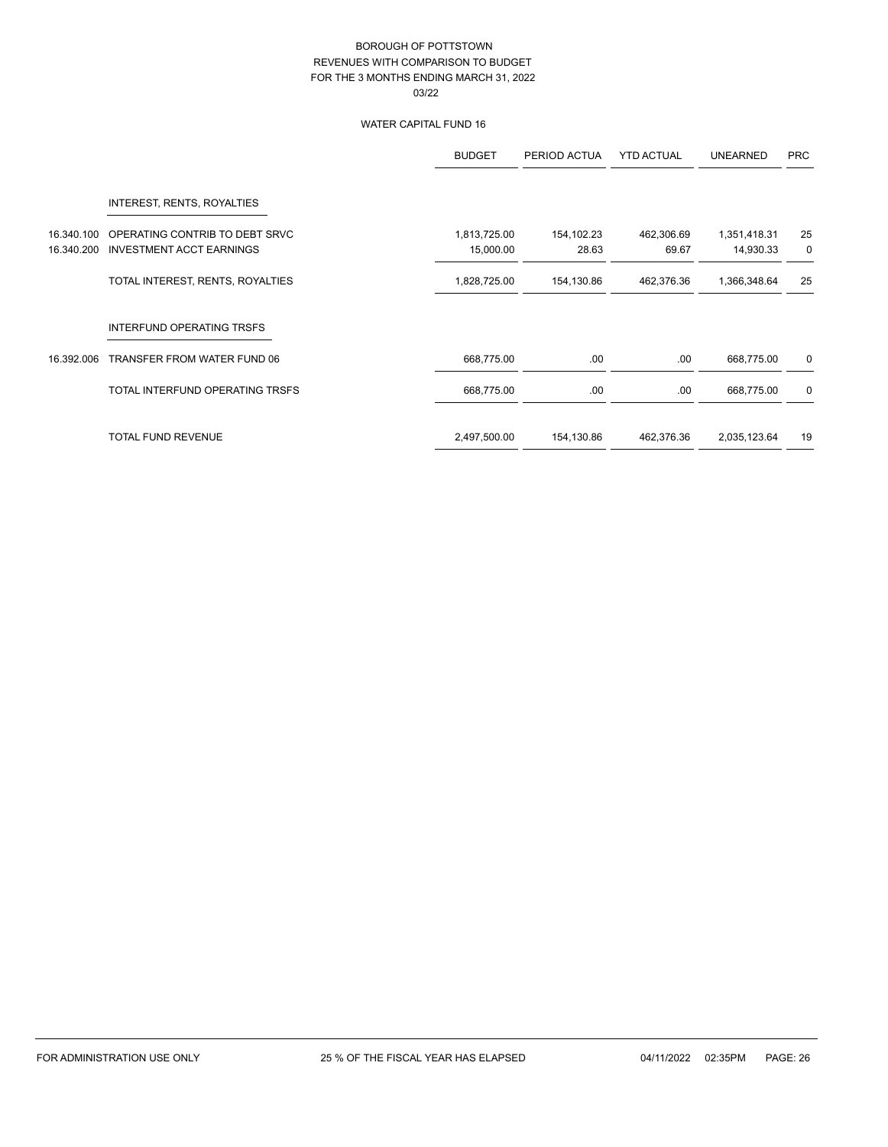# WATER CAPITAL FUND 16

|            |                                  | <b>BUDGET</b> | PERIOD ACTUA | <b>YTD ACTUAL</b> | <b>UNEARNED</b> | <b>PRC</b>  |
|------------|----------------------------------|---------------|--------------|-------------------|-----------------|-------------|
|            | INTEREST, RENTS, ROYALTIES       |               |              |                   |                 |             |
| 16.340.100 | OPERATING CONTRIB TO DEBT SRVC   | 1,813,725.00  | 154,102.23   | 462,306.69        | 1,351,418.31    | 25          |
| 16.340.200 | <b>INVESTMENT ACCT EARNINGS</b>  | 15,000.00     | 28.63        | 69.67             | 14,930.33       | 0           |
|            | TOTAL INTEREST, RENTS, ROYALTIES | 1,828,725.00  | 154,130.86   | 462,376.36        | 1,366,348.64    | 25          |
|            | <b>INTERFUND OPERATING TRSFS</b> |               |              |                   |                 |             |
| 16.392.006 | TRANSFER FROM WATER FUND 06      | 668,775.00    | .00.         | .00.              | 668,775.00      | 0           |
|            | TOTAL INTERFUND OPERATING TRSFS  | 668,775.00    | .00          | .00.              | 668,775.00      | $\mathbf 0$ |
|            | <b>TOTAL FUND REVENUE</b>        | 2,497,500.00  | 154,130.86   | 462,376.36        | 2,035,123.64    | 19          |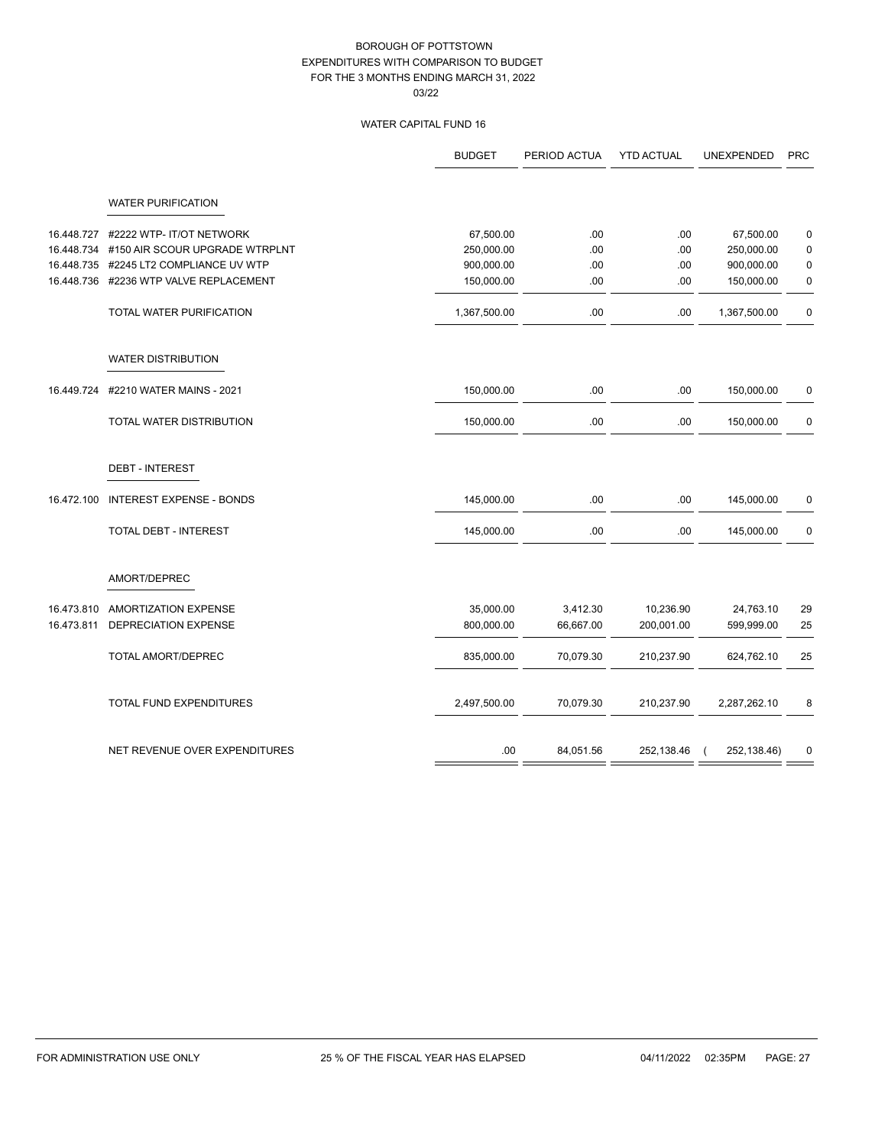# WATER CAPITAL FUND 16

|            |                                        | <b>BUDGET</b> | PERIOD ACTUA | <b>YTD ACTUAL</b> | <b>UNEXPENDED</b> | <b>PRC</b>  |
|------------|----------------------------------------|---------------|--------------|-------------------|-------------------|-------------|
|            | <b>WATER PURIFICATION</b>              |               |              |                   |                   |             |
| 16.448.727 | #2222 WTP- IT/OT NETWORK               | 67,500.00     | .00          | .00               | 67,500.00         | $\pmb{0}$   |
| 16.448.734 | #150 AIR SCOUR UPGRADE WTRPLNT         | 250,000.00    | .00          | .00               | 250,000.00        | $\pmb{0}$   |
|            | 16.448.735 #2245 LT2 COMPLIANCE UV WTP | 900,000.00    | .00          | .00.              | 900,000.00        | $\pmb{0}$   |
|            | 16.448.736 #2236 WTP VALVE REPLACEMENT | 150,000.00    | .00          | .00               | 150,000.00        | $\pmb{0}$   |
|            | TOTAL WATER PURIFICATION               | 1,367,500.00  | .00          | .00.              | 1,367,500.00      | $\pmb{0}$   |
|            | <b>WATER DISTRIBUTION</b>              |               |              |                   |                   |             |
| 16.449.724 | #2210 WATER MAINS - 2021               | 150,000.00    | .00          | .00.              | 150,000.00        | 0           |
|            | TOTAL WATER DISTRIBUTION               | 150,000.00    | .00          | .00               | 150,000.00        | $\mathbf 0$ |
|            | <b>DEBT - INTEREST</b>                 |               |              |                   |                   |             |
| 16.472.100 | <b>INTEREST EXPENSE - BONDS</b>        | 145,000.00    | .00          | .00.              | 145,000.00        | 0           |
|            | TOTAL DEBT - INTEREST                  | 145,000.00    | .00          | .00.              | 145,000.00        | 0           |
|            | AMORT/DEPREC                           |               |              |                   |                   |             |
| 16.473.810 | AMORTIZATION EXPENSE                   | 35,000.00     | 3,412.30     | 10,236.90         | 24,763.10         | 29          |
| 16.473.811 | <b>DEPRECIATION EXPENSE</b>            | 800,000.00    | 66,667.00    | 200,001.00        | 599,999.00        | 25          |
|            | TOTAL AMORT/DEPREC                     | 835,000.00    | 70,079.30    | 210,237.90        | 624,762.10        | 25          |
|            | <b>TOTAL FUND EXPENDITURES</b>         | 2,497,500.00  | 70,079.30    | 210,237.90        | 2,287,262.10      | 8           |
|            | NET REVENUE OVER EXPENDITURES          | .00           | 84,051.56    | 252,138.46        | 252, 138.46)      | $\pmb{0}$   |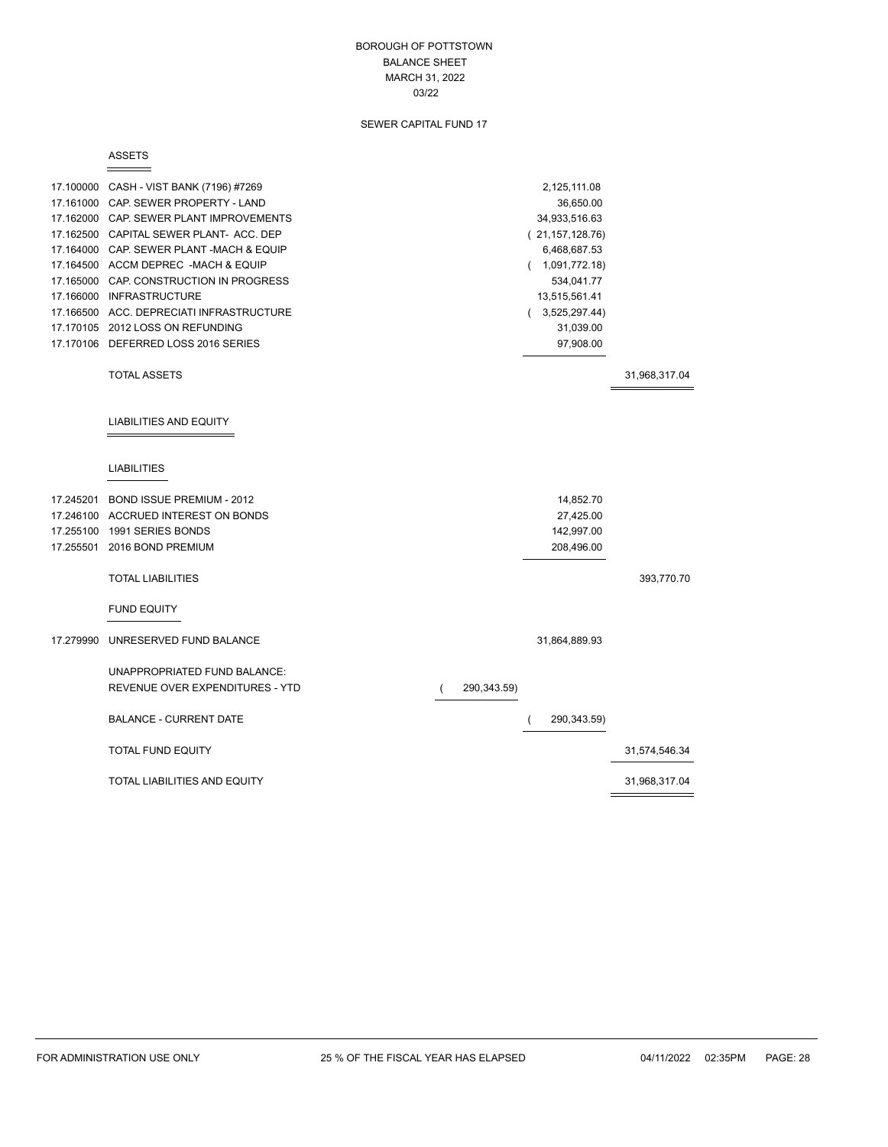#### BOROUGH OF POTTSTOWN BALANCE SHEET MARCH 31, 2022 03/22

# SEWER CAPITAL FUND 17

#### ASSETS

 $\equiv$ 

|           | 17.100000 CASH - VIST BANK (7196) #7269  |                   | 2,125,111.08      |               |
|-----------|------------------------------------------|-------------------|-------------------|---------------|
|           | 17.161000 CAP. SEWER PROPERTY - LAND     |                   | 36,650.00         |               |
|           | 17.162000 CAP. SEWER PLANT IMPROVEMENTS  |                   | 34,933,516.63     |               |
|           | 17.162500 CAPITAL SEWER PLANT- ACC. DEP  |                   | (21, 157, 128.76) |               |
|           | 17.164000 CAP. SEWER PLANT -MACH & EQUIP |                   | 6,468,687.53      |               |
|           | 17.164500 ACCM DEPREC -MACH & EQUIP      |                   | (1,091,772.18)    |               |
|           | 17.165000 CAP. CONSTRUCTION IN PROGRESS  |                   | 534,041.77        |               |
|           | 17.166000 INFRASTRUCTURE                 |                   | 13,515,561.41     |               |
|           | 17.166500 ACC. DEPRECIATI INFRASTRUCTURE |                   | (3,525,297.44)    |               |
|           | 17.170105 2012 LOSS ON REFUNDING         |                   | 31,039.00         |               |
|           | 17.170106 DEFERRED LOSS 2016 SERIES      |                   | 97,908.00         |               |
|           | <b>TOTAL ASSETS</b>                      |                   |                   | 31,968,317.04 |
|           | <b>LIABILITIES AND EQUITY</b>            |                   |                   |               |
|           | <b>LIABILITIES</b>                       |                   |                   |               |
|           |                                          |                   |                   |               |
|           | 17.245201 BOND ISSUE PREMIUM - 2012      |                   | 14,852.70         |               |
|           | 17.246100 ACCRUED INTEREST ON BONDS      |                   | 27,425.00         |               |
|           | 17.255100 1991 SERIES BONDS              |                   | 142,997.00        |               |
|           | 17.255501 2016 BOND PREMIUM              |                   | 208,496.00        |               |
|           | <b>TOTAL LIABILITIES</b>                 |                   |                   | 393,770.70    |
|           | <b>FUND EQUITY</b>                       |                   |                   |               |
| 17.279990 | UNRESERVED FUND BALANCE                  |                   | 31,864,889.93     |               |
|           | UNAPPROPRIATED FUND BALANCE:             |                   |                   |               |
|           | REVENUE OVER EXPENDITURES - YTD          | 290, 343.59)<br>( |                   |               |
|           | <b>BALANCE - CURRENT DATE</b>            |                   | 290, 343.59)      |               |
|           | <b>TOTAL FUND EQUITY</b>                 |                   |                   | 31,574,546.34 |
|           | TOTAL LIABILITIES AND EQUITY             |                   |                   | 31,968,317.04 |

 $\frac{1}{1-\frac{1}{2}}\left( \frac{1}{\sqrt{2}}\right) ^{2}+\frac{1}{2}\left( \frac{1}{2}\right) ^{2}+\frac{1}{2}\left( \frac{1}{2}\right) ^{2}+\frac{1}{2}\left( \frac{1}{2}\right) ^{2}+\frac{1}{2}\left( \frac{1}{2}\right) ^{2}+\frac{1}{2}\left( \frac{1}{2}\right) ^{2}+\frac{1}{2}\left( \frac{1}{2}\right) ^{2}+\frac{1}{2}\left( \frac{1}{2}\right) ^{2}+\frac{1}{2}\left( \frac{1}{2}\right) ^{2}+\frac{1}{2}\left( \frac$ 

 $\overline{\phantom{0}}$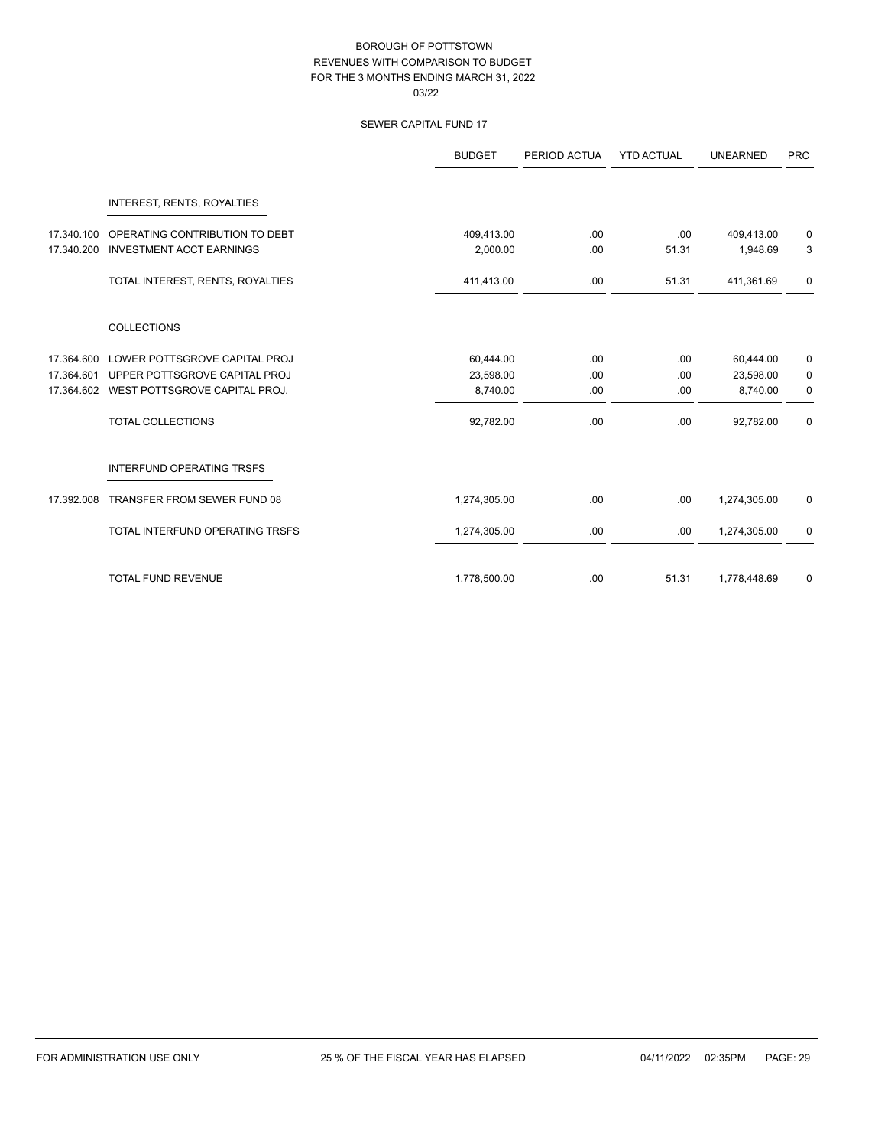# SEWER CAPITAL FUND 17

|            |                                          | <b>BUDGET</b> | PERIOD ACTUA | <b>YTD ACTUAL</b> | <b>UNEARNED</b> | <b>PRC</b> |
|------------|------------------------------------------|---------------|--------------|-------------------|-----------------|------------|
|            | INTEREST, RENTS, ROYALTIES               |               |              |                   |                 |            |
| 17.340.100 | OPERATING CONTRIBUTION TO DEBT           | 409,413.00    | .00          | .00.              | 409,413.00      | 0          |
| 17.340.200 | <b>INVESTMENT ACCT EARNINGS</b>          | 2,000.00      | .00          | 51.31             | 1,948.69        | 3          |
|            | TOTAL INTEREST, RENTS, ROYALTIES         | 411,413.00    | .00          | 51.31             | 411,361.69      | 0          |
|            | <b>COLLECTIONS</b>                       |               |              |                   |                 |            |
| 17.364.600 | LOWER POTTSGROVE CAPITAL PROJ            | 60,444.00     | .00          | .00.              | 60,444.00       | 0          |
| 17.364.601 | UPPER POTTSGROVE CAPITAL PROJ            | 23,598.00     | .00          | .00.              | 23,598.00       | 0          |
|            | 17.364.602 WEST POTTSGROVE CAPITAL PROJ. | 8,740.00      | .00          | .00.              | 8,740.00        | 0          |
|            | TOTAL COLLECTIONS                        | 92,782.00     | .00          | .00.              | 92,782.00       | 0          |
|            | INTERFUND OPERATING TRSFS                |               |              |                   |                 |            |
| 17.392.008 | TRANSFER FROM SEWER FUND 08              | 1,274,305.00  | .00          | .00.              | 1,274,305.00    | 0          |
|            | TOTAL INTERFUND OPERATING TRSFS          | 1,274,305.00  | .00          | .00.              | 1,274,305.00    | 0          |
|            | TOTAL FUND REVENUE                       | 1,778,500.00  | .00          | 51.31             | 1,778,448.69    | 0          |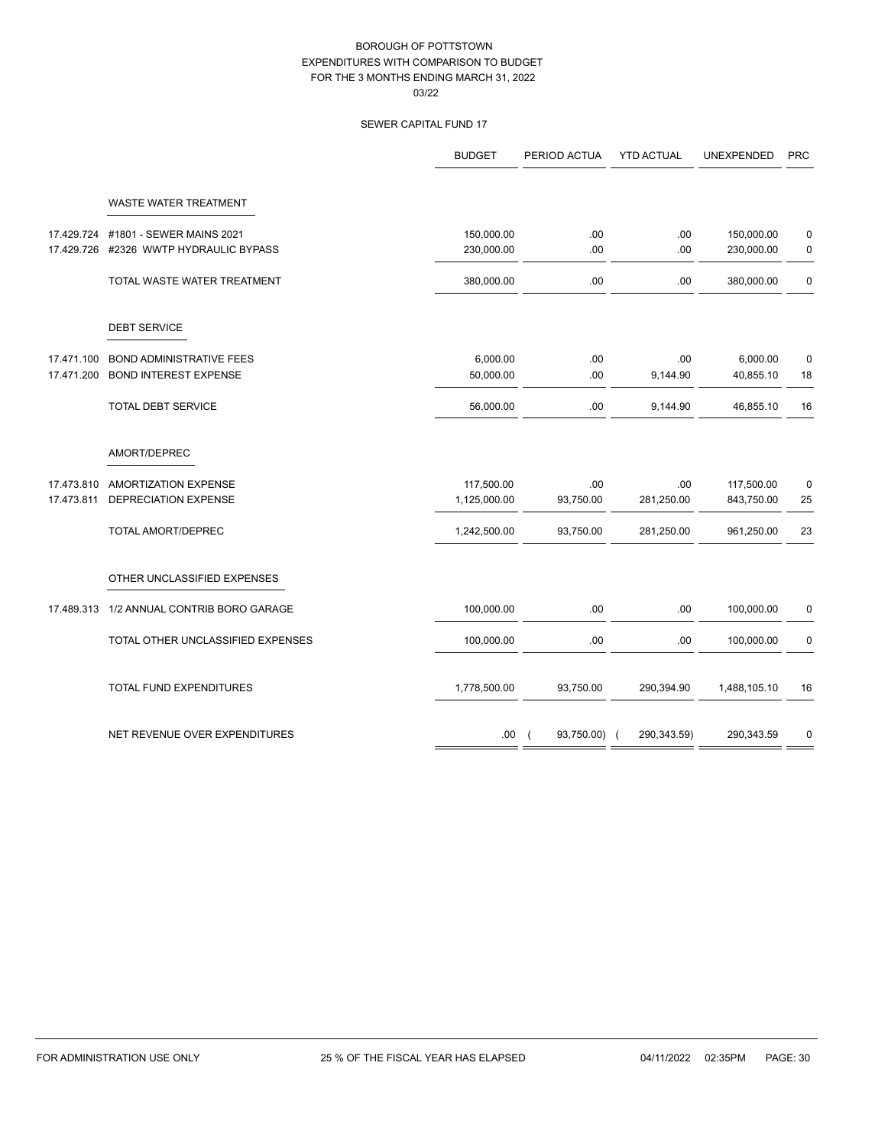# SEWER CAPITAL FUND 17

|            |                                           | <b>BUDGET</b> | PERIOD ACTUA | <b>YTD ACTUAL</b> | UNEXPENDED   | <b>PRC</b>  |
|------------|-------------------------------------------|---------------|--------------|-------------------|--------------|-------------|
|            | <b>WASTE WATER TREATMENT</b>              |               |              |                   |              |             |
| 17.429.724 | #1801 - SEWER MAINS 2021                  | 150,000.00    | .00          | .00               | 150,000.00   | 0           |
| 17.429.726 | #2326 WWTP HYDRAULIC BYPASS               | 230,000.00    | .00          | .00               | 230,000.00   | 0           |
|            | TOTAL WASTE WATER TREATMENT               | 380,000.00    | .00          | .00               | 380,000.00   | $\pmb{0}$   |
|            | <b>DEBT SERVICE</b>                       |               |              |                   |              |             |
| 17.471.100 | <b>BOND ADMINISTRATIVE FEES</b>           | 6,000.00      | .00          | .00               | 6,000.00     | $\mathbf 0$ |
| 17.471.200 | <b>BOND INTEREST EXPENSE</b>              | 50,000.00     | .00          | 9,144.90          | 40,855.10    | 18          |
|            | <b>TOTAL DEBT SERVICE</b>                 | 56,000.00     | .00          | 9,144.90          | 46,855.10    | 16          |
|            | AMORT/DEPREC                              |               |              |                   |              |             |
| 17.473.810 | <b>AMORTIZATION EXPENSE</b>               | 117,500.00    | .00          | .00               | 117,500.00   | 0           |
| 17.473.811 | <b>DEPRECIATION EXPENSE</b>               | 1,125,000.00  | 93,750.00    | 281,250.00        | 843,750.00   | 25          |
|            | TOTAL AMORT/DEPREC                        | 1,242,500.00  | 93,750.00    | 281,250.00        | 961,250.00   | 23          |
|            | OTHER UNCLASSIFIED EXPENSES               |               |              |                   |              |             |
|            | 17.489.313 1/2 ANNUAL CONTRIB BORO GARAGE | 100,000.00    | .00          | .00               | 100,000.00   | 0           |
|            | TOTAL OTHER UNCLASSIFIED EXPENSES         | 100,000.00    | .00          | .00               | 100,000.00   | 0           |
|            | TOTAL FUND EXPENDITURES                   | 1,778,500.00  | 93,750.00    | 290,394.90        | 1,488,105.10 | 16          |
|            | NET REVENUE OVER EXPENDITURES             | .00.          | 93,750.00)   | 290,343.59)       | 290,343.59   | 0           |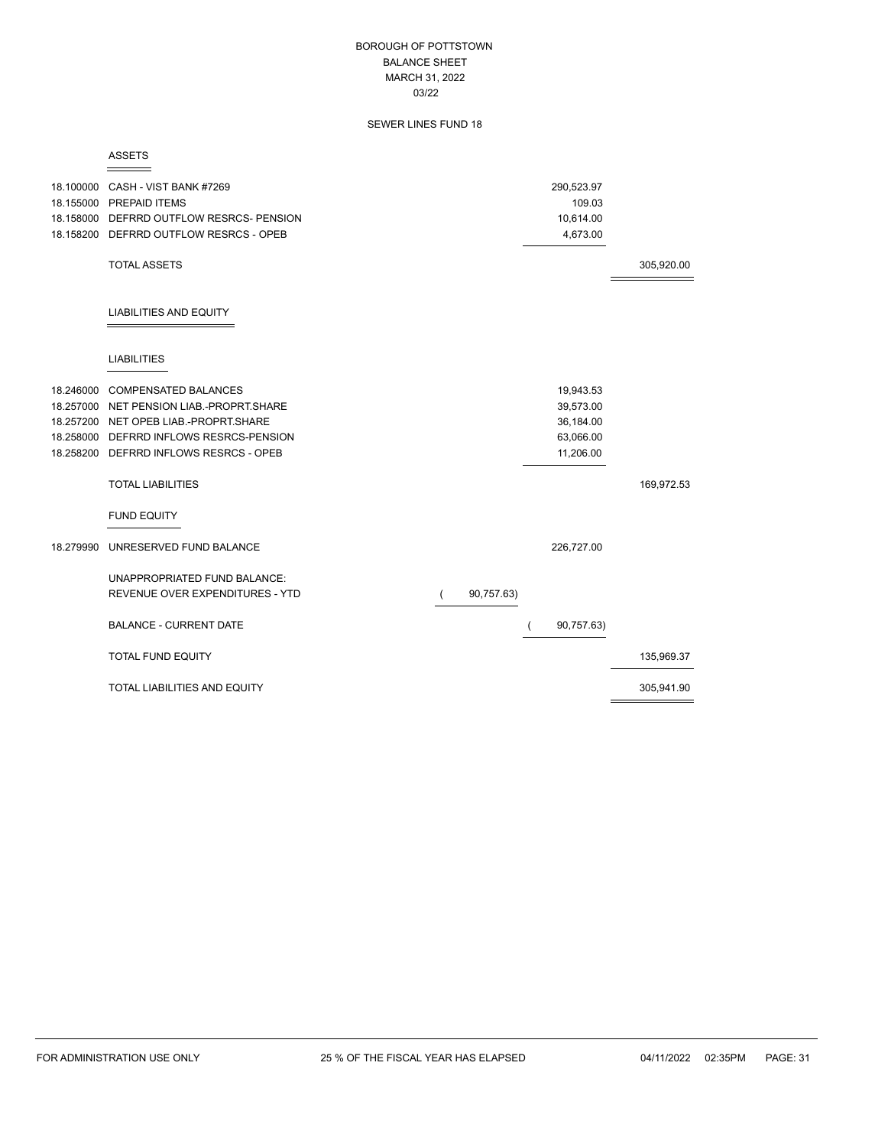#### BOROUGH OF POTTSTOWN BALANCE SHEET MARCH 31, 2022 03/22

## SEWER LINES FUND 18

ASSETS

 $\equiv$ 

| 18.100000 CASH - VIST BANK #7269<br>18.155000 PREPAID ITEMS<br>18.158000 DEFRRD OUTFLOW RESRCS- PENSION<br>18.158200 DEFRRD OUTFLOW RESRCS - OPEB |            | 290,523.97<br>109.03<br>10,614.00<br>4,673.00 |            |
|---------------------------------------------------------------------------------------------------------------------------------------------------|------------|-----------------------------------------------|------------|
| <b>TOTAL ASSETS</b>                                                                                                                               |            |                                               | 305,920.00 |
| <b>LIABILITIES AND EQUITY</b>                                                                                                                     |            |                                               |            |
| <b>LIABILITIES</b>                                                                                                                                |            |                                               |            |
| 18.246000 COMPENSATED BALANCES                                                                                                                    |            | 19,943.53                                     |            |
| 18.257000 NET PENSION LIAB.-PROPRT.SHARE                                                                                                          |            | 39,573.00                                     |            |
| 18.257200 NET OPEB LIAB.-PROPRT.SHARE                                                                                                             |            | 36,184.00                                     |            |
| 18.258000 DEFRRD INFLOWS RESRCS-PENSION                                                                                                           |            | 63,066.00                                     |            |
| 18.258200 DEFRRD INFLOWS RESRCS - OPEB                                                                                                            |            | 11,206.00                                     |            |
| <b>TOTAL LIABILITIES</b>                                                                                                                          |            |                                               | 169,972.53 |
| <b>FUND EQUITY</b>                                                                                                                                |            |                                               |            |
| 18.279990 UNRESERVED FUND BALANCE                                                                                                                 |            | 226,727.00                                    |            |
| UNAPPROPRIATED FUND BALANCE:                                                                                                                      |            |                                               |            |
| <b>REVENUE OVER EXPENDITURES - YTD</b>                                                                                                            | 90,757.63) |                                               |            |
| <b>BALANCE - CURRENT DATE</b>                                                                                                                     |            | 90,757.63)                                    |            |
| <b>TOTAL FUND EQUITY</b>                                                                                                                          |            |                                               | 135,969.37 |
| <b>TOTAL LIABILITIES AND EQUITY</b>                                                                                                               |            |                                               | 305,941.90 |

 $\equiv$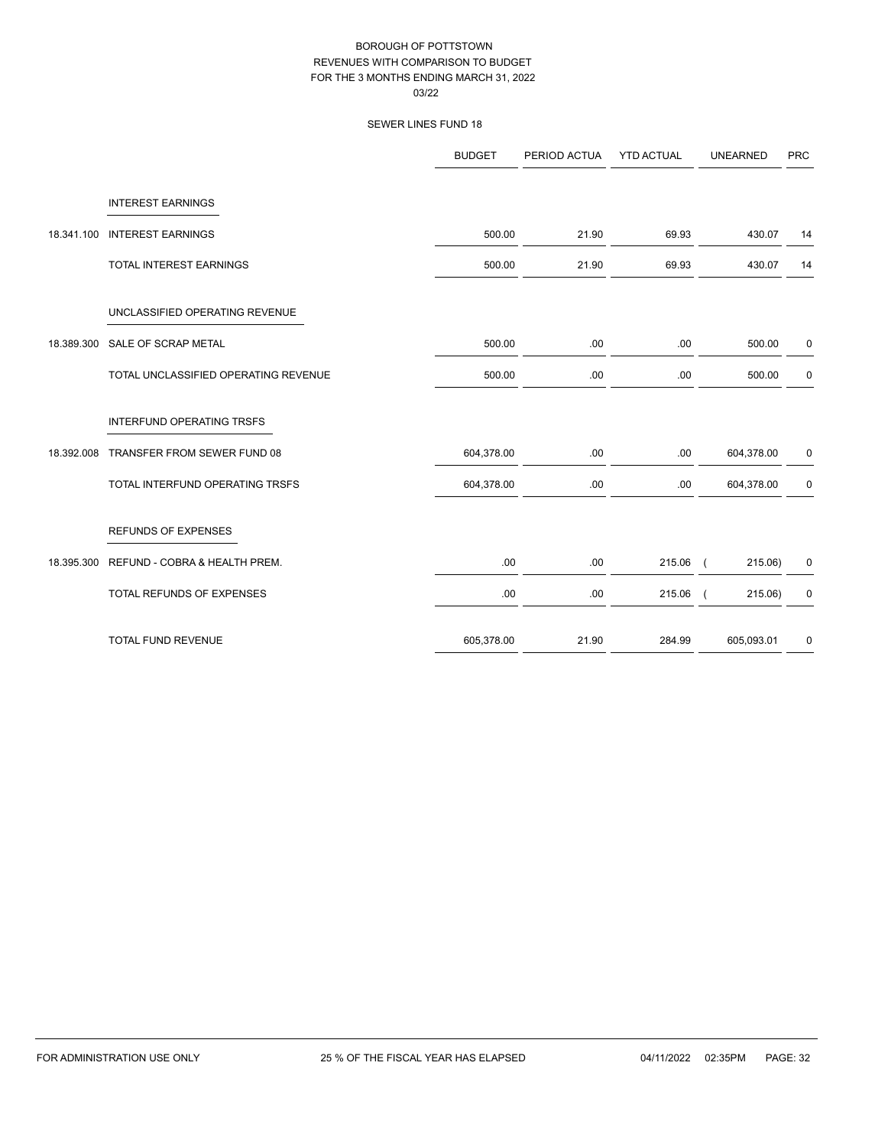|            |                                      | <b>BUDGET</b> | PERIOD ACTUA | <b>YTD ACTUAL</b> | <b>UNEARNED</b> | <b>PRC</b>  |
|------------|--------------------------------------|---------------|--------------|-------------------|-----------------|-------------|
|            | <b>INTEREST EARNINGS</b>             |               |              |                   |                 |             |
| 18.341.100 | <b>INTEREST EARNINGS</b>             | 500.00        | 21.90        | 69.93             | 430.07          | 14          |
|            | TOTAL INTEREST EARNINGS              | 500.00        | 21.90        | 69.93             | 430.07          | 14          |
|            | UNCLASSIFIED OPERATING REVENUE       |               |              |                   |                 |             |
| 18.389.300 | SALE OF SCRAP METAL                  | 500.00        | .00          | .00               | 500.00          | $\pmb{0}$   |
|            | TOTAL UNCLASSIFIED OPERATING REVENUE | 500.00        | .00          | .00               | 500.00          | $\pmb{0}$   |
|            | <b>INTERFUND OPERATING TRSFS</b>     |               |              |                   |                 |             |
| 18.392.008 | TRANSFER FROM SEWER FUND 08          | 604,378.00    | .00          | .00               | 604,378.00      | 0           |
|            | TOTAL INTERFUND OPERATING TRSFS      | 604,378.00    | .00          | .00               | 604,378.00      | $\mathbf 0$ |
|            | <b>REFUNDS OF EXPENSES</b>           |               |              |                   |                 |             |
| 18.395.300 | REFUND - COBRA & HEALTH PREM.        | .00           | .00          | 215.06 (          | 215.06)         | $\pmb{0}$   |
|            | TOTAL REFUNDS OF EXPENSES            | .00.          | .00          | $215.06$ (        | 215.06)         | $\pmb{0}$   |
|            | TOTAL FUND REVENUE                   | 605,378.00    | 21.90        | 284.99            | 605,093.01      | $\pmb{0}$   |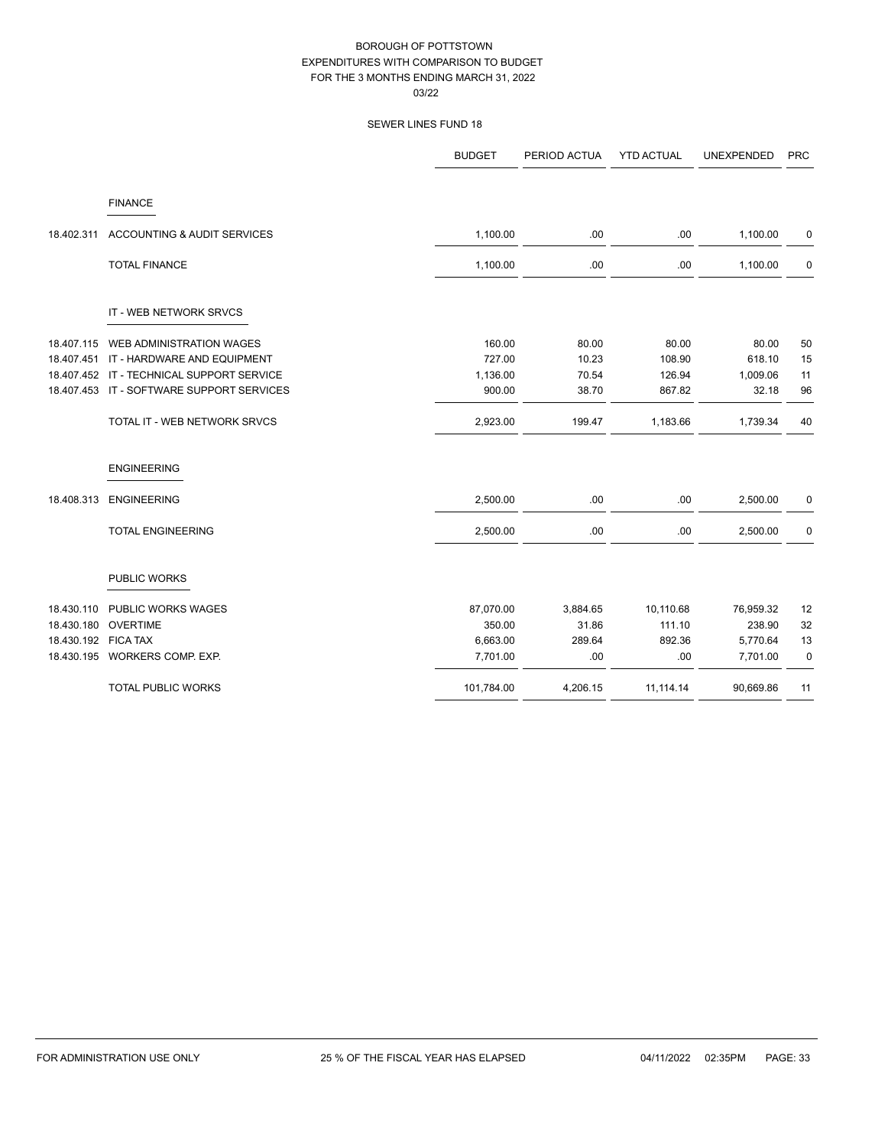|                     |                                           | <b>BUDGET</b> | PERIOD ACTUA | <b>YTD ACTUAL</b> | <b>UNEXPENDED</b> | <b>PRC</b>  |
|---------------------|-------------------------------------------|---------------|--------------|-------------------|-------------------|-------------|
|                     | <b>FINANCE</b>                            |               |              |                   |                   |             |
| 18.402.311          | ACCOUNTING & AUDIT SERVICES               | 1,100.00      | .00          | .00               | 1,100.00          | 0           |
|                     | <b>TOTAL FINANCE</b>                      | 1,100.00      | .00          | .00               | 1,100.00          | 0           |
|                     | IT - WEB NETWORK SRVCS                    |               |              |                   |                   |             |
| 18.407.115          | WEB ADMINISTRATION WAGES                  | 160.00        | 80.00        | 80.00             | 80.00             | 50          |
| 18.407.451          | IT - HARDWARE AND EQUIPMENT               | 727.00        | 10.23        | 108.90            | 618.10            | 15          |
|                     | 18.407.452 IT - TECHNICAL SUPPORT SERVICE | 1,136.00      | 70.54        | 126.94            | 1,009.06          | 11          |
|                     | 18.407.453 IT - SOFTWARE SUPPORT SERVICES | 900.00        | 38.70        | 867.82            | 32.18             | 96          |
|                     | TOTAL IT - WEB NETWORK SRVCS              | 2,923.00      | 199.47       | 1,183.66          | 1,739.34          | 40          |
|                     | <b>ENGINEERING</b>                        |               |              |                   |                   |             |
| 18.408.313          | <b>ENGINEERING</b>                        | 2,500.00      | .00          | .00               | 2,500.00          | 0           |
|                     | <b>TOTAL ENGINEERING</b>                  | 2,500.00      | .00          | .00               | 2,500.00          | 0           |
|                     | PUBLIC WORKS                              |               |              |                   |                   |             |
| 18.430.110          | PUBLIC WORKS WAGES                        | 87,070.00     | 3,884.65     | 10,110.68         | 76,959.32         | 12          |
| 18.430.180          | <b>OVERTIME</b>                           | 350.00        | 31.86        | 111.10            | 238.90            | 32          |
| 18.430.192 FICA TAX |                                           | 6,663.00      | 289.64       | 892.36            | 5,770.64          | 13          |
|                     | 18.430.195 WORKERS COMP. EXP.             | 7,701.00      | .00          | .00               | 7,701.00          | $\mathbf 0$ |
|                     | <b>TOTAL PUBLIC WORKS</b>                 | 101,784.00    | 4,206.15     | 11,114.14         | 90,669.86         | 11          |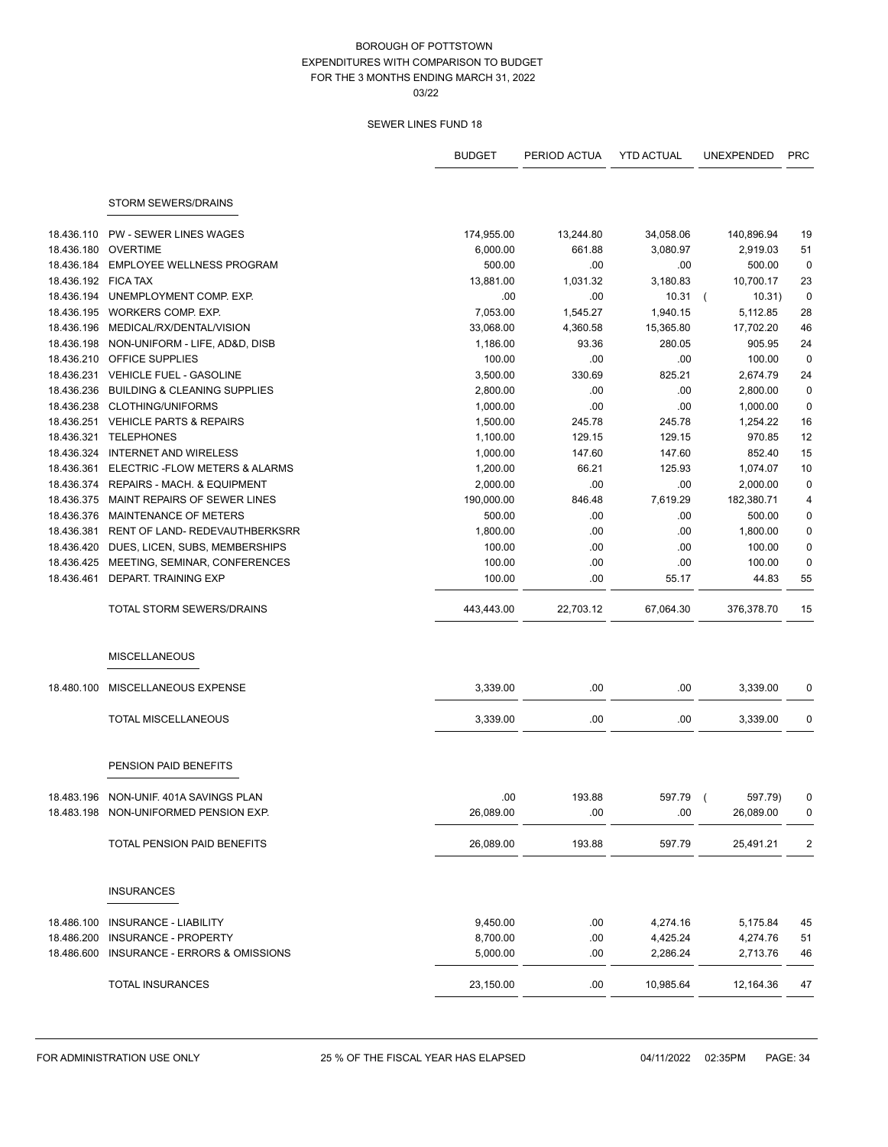|                     |                                         | <b>BUDGET</b> | PERIOD ACTUA | <b>YTD ACTUAL</b> | <b>UNEXPENDED</b>  | <b>PRC</b>  |
|---------------------|-----------------------------------------|---------------|--------------|-------------------|--------------------|-------------|
|                     |                                         |               |              |                   |                    |             |
|                     | <b>STORM SEWERS/DRAINS</b>              |               |              |                   |                    |             |
| 18.436.110          | <b>PW - SEWER LINES WAGES</b>           | 174,955.00    | 13,244.80    | 34,058.06         | 140,896.94         | 19          |
| 18.436.180          | <b>OVERTIME</b>                         | 6,000.00      | 661.88       | 3.080.97          | 2,919.03           | 51          |
| 18.436.184          | <b>EMPLOYEE WELLNESS PROGRAM</b>        | 500.00        | .00          | .00               | 500.00             | $\pmb{0}$   |
| 18.436.192 FICA TAX |                                         | 13,881.00     | 1,031.32     | 3,180.83          | 10,700.17          | 23          |
| 18.436.194          | UNEMPLOYMENT COMP. EXP.                 | .00           | .00          | 10.31             | 10.31)<br>$\left($ | $\mathbf 0$ |
| 18.436.195          | WORKERS COMP. EXP.                      | 7,053.00      | 1,545.27     | 1,940.15          | 5,112.85           | 28          |
| 18.436.196          | MEDICAL/RX/DENTAL/VISION                | 33,068.00     | 4,360.58     | 15,365.80         | 17,702.20          | 46          |
| 18.436.198          | NON-UNIFORM - LIFE, AD&D, DISB          | 1,186.00      | 93.36        | 280.05            | 905.95             | 24          |
|                     | 18.436.210 OFFICE SUPPLIES              | 100.00        | .00.         | .00               | 100.00             | $\mathbf 0$ |
|                     | 18.436.231 VEHICLE FUEL - GASOLINE      | 3,500.00      | 330.69       | 825.21            | 2,674.79           | 24          |
| 18.436.236          | <b>BUILDING &amp; CLEANING SUPPLIES</b> | 2,800.00      | .00          | .00               | 2,800.00           | $\mathbf 0$ |
| 18.436.238          | <b>CLOTHING/UNIFORMS</b>                | 1,000.00      | .00.         | .00               | 1,000.00           | $\pmb{0}$   |
| 18.436.251          | <b>VEHICLE PARTS &amp; REPAIRS</b>      | 1,500.00      | 245.78       | 245.78            | 1,254.22           | 16          |
| 18.436.321          | <b>TELEPHONES</b>                       | 1,100.00      | 129.15       | 129.15            | 970.85             | 12          |
| 18.436.324          | <b>INTERNET AND WIRELESS</b>            | 1,000.00      | 147.60       | 147.60            | 852.40             | 15          |
| 18.436.361          | ELECTRIC - FLOW METERS & ALARMS         | 1,200.00      | 66.21        | 125.93            | 1,074.07           | 10          |
|                     | 18.436.374 REPAIRS - MACH. & EQUIPMENT  | 2,000.00      | .00          | .00               | 2,000.00           | $\mathbf 0$ |
| 18.436.375          | MAINT REPAIRS OF SEWER LINES            | 190,000.00    | 846.48       | 7,619.29          | 182,380.71         | 4           |
| 18.436.376          | MAINTENANCE OF METERS                   | 500.00        | .00          | .00               | 500.00             | 0           |
| 18.436.381          | RENT OF LAND- REDEVAUTHBERKSRR          | 1,800.00      | .00          | .00               | 1,800.00           | $\pmb{0}$   |
| 18.436.420          | DUES, LICEN, SUBS, MEMBERSHIPS          | 100.00        | .00          | .00               | 100.00             | $\pmb{0}$   |
| 18.436.425          | MEETING, SEMINAR, CONFERENCES           | 100.00        | .00          | .00               | 100.00             | $\pmb{0}$   |
| 18.436.461          | DEPART. TRAINING EXP                    | 100.00        | .00.         | 55.17             | 44.83              | 55          |
|                     | TOTAL STORM SEWERS/DRAINS               | 443,443.00    | 22,703.12    | 67,064.30         | 376,378.70         | 15          |
|                     | <b>MISCELLANEOUS</b>                    |               |              |                   |                    |             |
| 18.480.100          | MISCELLANEOUS EXPENSE                   | 3,339.00      | .00          | .00               | 3,339.00           | 0           |
|                     | <b>TOTAL MISCELLANEOUS</b>              | 3,339.00      | .00          | .00               | 3,339.00           | 0           |
|                     | PENSION PAID BENEFITS                   |               |              |                   |                    |             |
|                     | 18.483.196 NON-UNIF. 401A SAVINGS PLAN  | .00           | 193.88       | 597.79 (          | 597.79)            |             |
|                     | 18.483.198 NON-UNIFORMED PENSION EXP.   | 26,089.00     | .00.         | .00               | 26,089.00          | 0           |
|                     | TOTAL PENSION PAID BENEFITS             | 26,089.00     | 193.88       | 597.79            | 25,491.21          | 2           |
|                     |                                         |               |              |                   |                    |             |
|                     | <b>INSURANCES</b>                       |               |              |                   |                    |             |
| 18.486.100          | INSURANCE - LIABILITY                   | 9,450.00      | .00          | 4,274.16          | 5,175.84           | 45          |
| 18.486.200          | <b>INSURANCE - PROPERTY</b>             | 8,700.00      | .00          | 4,425.24          | 4,274.76           | 51          |
| 18.486.600          | INSURANCE - ERRORS & OMISSIONS          | 5,000.00      | .00          | 2,286.24          | 2,713.76           | 46          |
|                     | TOTAL INSURANCES                        | 23,150.00     | .00          | 10,985.64         | 12,164.36          | 47          |